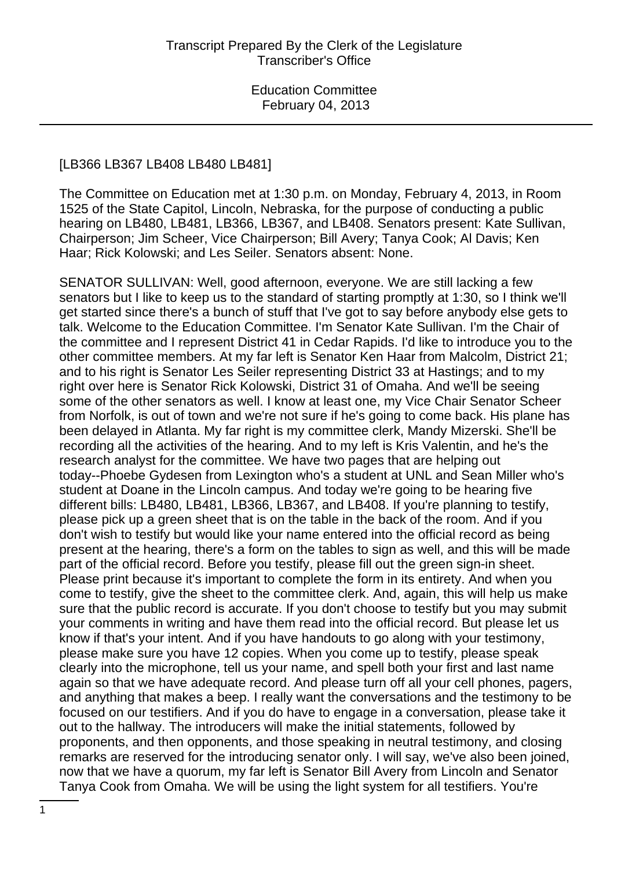#### [LB366 LB367 LB408 LB480 LB481]

The Committee on Education met at 1:30 p.m. on Monday, February 4, 2013, in Room 1525 of the State Capitol, Lincoln, Nebraska, for the purpose of conducting a public hearing on LB480, LB481, LB366, LB367, and LB408. Senators present: Kate Sullivan, Chairperson; Jim Scheer, Vice Chairperson; Bill Avery; Tanya Cook; Al Davis; Ken Haar; Rick Kolowski; and Les Seiler. Senators absent: None.

SENATOR SULLIVAN: Well, good afternoon, everyone. We are still lacking a few senators but I like to keep us to the standard of starting promptly at 1:30, so I think we'll get started since there's a bunch of stuff that I've got to say before anybody else gets to talk. Welcome to the Education Committee. I'm Senator Kate Sullivan. I'm the Chair of the committee and I represent District 41 in Cedar Rapids. I'd like to introduce you to the other committee members. At my far left is Senator Ken Haar from Malcolm, District 21; and to his right is Senator Les Seiler representing District 33 at Hastings; and to my right over here is Senator Rick Kolowski, District 31 of Omaha. And we'll be seeing some of the other senators as well. I know at least one, my Vice Chair Senator Scheer from Norfolk, is out of town and we're not sure if he's going to come back. His plane has been delayed in Atlanta. My far right is my committee clerk, Mandy Mizerski. She'll be recording all the activities of the hearing. And to my left is Kris Valentin, and he's the research analyst for the committee. We have two pages that are helping out today--Phoebe Gydesen from Lexington who's a student at UNL and Sean Miller who's student at Doane in the Lincoln campus. And today we're going to be hearing five different bills: LB480, LB481, LB366, LB367, and LB408. If you're planning to testify, please pick up a green sheet that is on the table in the back of the room. And if you don't wish to testify but would like your name entered into the official record as being present at the hearing, there's a form on the tables to sign as well, and this will be made part of the official record. Before you testify, please fill out the green sign-in sheet. Please print because it's important to complete the form in its entirety. And when you come to testify, give the sheet to the committee clerk. And, again, this will help us make sure that the public record is accurate. If you don't choose to testify but you may submit your comments in writing and have them read into the official record. But please let us know if that's your intent. And if you have handouts to go along with your testimony, please make sure you have 12 copies. When you come up to testify, please speak clearly into the microphone, tell us your name, and spell both your first and last name again so that we have adequate record. And please turn off all your cell phones, pagers, and anything that makes a beep. I really want the conversations and the testimony to be focused on our testifiers. And if you do have to engage in a conversation, please take it out to the hallway. The introducers will make the initial statements, followed by proponents, and then opponents, and those speaking in neutral testimony, and closing remarks are reserved for the introducing senator only. I will say, we've also been joined, now that we have a quorum, my far left is Senator Bill Avery from Lincoln and Senator Tanya Cook from Omaha. We will be using the light system for all testifiers. You're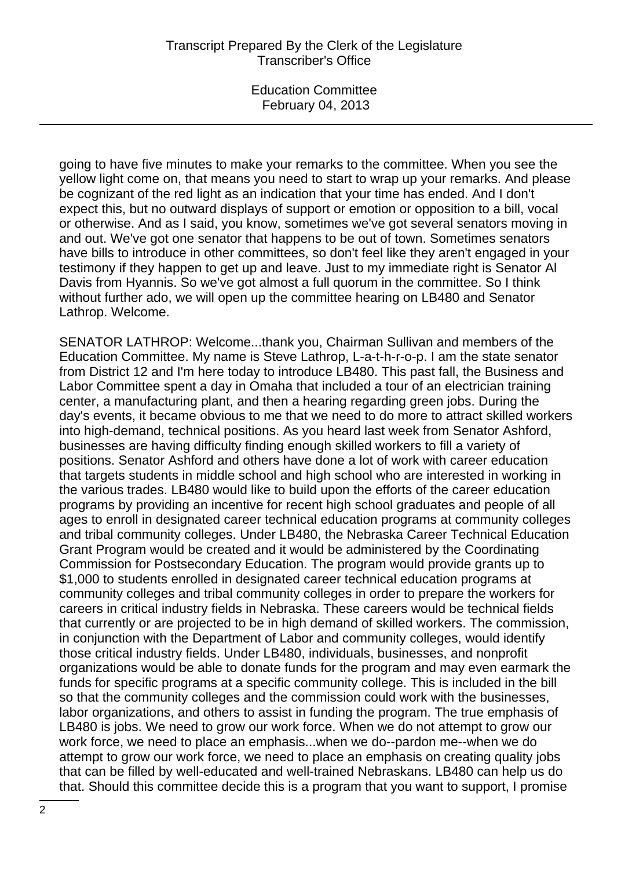going to have five minutes to make your remarks to the committee. When you see the yellow light come on, that means you need to start to wrap up your remarks. And please be cognizant of the red light as an indication that your time has ended. And I don't expect this, but no outward displays of support or emotion or opposition to a bill, vocal or otherwise. And as I said, you know, sometimes we've got several senators moving in and out. We've got one senator that happens to be out of town. Sometimes senators have bills to introduce in other committees, so don't feel like they aren't engaged in your testimony if they happen to get up and leave. Just to my immediate right is Senator Al Davis from Hyannis. So we've got almost a full quorum in the committee. So I think without further ado, we will open up the committee hearing on LB480 and Senator Lathrop. Welcome.

SENATOR LATHROP: Welcome...thank you, Chairman Sullivan and members of the Education Committee. My name is Steve Lathrop, L-a-t-h-r-o-p. I am the state senator from District 12 and I'm here today to introduce LB480. This past fall, the Business and Labor Committee spent a day in Omaha that included a tour of an electrician training center, a manufacturing plant, and then a hearing regarding green jobs. During the day's events, it became obvious to me that we need to do more to attract skilled workers into high-demand, technical positions. As you heard last week from Senator Ashford, businesses are having difficulty finding enough skilled workers to fill a variety of positions. Senator Ashford and others have done a lot of work with career education that targets students in middle school and high school who are interested in working in the various trades. LB480 would like to build upon the efforts of the career education programs by providing an incentive for recent high school graduates and people of all ages to enroll in designated career technical education programs at community colleges and tribal community colleges. Under LB480, the Nebraska Career Technical Education Grant Program would be created and it would be administered by the Coordinating Commission for Postsecondary Education. The program would provide grants up to \$1,000 to students enrolled in designated career technical education programs at community colleges and tribal community colleges in order to prepare the workers for careers in critical industry fields in Nebraska. These careers would be technical fields that currently or are projected to be in high demand of skilled workers. The commission, in conjunction with the Department of Labor and community colleges, would identify those critical industry fields. Under LB480, individuals, businesses, and nonprofit organizations would be able to donate funds for the program and may even earmark the funds for specific programs at a specific community college. This is included in the bill so that the community colleges and the commission could work with the businesses, labor organizations, and others to assist in funding the program. The true emphasis of LB480 is jobs. We need to grow our work force. When we do not attempt to grow our work force, we need to place an emphasis...when we do--pardon me--when we do attempt to grow our work force, we need to place an emphasis on creating quality jobs that can be filled by well-educated and well-trained Nebraskans. LB480 can help us do that. Should this committee decide this is a program that you want to support, I promise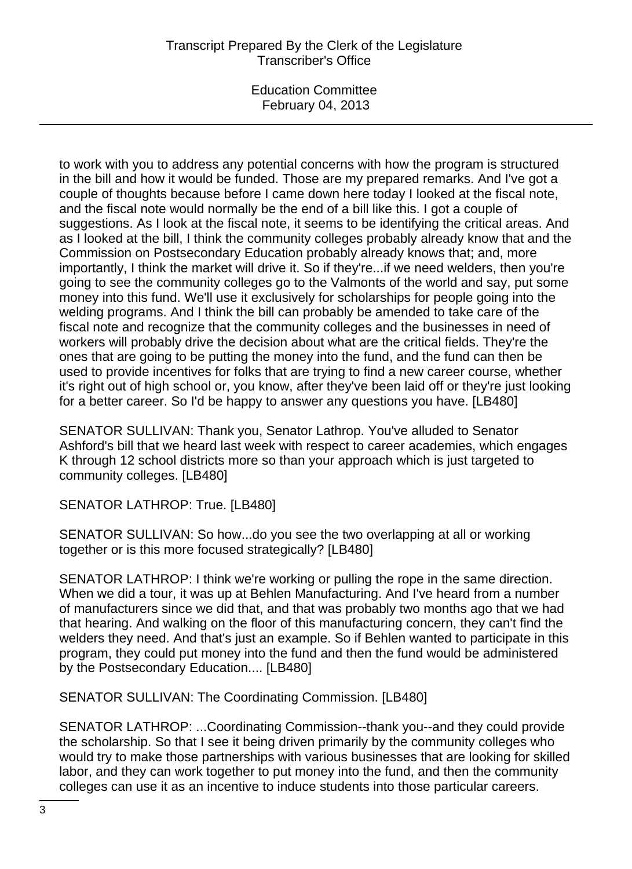# Transcript Prepared By the Clerk of the Legislature Transcriber's Office

Education Committee February 04, 2013

to work with you to address any potential concerns with how the program is structured in the bill and how it would be funded. Those are my prepared remarks. And I've got a couple of thoughts because before I came down here today I looked at the fiscal note, and the fiscal note would normally be the end of a bill like this. I got a couple of suggestions. As I look at the fiscal note, it seems to be identifying the critical areas. And as I looked at the bill, I think the community colleges probably already know that and the Commission on Postsecondary Education probably already knows that; and, more importantly, I think the market will drive it. So if they're...if we need welders, then you're going to see the community colleges go to the Valmonts of the world and say, put some money into this fund. We'll use it exclusively for scholarships for people going into the welding programs. And I think the bill can probably be amended to take care of the fiscal note and recognize that the community colleges and the businesses in need of workers will probably drive the decision about what are the critical fields. They're the ones that are going to be putting the money into the fund, and the fund can then be used to provide incentives for folks that are trying to find a new career course, whether it's right out of high school or, you know, after they've been laid off or they're just looking for a better career. So I'd be happy to answer any questions you have. [LB480]

SENATOR SULLIVAN: Thank you, Senator Lathrop. You've alluded to Senator Ashford's bill that we heard last week with respect to career academies, which engages K through 12 school districts more so than your approach which is just targeted to community colleges. [LB480]

SENATOR LATHROP: True. [LB480]

SENATOR SULLIVAN: So how...do you see the two overlapping at all or working together or is this more focused strategically? [LB480]

SENATOR LATHROP: I think we're working or pulling the rope in the same direction. When we did a tour, it was up at Behlen Manufacturing. And I've heard from a number of manufacturers since we did that, and that was probably two months ago that we had that hearing. And walking on the floor of this manufacturing concern, they can't find the welders they need. And that's just an example. So if Behlen wanted to participate in this program, they could put money into the fund and then the fund would be administered by the Postsecondary Education.... [LB480]

SENATOR SULLIVAN: The Coordinating Commission. [LB480]

SENATOR LATHROP: ...Coordinating Commission--thank you--and they could provide the scholarship. So that I see it being driven primarily by the community colleges who would try to make those partnerships with various businesses that are looking for skilled labor, and they can work together to put money into the fund, and then the community colleges can use it as an incentive to induce students into those particular careers.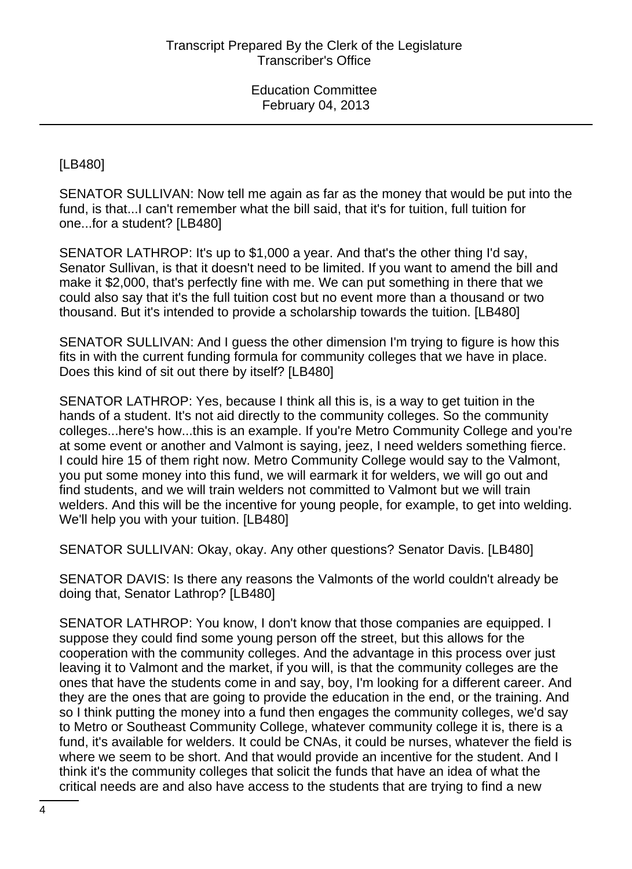[LB480]

SENATOR SULLIVAN: Now tell me again as far as the money that would be put into the fund, is that...I can't remember what the bill said, that it's for tuition, full tuition for one...for a student? [LB480]

SENATOR LATHROP: It's up to \$1,000 a year. And that's the other thing I'd say, Senator Sullivan, is that it doesn't need to be limited. If you want to amend the bill and make it \$2,000, that's perfectly fine with me. We can put something in there that we could also say that it's the full tuition cost but no event more than a thousand or two thousand. But it's intended to provide a scholarship towards the tuition. [LB480]

SENATOR SULLIVAN: And I guess the other dimension I'm trying to figure is how this fits in with the current funding formula for community colleges that we have in place. Does this kind of sit out there by itself? [LB480]

SENATOR LATHROP: Yes, because I think all this is, is a way to get tuition in the hands of a student. It's not aid directly to the community colleges. So the community colleges...here's how...this is an example. If you're Metro Community College and you're at some event or another and Valmont is saying, jeez, I need welders something fierce. I could hire 15 of them right now. Metro Community College would say to the Valmont, you put some money into this fund, we will earmark it for welders, we will go out and find students, and we will train welders not committed to Valmont but we will train welders. And this will be the incentive for young people, for example, to get into welding. We'll help you with your tuition. [LB480]

SENATOR SULLIVAN: Okay, okay. Any other questions? Senator Davis. [LB480]

SENATOR DAVIS: Is there any reasons the Valmonts of the world couldn't already be doing that, Senator Lathrop? [LB480]

SENATOR LATHROP: You know, I don't know that those companies are equipped. I suppose they could find some young person off the street, but this allows for the cooperation with the community colleges. And the advantage in this process over just leaving it to Valmont and the market, if you will, is that the community colleges are the ones that have the students come in and say, boy, I'm looking for a different career. And they are the ones that are going to provide the education in the end, or the training. And so I think putting the money into a fund then engages the community colleges, we'd say to Metro or Southeast Community College, whatever community college it is, there is a fund, it's available for welders. It could be CNAs, it could be nurses, whatever the field is where we seem to be short. And that would provide an incentive for the student. And I think it's the community colleges that solicit the funds that have an idea of what the critical needs are and also have access to the students that are trying to find a new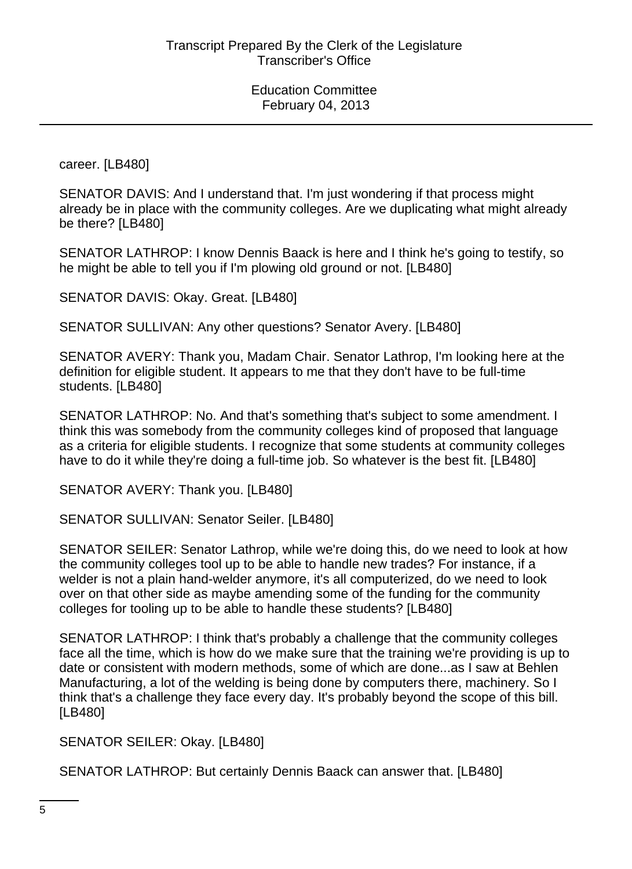career. [LB480]

SENATOR DAVIS: And I understand that. I'm just wondering if that process might already be in place with the community colleges. Are we duplicating what might already be there? [LB480]

SENATOR LATHROP: I know Dennis Baack is here and I think he's going to testify, so he might be able to tell you if I'm plowing old ground or not. [LB480]

SENATOR DAVIS: Okay. Great. [LB480]

SENATOR SULLIVAN: Any other questions? Senator Avery. [LB480]

SENATOR AVERY: Thank you, Madam Chair. Senator Lathrop, I'm looking here at the definition for eligible student. It appears to me that they don't have to be full-time students. [LB480]

SENATOR LATHROP: No. And that's something that's subject to some amendment. I think this was somebody from the community colleges kind of proposed that language as a criteria for eligible students. I recognize that some students at community colleges have to do it while they're doing a full-time job. So whatever is the best fit. [LB480]

SENATOR AVERY: Thank you. [LB480]

SENATOR SULLIVAN: Senator Seiler. [LB480]

SENATOR SEILER: Senator Lathrop, while we're doing this, do we need to look at how the community colleges tool up to be able to handle new trades? For instance, if a welder is not a plain hand-welder anymore, it's all computerized, do we need to look over on that other side as maybe amending some of the funding for the community colleges for tooling up to be able to handle these students? [LB480]

SENATOR LATHROP: I think that's probably a challenge that the community colleges face all the time, which is how do we make sure that the training we're providing is up to date or consistent with modern methods, some of which are done...as I saw at Behlen Manufacturing, a lot of the welding is being done by computers there, machinery. So I think that's a challenge they face every day. It's probably beyond the scope of this bill. [LB480]

SENATOR SEILER: Okay. [LB480]

SENATOR LATHROP: But certainly Dennis Baack can answer that. [LB480]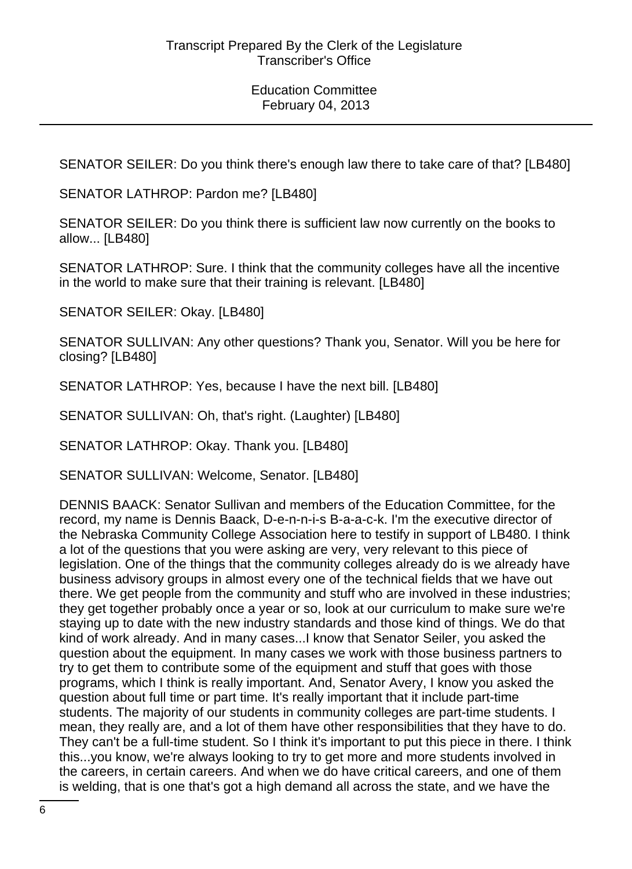SENATOR SEILER: Do you think there's enough law there to take care of that? [LB480]

SENATOR LATHROP: Pardon me? [LB480]

SENATOR SEILER: Do you think there is sufficient law now currently on the books to allow... [LB480]

SENATOR LATHROP: Sure. I think that the community colleges have all the incentive in the world to make sure that their training is relevant. [LB480]

SENATOR SEILER: Okay. [LB480]

SENATOR SULLIVAN: Any other questions? Thank you, Senator. Will you be here for closing? [LB480]

SENATOR LATHROP: Yes, because I have the next bill. [LB480]

SENATOR SULLIVAN: Oh, that's right. (Laughter) [LB480]

SENATOR LATHROP: Okay. Thank you. [LB480]

SENATOR SULLIVAN: Welcome, Senator. [LB480]

DENNIS BAACK: Senator Sullivan and members of the Education Committee, for the record, my name is Dennis Baack, D-e-n-n-i-s B-a-a-c-k. I'm the executive director of the Nebraska Community College Association here to testify in support of LB480. I think a lot of the questions that you were asking are very, very relevant to this piece of legislation. One of the things that the community colleges already do is we already have business advisory groups in almost every one of the technical fields that we have out there. We get people from the community and stuff who are involved in these industries; they get together probably once a year or so, look at our curriculum to make sure we're staying up to date with the new industry standards and those kind of things. We do that kind of work already. And in many cases...I know that Senator Seiler, you asked the question about the equipment. In many cases we work with those business partners to try to get them to contribute some of the equipment and stuff that goes with those programs, which I think is really important. And, Senator Avery, I know you asked the question about full time or part time. It's really important that it include part-time students. The majority of our students in community colleges are part-time students. I mean, they really are, and a lot of them have other responsibilities that they have to do. They can't be a full-time student. So I think it's important to put this piece in there. I think this...you know, we're always looking to try to get more and more students involved in the careers, in certain careers. And when we do have critical careers, and one of them is welding, that is one that's got a high demand all across the state, and we have the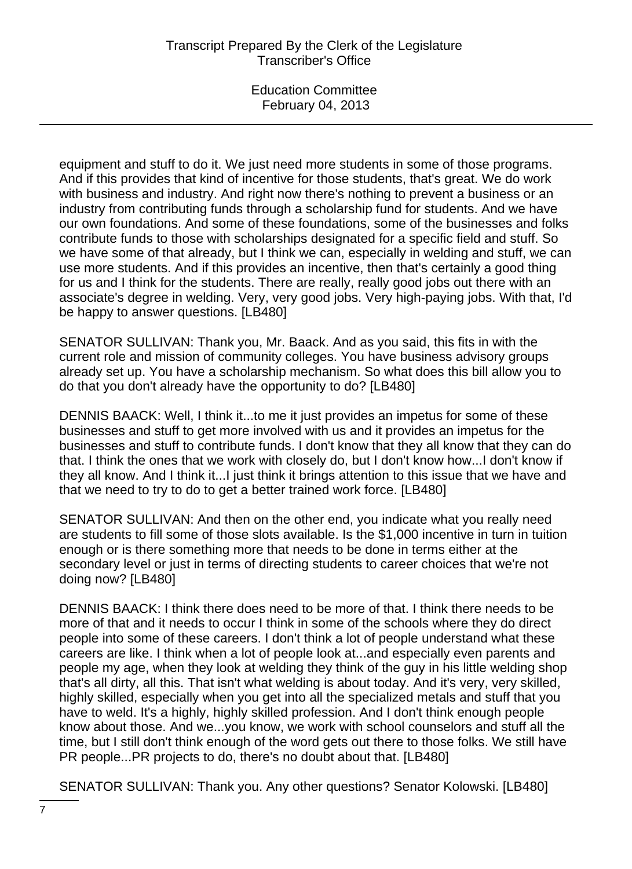equipment and stuff to do it. We just need more students in some of those programs. And if this provides that kind of incentive for those students, that's great. We do work with business and industry. And right now there's nothing to prevent a business or an industry from contributing funds through a scholarship fund for students. And we have our own foundations. And some of these foundations, some of the businesses and folks contribute funds to those with scholarships designated for a specific field and stuff. So we have some of that already, but I think we can, especially in welding and stuff, we can use more students. And if this provides an incentive, then that's certainly a good thing for us and I think for the students. There are really, really good jobs out there with an associate's degree in welding. Very, very good jobs. Very high-paying jobs. With that, I'd be happy to answer questions. [LB480]

SENATOR SULLIVAN: Thank you, Mr. Baack. And as you said, this fits in with the current role and mission of community colleges. You have business advisory groups already set up. You have a scholarship mechanism. So what does this bill allow you to do that you don't already have the opportunity to do? [LB480]

DENNIS BAACK: Well, I think it...to me it just provides an impetus for some of these businesses and stuff to get more involved with us and it provides an impetus for the businesses and stuff to contribute funds. I don't know that they all know that they can do that. I think the ones that we work with closely do, but I don't know how...I don't know if they all know. And I think it...I just think it brings attention to this issue that we have and that we need to try to do to get a better trained work force. [LB480]

SENATOR SULLIVAN: And then on the other end, you indicate what you really need are students to fill some of those slots available. Is the \$1,000 incentive in turn in tuition enough or is there something more that needs to be done in terms either at the secondary level or just in terms of directing students to career choices that we're not doing now? [LB480]

DENNIS BAACK: I think there does need to be more of that. I think there needs to be more of that and it needs to occur I think in some of the schools where they do direct people into some of these careers. I don't think a lot of people understand what these careers are like. I think when a lot of people look at...and especially even parents and people my age, when they look at welding they think of the guy in his little welding shop that's all dirty, all this. That isn't what welding is about today. And it's very, very skilled, highly skilled, especially when you get into all the specialized metals and stuff that you have to weld. It's a highly, highly skilled profession. And I don't think enough people know about those. And we...you know, we work with school counselors and stuff all the time, but I still don't think enough of the word gets out there to those folks. We still have PR people...PR projects to do, there's no doubt about that. [LB480]

SENATOR SULLIVAN: Thank you. Any other questions? Senator Kolowski. [LB480]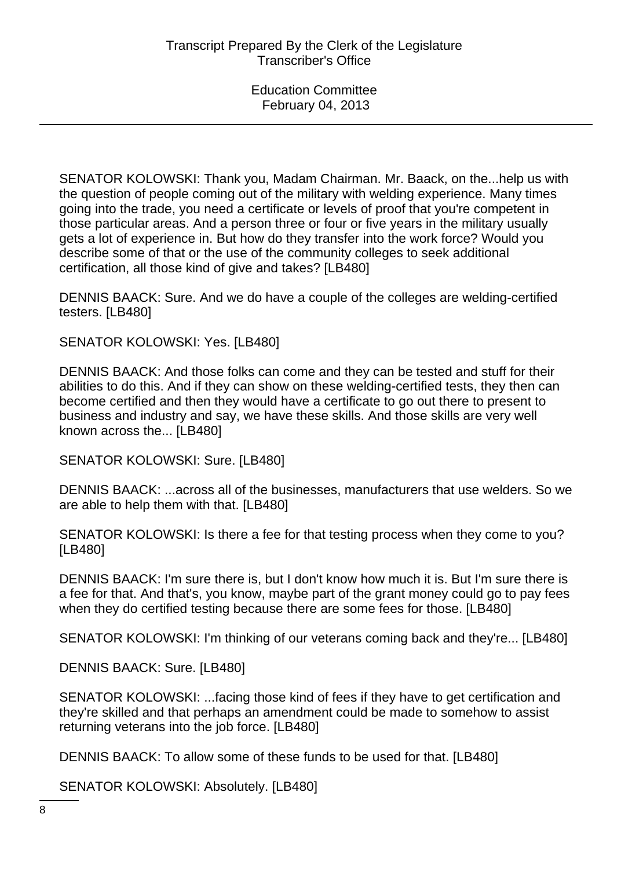SENATOR KOLOWSKI: Thank you, Madam Chairman. Mr. Baack, on the...help us with the question of people coming out of the military with welding experience. Many times going into the trade, you need a certificate or levels of proof that you're competent in those particular areas. And a person three or four or five years in the military usually gets a lot of experience in. But how do they transfer into the work force? Would you describe some of that or the use of the community colleges to seek additional certification, all those kind of give and takes? [LB480]

DENNIS BAACK: Sure. And we do have a couple of the colleges are welding-certified testers. [LB480]

SENATOR KOLOWSKI: Yes. [LB480]

DENNIS BAACK: And those folks can come and they can be tested and stuff for their abilities to do this. And if they can show on these welding-certified tests, they then can become certified and then they would have a certificate to go out there to present to business and industry and say, we have these skills. And those skills are very well known across the... [LB480]

SENATOR KOLOWSKI: Sure. [LB480]

DENNIS BAACK: ...across all of the businesses, manufacturers that use welders. So we are able to help them with that. [LB480]

SENATOR KOLOWSKI: Is there a fee for that testing process when they come to you? [LB480]

DENNIS BAACK: I'm sure there is, but I don't know how much it is. But I'm sure there is a fee for that. And that's, you know, maybe part of the grant money could go to pay fees when they do certified testing because there are some fees for those. [LB480]

SENATOR KOLOWSKI: I'm thinking of our veterans coming back and they're... [LB480]

DENNIS BAACK: Sure. [LB480]

SENATOR KOLOWSKI: ...facing those kind of fees if they have to get certification and they're skilled and that perhaps an amendment could be made to somehow to assist returning veterans into the job force. [LB480]

DENNIS BAACK: To allow some of these funds to be used for that. [LB480]

SENATOR KOLOWSKI: Absolutely. [LB480]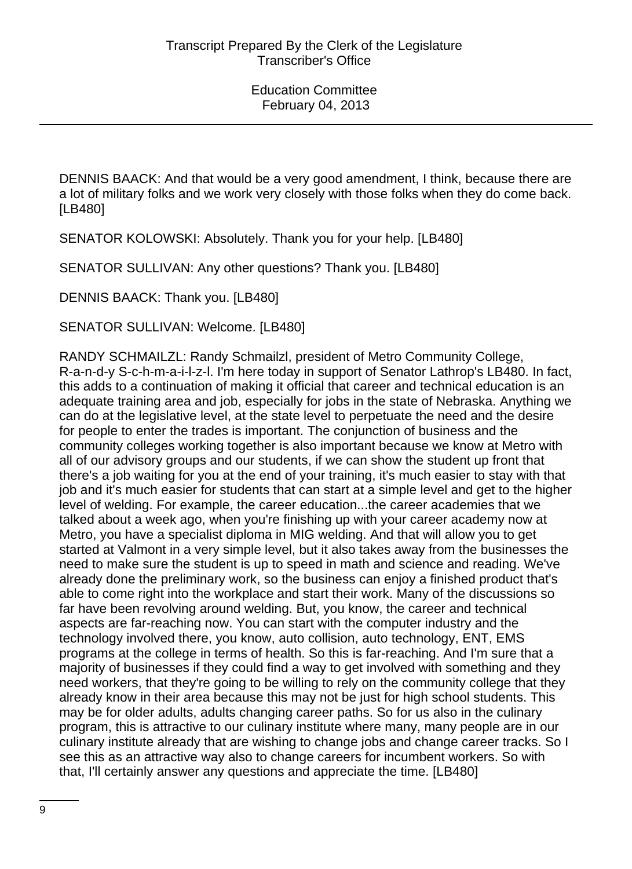DENNIS BAACK: And that would be a very good amendment, I think, because there are a lot of military folks and we work very closely with those folks when they do come back. [LB480]

SENATOR KOLOWSKI: Absolutely. Thank you for your help. [LB480]

SENATOR SULLIVAN: Any other questions? Thank you. [LB480]

DENNIS BAACK: Thank you. [LB480]

SENATOR SULLIVAN: Welcome. [LB480]

RANDY SCHMAILZL: Randy Schmailzl, president of Metro Community College, R-a-n-d-y S-c-h-m-a-i-l-z-l. I'm here today in support of Senator Lathrop's LB480. In fact, this adds to a continuation of making it official that career and technical education is an adequate training area and job, especially for jobs in the state of Nebraska. Anything we can do at the legislative level, at the state level to perpetuate the need and the desire for people to enter the trades is important. The conjunction of business and the community colleges working together is also important because we know at Metro with all of our advisory groups and our students, if we can show the student up front that there's a job waiting for you at the end of your training, it's much easier to stay with that job and it's much easier for students that can start at a simple level and get to the higher level of welding. For example, the career education...the career academies that we talked about a week ago, when you're finishing up with your career academy now at Metro, you have a specialist diploma in MIG welding. And that will allow you to get started at Valmont in a very simple level, but it also takes away from the businesses the need to make sure the student is up to speed in math and science and reading. We've already done the preliminary work, so the business can enjoy a finished product that's able to come right into the workplace and start their work. Many of the discussions so far have been revolving around welding. But, you know, the career and technical aspects are far-reaching now. You can start with the computer industry and the technology involved there, you know, auto collision, auto technology, ENT, EMS programs at the college in terms of health. So this is far-reaching. And I'm sure that a majority of businesses if they could find a way to get involved with something and they need workers, that they're going to be willing to rely on the community college that they already know in their area because this may not be just for high school students. This may be for older adults, adults changing career paths. So for us also in the culinary program, this is attractive to our culinary institute where many, many people are in our culinary institute already that are wishing to change jobs and change career tracks. So I see this as an attractive way also to change careers for incumbent workers. So with that, I'll certainly answer any questions and appreciate the time. [LB480]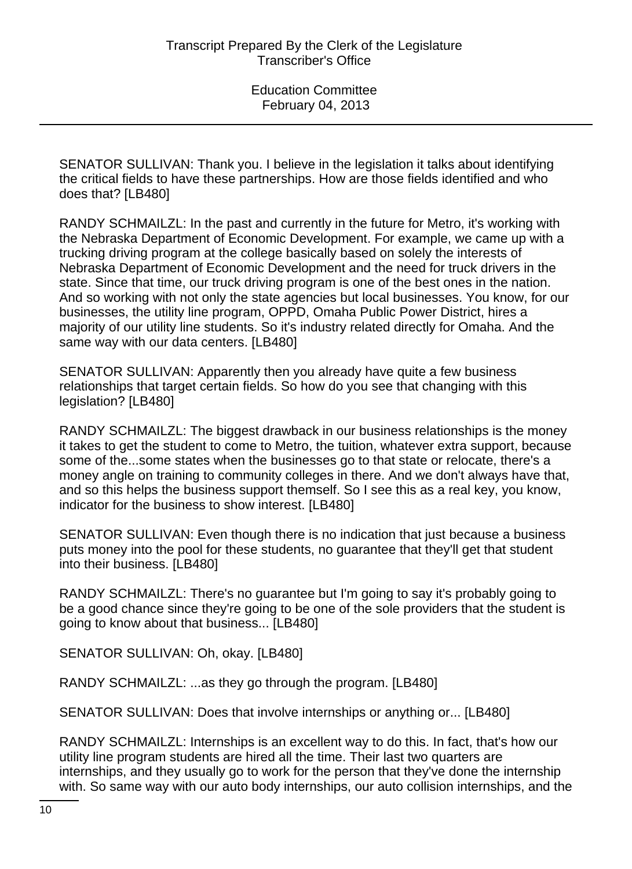SENATOR SULLIVAN: Thank you. I believe in the legislation it talks about identifying the critical fields to have these partnerships. How are those fields identified and who does that? [LB480]

RANDY SCHMAILZL: In the past and currently in the future for Metro, it's working with the Nebraska Department of Economic Development. For example, we came up with a trucking driving program at the college basically based on solely the interests of Nebraska Department of Economic Development and the need for truck drivers in the state. Since that time, our truck driving program is one of the best ones in the nation. And so working with not only the state agencies but local businesses. You know, for our businesses, the utility line program, OPPD, Omaha Public Power District, hires a majority of our utility line students. So it's industry related directly for Omaha. And the same way with our data centers. [LB480]

SENATOR SULLIVAN: Apparently then you already have quite a few business relationships that target certain fields. So how do you see that changing with this legislation? [LB480]

RANDY SCHMAILZL: The biggest drawback in our business relationships is the money it takes to get the student to come to Metro, the tuition, whatever extra support, because some of the...some states when the businesses go to that state or relocate, there's a money angle on training to community colleges in there. And we don't always have that, and so this helps the business support themself. So I see this as a real key, you know, indicator for the business to show interest. [LB480]

SENATOR SULLIVAN: Even though there is no indication that just because a business puts money into the pool for these students, no guarantee that they'll get that student into their business. [LB480]

RANDY SCHMAILZL: There's no guarantee but I'm going to say it's probably going to be a good chance since they're going to be one of the sole providers that the student is going to know about that business... [LB480]

SENATOR SULLIVAN: Oh, okay. [LB480]

RANDY SCHMAILZL: ...as they go through the program. [LB480]

SENATOR SULLIVAN: Does that involve internships or anything or... [LB480]

RANDY SCHMAILZL: Internships is an excellent way to do this. In fact, that's how our utility line program students are hired all the time. Their last two quarters are internships, and they usually go to work for the person that they've done the internship with. So same way with our auto body internships, our auto collision internships, and the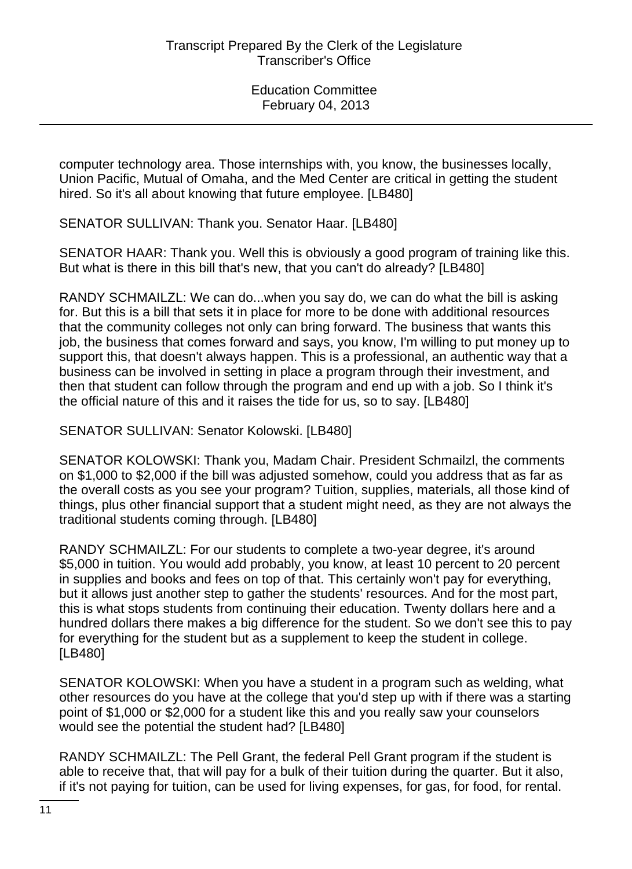computer technology area. Those internships with, you know, the businesses locally, Union Pacific, Mutual of Omaha, and the Med Center are critical in getting the student hired. So it's all about knowing that future employee. [LB480]

SENATOR SULLIVAN: Thank you. Senator Haar. [LB480]

SENATOR HAAR: Thank you. Well this is obviously a good program of training like this. But what is there in this bill that's new, that you can't do already? [LB480]

RANDY SCHMAILZL: We can do...when you say do, we can do what the bill is asking for. But this is a bill that sets it in place for more to be done with additional resources that the community colleges not only can bring forward. The business that wants this job, the business that comes forward and says, you know, I'm willing to put money up to support this, that doesn't always happen. This is a professional, an authentic way that a business can be involved in setting in place a program through their investment, and then that student can follow through the program and end up with a job. So I think it's the official nature of this and it raises the tide for us, so to say. [LB480]

SENATOR SULLIVAN: Senator Kolowski. [LB480]

SENATOR KOLOWSKI: Thank you, Madam Chair. President Schmailzl, the comments on \$1,000 to \$2,000 if the bill was adjusted somehow, could you address that as far as the overall costs as you see your program? Tuition, supplies, materials, all those kind of things, plus other financial support that a student might need, as they are not always the traditional students coming through. [LB480]

RANDY SCHMAILZL: For our students to complete a two-year degree, it's around \$5,000 in tuition. You would add probably, you know, at least 10 percent to 20 percent in supplies and books and fees on top of that. This certainly won't pay for everything, but it allows just another step to gather the students' resources. And for the most part, this is what stops students from continuing their education. Twenty dollars here and a hundred dollars there makes a big difference for the student. So we don't see this to pay for everything for the student but as a supplement to keep the student in college. [LB480]

SENATOR KOLOWSKI: When you have a student in a program such as welding, what other resources do you have at the college that you'd step up with if there was a starting point of \$1,000 or \$2,000 for a student like this and you really saw your counselors would see the potential the student had? [LB480]

RANDY SCHMAILZL: The Pell Grant, the federal Pell Grant program if the student is able to receive that, that will pay for a bulk of their tuition during the quarter. But it also, if it's not paying for tuition, can be used for living expenses, for gas, for food, for rental.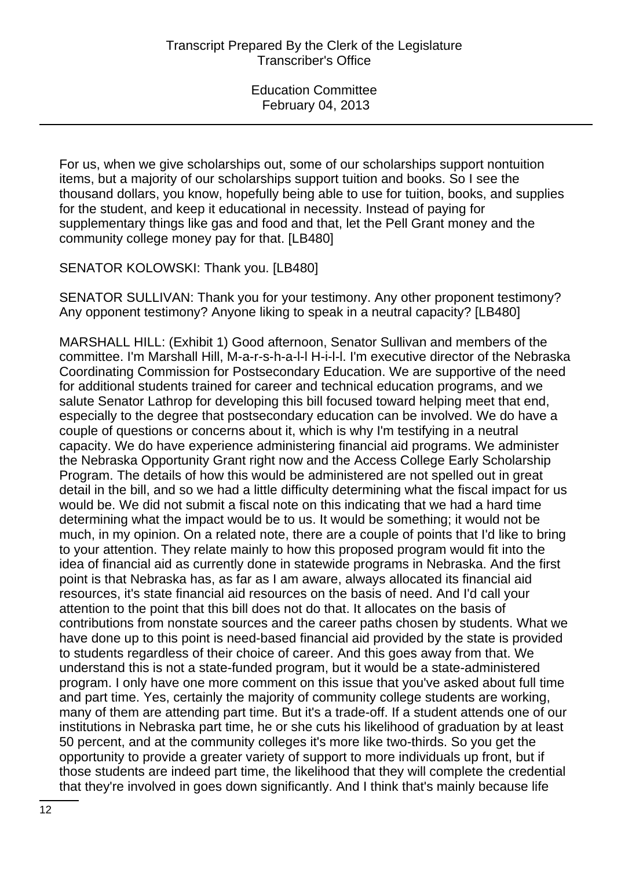For us, when we give scholarships out, some of our scholarships support nontuition items, but a majority of our scholarships support tuition and books. So I see the thousand dollars, you know, hopefully being able to use for tuition, books, and supplies for the student, and keep it educational in necessity. Instead of paying for supplementary things like gas and food and that, let the Pell Grant money and the community college money pay for that. [LB480]

SENATOR KOLOWSKI: Thank you. [LB480]

SENATOR SULLIVAN: Thank you for your testimony. Any other proponent testimony? Any opponent testimony? Anyone liking to speak in a neutral capacity? [LB480]

MARSHALL HILL: (Exhibit 1) Good afternoon, Senator Sullivan and members of the committee. I'm Marshall Hill, M-a-r-s-h-a-l-l H-i-l-l. I'm executive director of the Nebraska Coordinating Commission for Postsecondary Education. We are supportive of the need for additional students trained for career and technical education programs, and we salute Senator Lathrop for developing this bill focused toward helping meet that end, especially to the degree that postsecondary education can be involved. We do have a couple of questions or concerns about it, which is why I'm testifying in a neutral capacity. We do have experience administering financial aid programs. We administer the Nebraska Opportunity Grant right now and the Access College Early Scholarship Program. The details of how this would be administered are not spelled out in great detail in the bill, and so we had a little difficulty determining what the fiscal impact for us would be. We did not submit a fiscal note on this indicating that we had a hard time determining what the impact would be to us. It would be something; it would not be much, in my opinion. On a related note, there are a couple of points that I'd like to bring to your attention. They relate mainly to how this proposed program would fit into the idea of financial aid as currently done in statewide programs in Nebraska. And the first point is that Nebraska has, as far as I am aware, always allocated its financial aid resources, it's state financial aid resources on the basis of need. And I'd call your attention to the point that this bill does not do that. It allocates on the basis of contributions from nonstate sources and the career paths chosen by students. What we have done up to this point is need-based financial aid provided by the state is provided to students regardless of their choice of career. And this goes away from that. We understand this is not a state-funded program, but it would be a state-administered program. I only have one more comment on this issue that you've asked about full time and part time. Yes, certainly the majority of community college students are working, many of them are attending part time. But it's a trade-off. If a student attends one of our institutions in Nebraska part time, he or she cuts his likelihood of graduation by at least 50 percent, and at the community colleges it's more like two-thirds. So you get the opportunity to provide a greater variety of support to more individuals up front, but if those students are indeed part time, the likelihood that they will complete the credential that they're involved in goes down significantly. And I think that's mainly because life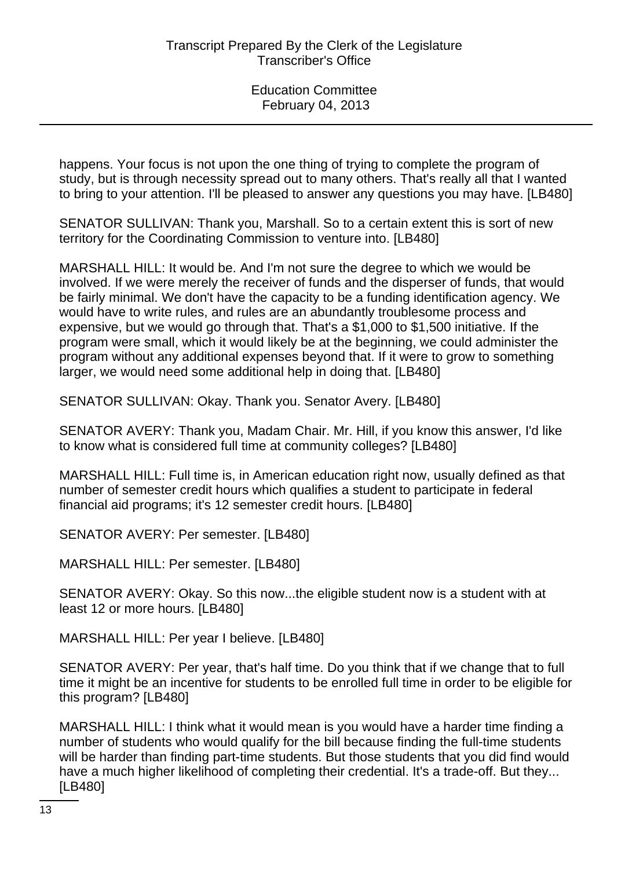happens. Your focus is not upon the one thing of trying to complete the program of study, but is through necessity spread out to many others. That's really all that I wanted to bring to your attention. I'll be pleased to answer any questions you may have. [LB480]

SENATOR SULLIVAN: Thank you, Marshall. So to a certain extent this is sort of new territory for the Coordinating Commission to venture into. [LB480]

MARSHALL HILL: It would be. And I'm not sure the degree to which we would be involved. If we were merely the receiver of funds and the disperser of funds, that would be fairly minimal. We don't have the capacity to be a funding identification agency. We would have to write rules, and rules are an abundantly troublesome process and expensive, but we would go through that. That's a \$1,000 to \$1,500 initiative. If the program were small, which it would likely be at the beginning, we could administer the program without any additional expenses beyond that. If it were to grow to something larger, we would need some additional help in doing that. [LB480]

SENATOR SULLIVAN: Okay. Thank you. Senator Avery. [LB480]

SENATOR AVERY: Thank you, Madam Chair. Mr. Hill, if you know this answer, I'd like to know what is considered full time at community colleges? [LB480]

MARSHALL HILL: Full time is, in American education right now, usually defined as that number of semester credit hours which qualifies a student to participate in federal financial aid programs; it's 12 semester credit hours. [LB480]

SENATOR AVERY: Per semester. [LB480]

MARSHALL HILL: Per semester. [LB480]

SENATOR AVERY: Okay. So this now...the eligible student now is a student with at least 12 or more hours. [LB480]

MARSHALL HILL: Per year I believe. [LB480]

SENATOR AVERY: Per year, that's half time. Do you think that if we change that to full time it might be an incentive for students to be enrolled full time in order to be eligible for this program? [LB480]

MARSHALL HILL: I think what it would mean is you would have a harder time finding a number of students who would qualify for the bill because finding the full-time students will be harder than finding part-time students. But those students that you did find would have a much higher likelihood of completing their credential. It's a trade-off. But they... [LB480]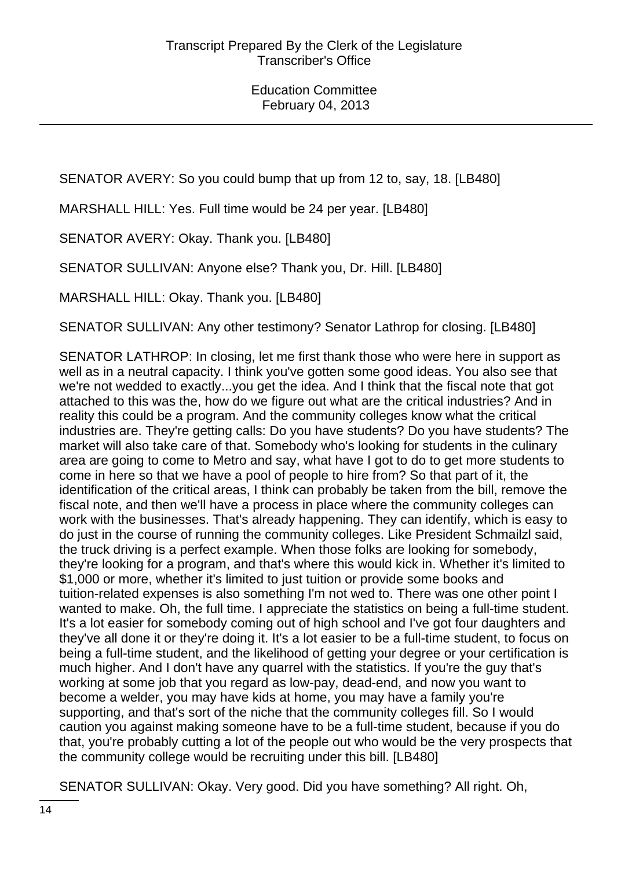SENATOR AVERY: So you could bump that up from 12 to, say, 18. [LB480]

MARSHALL HILL: Yes. Full time would be 24 per year. [LB480]

SENATOR AVERY: Okay. Thank you. [LB480]

SENATOR SULLIVAN: Anyone else? Thank you, Dr. Hill. [LB480]

MARSHALL HILL: Okay. Thank you. [LB480]

SENATOR SULLIVAN: Any other testimony? Senator Lathrop for closing. [LB480]

SENATOR LATHROP: In closing, let me first thank those who were here in support as well as in a neutral capacity. I think you've gotten some good ideas. You also see that we're not wedded to exactly...you get the idea. And I think that the fiscal note that got attached to this was the, how do we figure out what are the critical industries? And in reality this could be a program. And the community colleges know what the critical industries are. They're getting calls: Do you have students? Do you have students? The market will also take care of that. Somebody who's looking for students in the culinary area are going to come to Metro and say, what have I got to do to get more students to come in here so that we have a pool of people to hire from? So that part of it, the identification of the critical areas, I think can probably be taken from the bill, remove the fiscal note, and then we'll have a process in place where the community colleges can work with the businesses. That's already happening. They can identify, which is easy to do just in the course of running the community colleges. Like President Schmailzl said, the truck driving is a perfect example. When those folks are looking for somebody, they're looking for a program, and that's where this would kick in. Whether it's limited to \$1,000 or more, whether it's limited to just tuition or provide some books and tuition-related expenses is also something I'm not wed to. There was one other point I wanted to make. Oh, the full time. I appreciate the statistics on being a full-time student. It's a lot easier for somebody coming out of high school and I've got four daughters and they've all done it or they're doing it. It's a lot easier to be a full-time student, to focus on being a full-time student, and the likelihood of getting your degree or your certification is much higher. And I don't have any quarrel with the statistics. If you're the guy that's working at some job that you regard as low-pay, dead-end, and now you want to become a welder, you may have kids at home, you may have a family you're supporting, and that's sort of the niche that the community colleges fill. So I would caution you against making someone have to be a full-time student, because if you do that, you're probably cutting a lot of the people out who would be the very prospects that the community college would be recruiting under this bill. [LB480]

SENATOR SULLIVAN: Okay. Very good. Did you have something? All right. Oh,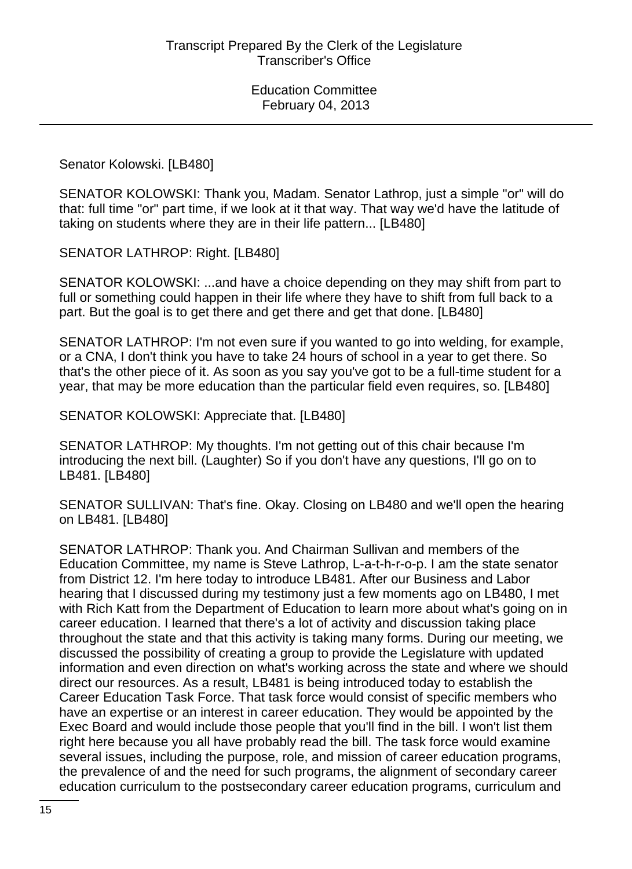Senator Kolowski. [LB480]

SENATOR KOLOWSKI: Thank you, Madam. Senator Lathrop, just a simple "or" will do that: full time "or" part time, if we look at it that way. That way we'd have the latitude of taking on students where they are in their life pattern... [LB480]

SENATOR LATHROP: Right. [LB480]

SENATOR KOLOWSKI: ...and have a choice depending on they may shift from part to full or something could happen in their life where they have to shift from full back to a part. But the goal is to get there and get there and get that done. [LB480]

SENATOR LATHROP: I'm not even sure if you wanted to go into welding, for example, or a CNA, I don't think you have to take 24 hours of school in a year to get there. So that's the other piece of it. As soon as you say you've got to be a full-time student for a year, that may be more education than the particular field even requires, so. [LB480]

SENATOR KOLOWSKI: Appreciate that. [LB480]

SENATOR LATHROP: My thoughts. I'm not getting out of this chair because I'm introducing the next bill. (Laughter) So if you don't have any questions, I'll go on to LB481. [LB480]

SENATOR SULLIVAN: That's fine. Okay. Closing on LB480 and we'll open the hearing on LB481. [LB480]

SENATOR LATHROP: Thank you. And Chairman Sullivan and members of the Education Committee, my name is Steve Lathrop, L-a-t-h-r-o-p. I am the state senator from District 12. I'm here today to introduce LB481. After our Business and Labor hearing that I discussed during my testimony just a few moments ago on LB480, I met with Rich Katt from the Department of Education to learn more about what's going on in career education. I learned that there's a lot of activity and discussion taking place throughout the state and that this activity is taking many forms. During our meeting, we discussed the possibility of creating a group to provide the Legislature with updated information and even direction on what's working across the state and where we should direct our resources. As a result, LB481 is being introduced today to establish the Career Education Task Force. That task force would consist of specific members who have an expertise or an interest in career education. They would be appointed by the Exec Board and would include those people that you'll find in the bill. I won't list them right here because you all have probably read the bill. The task force would examine several issues, including the purpose, role, and mission of career education programs, the prevalence of and the need for such programs, the alignment of secondary career education curriculum to the postsecondary career education programs, curriculum and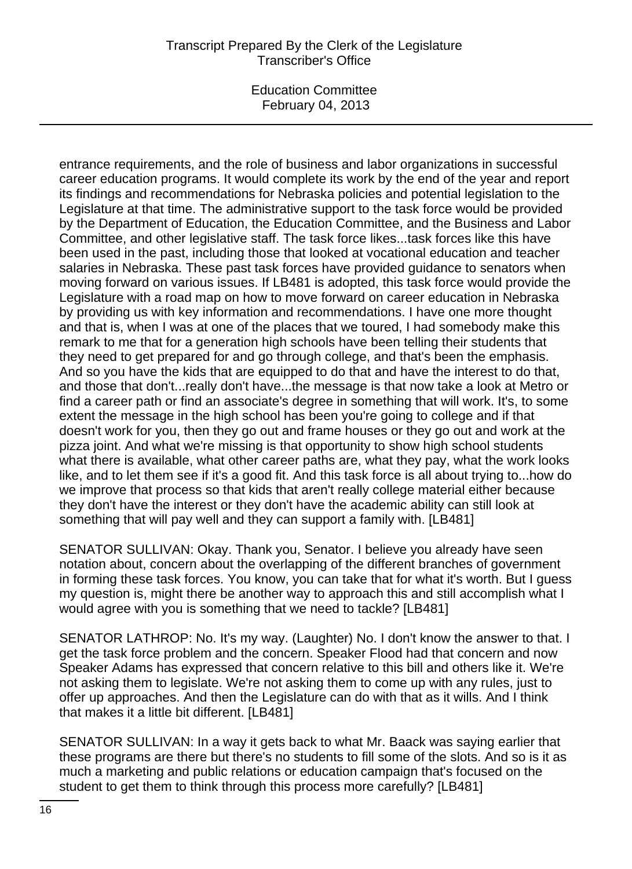# Transcript Prepared By the Clerk of the Legislature Transcriber's Office

Education Committee February 04, 2013

entrance requirements, and the role of business and labor organizations in successful career education programs. It would complete its work by the end of the year and report its findings and recommendations for Nebraska policies and potential legislation to the Legislature at that time. The administrative support to the task force would be provided by the Department of Education, the Education Committee, and the Business and Labor Committee, and other legislative staff. The task force likes...task forces like this have been used in the past, including those that looked at vocational education and teacher salaries in Nebraska. These past task forces have provided guidance to senators when moving forward on various issues. If LB481 is adopted, this task force would provide the Legislature with a road map on how to move forward on career education in Nebraska by providing us with key information and recommendations. I have one more thought and that is, when I was at one of the places that we toured, I had somebody make this remark to me that for a generation high schools have been telling their students that they need to get prepared for and go through college, and that's been the emphasis. And so you have the kids that are equipped to do that and have the interest to do that, and those that don't...really don't have...the message is that now take a look at Metro or find a career path or find an associate's degree in something that will work. It's, to some extent the message in the high school has been you're going to college and if that doesn't work for you, then they go out and frame houses or they go out and work at the pizza joint. And what we're missing is that opportunity to show high school students what there is available, what other career paths are, what they pay, what the work looks like, and to let them see if it's a good fit. And this task force is all about trying to...how do we improve that process so that kids that aren't really college material either because they don't have the interest or they don't have the academic ability can still look at something that will pay well and they can support a family with. [LB481]

SENATOR SULLIVAN: Okay. Thank you, Senator. I believe you already have seen notation about, concern about the overlapping of the different branches of government in forming these task forces. You know, you can take that for what it's worth. But I guess my question is, might there be another way to approach this and still accomplish what I would agree with you is something that we need to tackle? [LB481]

SENATOR LATHROP: No. It's my way. (Laughter) No. I don't know the answer to that. I get the task force problem and the concern. Speaker Flood had that concern and now Speaker Adams has expressed that concern relative to this bill and others like it. We're not asking them to legislate. We're not asking them to come up with any rules, just to offer up approaches. And then the Legislature can do with that as it wills. And I think that makes it a little bit different. [LB481]

SENATOR SULLIVAN: In a way it gets back to what Mr. Baack was saying earlier that these programs are there but there's no students to fill some of the slots. And so is it as much a marketing and public relations or education campaign that's focused on the student to get them to think through this process more carefully? [LB481]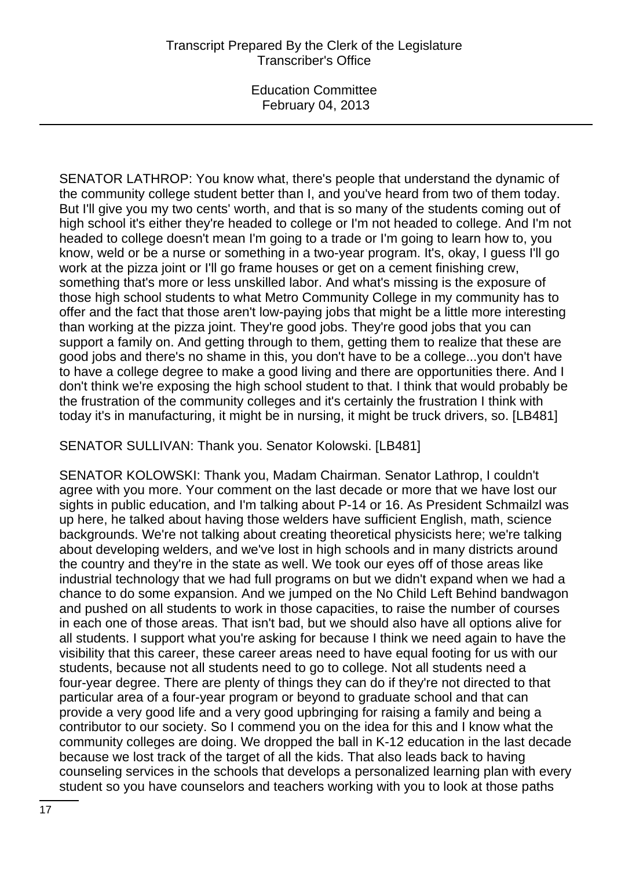SENATOR LATHROP: You know what, there's people that understand the dynamic of the community college student better than I, and you've heard from two of them today. But I'll give you my two cents' worth, and that is so many of the students coming out of high school it's either they're headed to college or I'm not headed to college. And I'm not headed to college doesn't mean I'm going to a trade or I'm going to learn how to, you know, weld or be a nurse or something in a two-year program. It's, okay, I guess I'll go work at the pizza joint or I'll go frame houses or get on a cement finishing crew, something that's more or less unskilled labor. And what's missing is the exposure of those high school students to what Metro Community College in my community has to offer and the fact that those aren't low-paying jobs that might be a little more interesting than working at the pizza joint. They're good jobs. They're good jobs that you can support a family on. And getting through to them, getting them to realize that these are good jobs and there's no shame in this, you don't have to be a college...you don't have to have a college degree to make a good living and there are opportunities there. And I don't think we're exposing the high school student to that. I think that would probably be the frustration of the community colleges and it's certainly the frustration I think with today it's in manufacturing, it might be in nursing, it might be truck drivers, so. [LB481]

SENATOR SULLIVAN: Thank you. Senator Kolowski. [LB481]

SENATOR KOLOWSKI: Thank you, Madam Chairman. Senator Lathrop, I couldn't agree with you more. Your comment on the last decade or more that we have lost our sights in public education, and I'm talking about P-14 or 16. As President Schmailzl was up here, he talked about having those welders have sufficient English, math, science backgrounds. We're not talking about creating theoretical physicists here; we're talking about developing welders, and we've lost in high schools and in many districts around the country and they're in the state as well. We took our eyes off of those areas like industrial technology that we had full programs on but we didn't expand when we had a chance to do some expansion. And we jumped on the No Child Left Behind bandwagon and pushed on all students to work in those capacities, to raise the number of courses in each one of those areas. That isn't bad, but we should also have all options alive for all students. I support what you're asking for because I think we need again to have the visibility that this career, these career areas need to have equal footing for us with our students, because not all students need to go to college. Not all students need a four-year degree. There are plenty of things they can do if they're not directed to that particular area of a four-year program or beyond to graduate school and that can provide a very good life and a very good upbringing for raising a family and being a contributor to our society. So I commend you on the idea for this and I know what the community colleges are doing. We dropped the ball in K-12 education in the last decade because we lost track of the target of all the kids. That also leads back to having counseling services in the schools that develops a personalized learning plan with every student so you have counselors and teachers working with you to look at those paths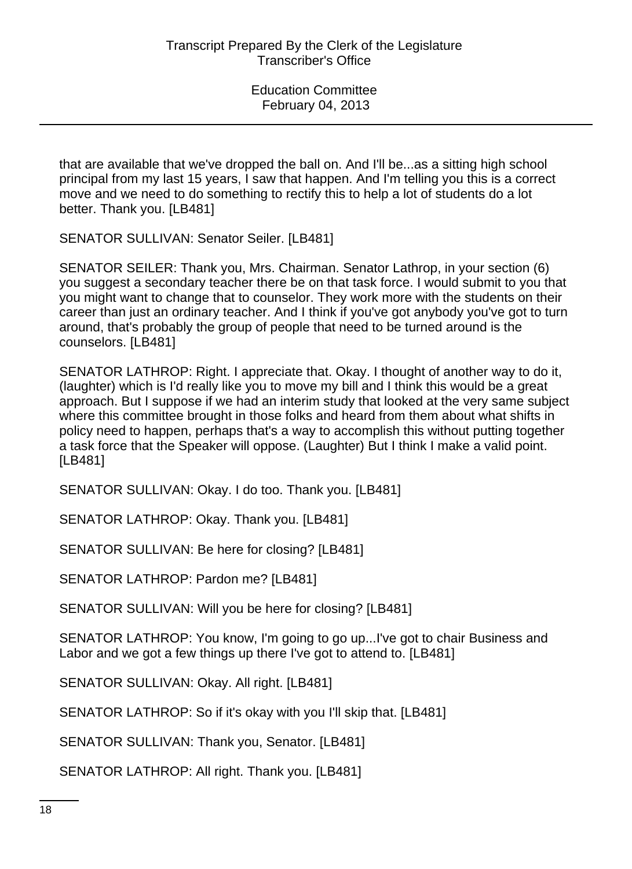that are available that we've dropped the ball on. And I'll be...as a sitting high school principal from my last 15 years, I saw that happen. And I'm telling you this is a correct move and we need to do something to rectify this to help a lot of students do a lot better. Thank you. [LB481]

SENATOR SULLIVAN: Senator Seiler. [LB481]

SENATOR SEILER: Thank you, Mrs. Chairman. Senator Lathrop, in your section (6) you suggest a secondary teacher there be on that task force. I would submit to you that you might want to change that to counselor. They work more with the students on their career than just an ordinary teacher. And I think if you've got anybody you've got to turn around, that's probably the group of people that need to be turned around is the counselors. [LB481]

SENATOR LATHROP: Right. I appreciate that. Okay. I thought of another way to do it, (laughter) which is I'd really like you to move my bill and I think this would be a great approach. But I suppose if we had an interim study that looked at the very same subject where this committee brought in those folks and heard from them about what shifts in policy need to happen, perhaps that's a way to accomplish this without putting together a task force that the Speaker will oppose. (Laughter) But I think I make a valid point. [LB481]

SENATOR SULLIVAN: Okay. I do too. Thank you. [LB481]

SENATOR LATHROP: Okay. Thank you. [LB481]

SENATOR SULLIVAN: Be here for closing? [LB481]

SENATOR LATHROP: Pardon me? [LB481]

SENATOR SULLIVAN: Will you be here for closing? [LB481]

SENATOR LATHROP: You know, I'm going to go up...I've got to chair Business and Labor and we got a few things up there I've got to attend to. [LB481]

SENATOR SULLIVAN: Okay. All right. [LB481]

SENATOR LATHROP: So if it's okay with you I'll skip that. [LB481]

SENATOR SULLIVAN: Thank you, Senator. [LB481]

SENATOR LATHROP: All right. Thank you. [LB481]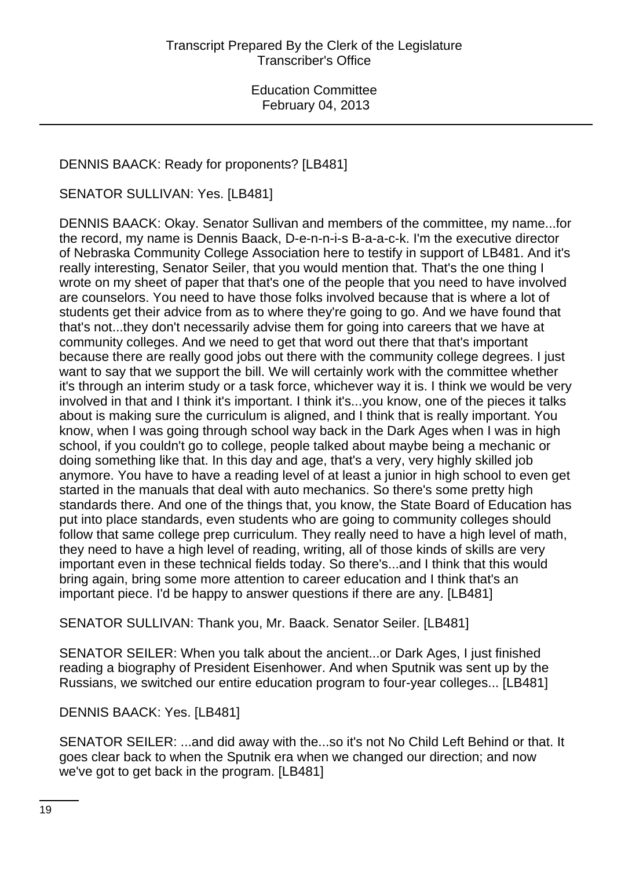# DENNIS BAACK: Ready for proponents? [LB481]

SENATOR SULLIVAN: Yes. [LB481]

DENNIS BAACK: Okay. Senator Sullivan and members of the committee, my name...for the record, my name is Dennis Baack, D-e-n-n-i-s B-a-a-c-k. I'm the executive director of Nebraska Community College Association here to testify in support of LB481. And it's really interesting, Senator Seiler, that you would mention that. That's the one thing I wrote on my sheet of paper that that's one of the people that you need to have involved are counselors. You need to have those folks involved because that is where a lot of students get their advice from as to where they're going to go. And we have found that that's not...they don't necessarily advise them for going into careers that we have at community colleges. And we need to get that word out there that that's important because there are really good jobs out there with the community college degrees. I just want to say that we support the bill. We will certainly work with the committee whether it's through an interim study or a task force, whichever way it is. I think we would be very involved in that and I think it's important. I think it's...you know, one of the pieces it talks about is making sure the curriculum is aligned, and I think that is really important. You know, when I was going through school way back in the Dark Ages when I was in high school, if you couldn't go to college, people talked about maybe being a mechanic or doing something like that. In this day and age, that's a very, very highly skilled job anymore. You have to have a reading level of at least a junior in high school to even get started in the manuals that deal with auto mechanics. So there's some pretty high standards there. And one of the things that, you know, the State Board of Education has put into place standards, even students who are going to community colleges should follow that same college prep curriculum. They really need to have a high level of math, they need to have a high level of reading, writing, all of those kinds of skills are very important even in these technical fields today. So there's...and I think that this would bring again, bring some more attention to career education and I think that's an important piece. I'd be happy to answer questions if there are any. [LB481]

SENATOR SULLIVAN: Thank you, Mr. Baack. Senator Seiler. [LB481]

SENATOR SEILER: When you talk about the ancient...or Dark Ages, I just finished reading a biography of President Eisenhower. And when Sputnik was sent up by the Russians, we switched our entire education program to four-year colleges... [LB481]

DENNIS BAACK: Yes. [LB481]

SENATOR SEILER: ...and did away with the...so it's not No Child Left Behind or that. It goes clear back to when the Sputnik era when we changed our direction; and now we've got to get back in the program. [LB481]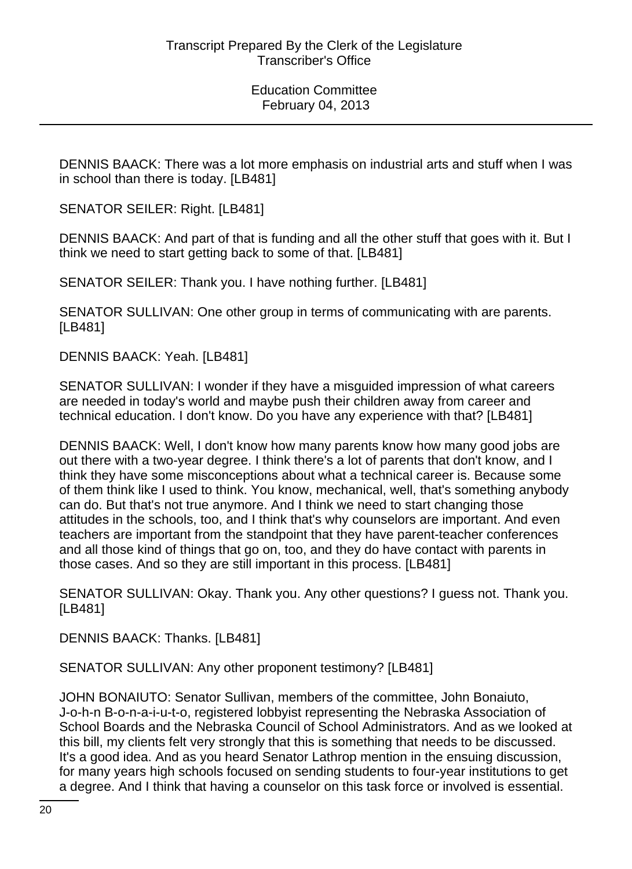DENNIS BAACK: There was a lot more emphasis on industrial arts and stuff when I was in school than there is today. [LB481]

SENATOR SEILER: Right. [LB481]

DENNIS BAACK: And part of that is funding and all the other stuff that goes with it. But I think we need to start getting back to some of that. [LB481]

SENATOR SEILER: Thank you. I have nothing further. [LB481]

SENATOR SULLIVAN: One other group in terms of communicating with are parents. [LB481]

DENNIS BAACK: Yeah. [LB481]

SENATOR SULLIVAN: I wonder if they have a misguided impression of what careers are needed in today's world and maybe push their children away from career and technical education. I don't know. Do you have any experience with that? [LB481]

DENNIS BAACK: Well, I don't know how many parents know how many good jobs are out there with a two-year degree. I think there's a lot of parents that don't know, and I think they have some misconceptions about what a technical career is. Because some of them think like I used to think. You know, mechanical, well, that's something anybody can do. But that's not true anymore. And I think we need to start changing those attitudes in the schools, too, and I think that's why counselors are important. And even teachers are important from the standpoint that they have parent-teacher conferences and all those kind of things that go on, too, and they do have contact with parents in those cases. And so they are still important in this process. [LB481]

SENATOR SULLIVAN: Okay. Thank you. Any other questions? I guess not. Thank you. [LB481]

DENNIS BAACK: Thanks. [LB481]

SENATOR SULLIVAN: Any other proponent testimony? [LB481]

JOHN BONAIUTO: Senator Sullivan, members of the committee, John Bonaiuto, J-o-h-n B-o-n-a-i-u-t-o, registered lobbyist representing the Nebraska Association of School Boards and the Nebraska Council of School Administrators. And as we looked at this bill, my clients felt very strongly that this is something that needs to be discussed. It's a good idea. And as you heard Senator Lathrop mention in the ensuing discussion, for many years high schools focused on sending students to four-year institutions to get a degree. And I think that having a counselor on this task force or involved is essential.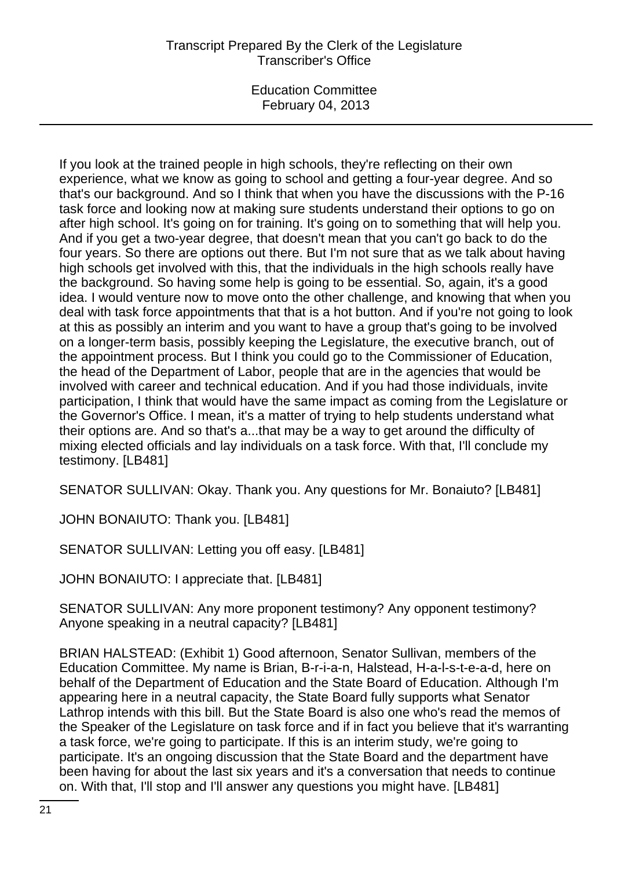# Transcript Prepared By the Clerk of the Legislature Transcriber's Office

Education Committee February 04, 2013

If you look at the trained people in high schools, they're reflecting on their own experience, what we know as going to school and getting a four-year degree. And so that's our background. And so I think that when you have the discussions with the P-16 task force and looking now at making sure students understand their options to go on after high school. It's going on for training. It's going on to something that will help you. And if you get a two-year degree, that doesn't mean that you can't go back to do the four years. So there are options out there. But I'm not sure that as we talk about having high schools get involved with this, that the individuals in the high schools really have the background. So having some help is going to be essential. So, again, it's a good idea. I would venture now to move onto the other challenge, and knowing that when you deal with task force appointments that that is a hot button. And if you're not going to look at this as possibly an interim and you want to have a group that's going to be involved on a longer-term basis, possibly keeping the Legislature, the executive branch, out of the appointment process. But I think you could go to the Commissioner of Education, the head of the Department of Labor, people that are in the agencies that would be involved with career and technical education. And if you had those individuals, invite participation, I think that would have the same impact as coming from the Legislature or the Governor's Office. I mean, it's a matter of trying to help students understand what their options are. And so that's a...that may be a way to get around the difficulty of mixing elected officials and lay individuals on a task force. With that, I'll conclude my testimony. [LB481]

SENATOR SULLIVAN: Okay. Thank you. Any questions for Mr. Bonaiuto? [LB481]

JOHN BONAIUTO: Thank you. [LB481]

SENATOR SULLIVAN: Letting you off easy. [LB481]

JOHN BONAIUTO: I appreciate that. [LB481]

SENATOR SULLIVAN: Any more proponent testimony? Any opponent testimony? Anyone speaking in a neutral capacity? [LB481]

BRIAN HALSTEAD: (Exhibit 1) Good afternoon, Senator Sullivan, members of the Education Committee. My name is Brian, B-r-i-a-n, Halstead, H-a-l-s-t-e-a-d, here on behalf of the Department of Education and the State Board of Education. Although I'm appearing here in a neutral capacity, the State Board fully supports what Senator Lathrop intends with this bill. But the State Board is also one who's read the memos of the Speaker of the Legislature on task force and if in fact you believe that it's warranting a task force, we're going to participate. If this is an interim study, we're going to participate. It's an ongoing discussion that the State Board and the department have been having for about the last six years and it's a conversation that needs to continue on. With that, I'll stop and I'll answer any questions you might have. [LB481]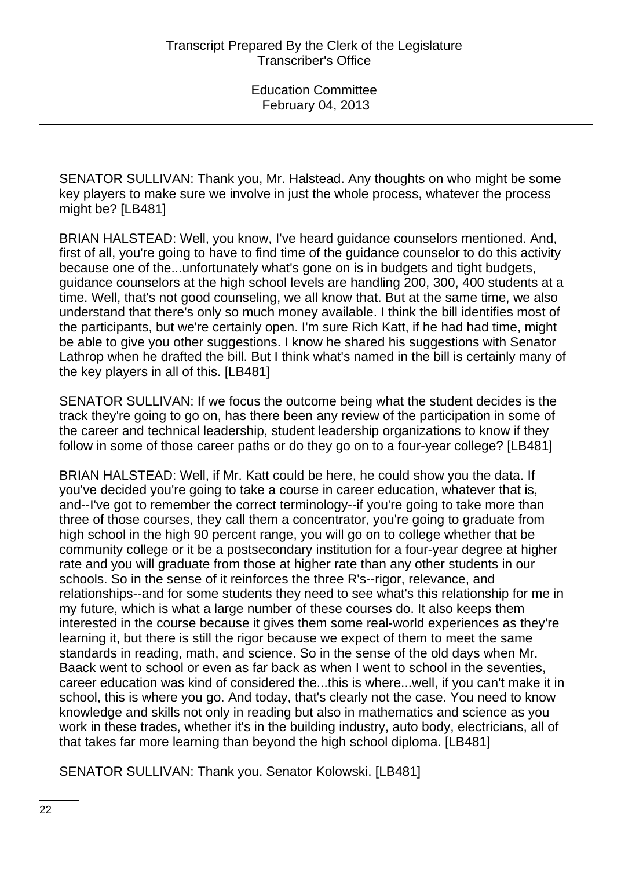SENATOR SULLIVAN: Thank you, Mr. Halstead. Any thoughts on who might be some key players to make sure we involve in just the whole process, whatever the process might be? [LB481]

BRIAN HALSTEAD: Well, you know, I've heard guidance counselors mentioned. And, first of all, you're going to have to find time of the guidance counselor to do this activity because one of the...unfortunately what's gone on is in budgets and tight budgets, guidance counselors at the high school levels are handling 200, 300, 400 students at a time. Well, that's not good counseling, we all know that. But at the same time, we also understand that there's only so much money available. I think the bill identifies most of the participants, but we're certainly open. I'm sure Rich Katt, if he had had time, might be able to give you other suggestions. I know he shared his suggestions with Senator Lathrop when he drafted the bill. But I think what's named in the bill is certainly many of the key players in all of this. [LB481]

SENATOR SULLIVAN: If we focus the outcome being what the student decides is the track they're going to go on, has there been any review of the participation in some of the career and technical leadership, student leadership organizations to know if they follow in some of those career paths or do they go on to a four-year college? [LB481]

BRIAN HALSTEAD: Well, if Mr. Katt could be here, he could show you the data. If you've decided you're going to take a course in career education, whatever that is, and--I've got to remember the correct terminology--if you're going to take more than three of those courses, they call them a concentrator, you're going to graduate from high school in the high 90 percent range, you will go on to college whether that be community college or it be a postsecondary institution for a four-year degree at higher rate and you will graduate from those at higher rate than any other students in our schools. So in the sense of it reinforces the three R's--rigor, relevance, and relationships--and for some students they need to see what's this relationship for me in my future, which is what a large number of these courses do. It also keeps them interested in the course because it gives them some real-world experiences as they're learning it, but there is still the rigor because we expect of them to meet the same standards in reading, math, and science. So in the sense of the old days when Mr. Baack went to school or even as far back as when I went to school in the seventies, career education was kind of considered the...this is where...well, if you can't make it in school, this is where you go. And today, that's clearly not the case. You need to know knowledge and skills not only in reading but also in mathematics and science as you work in these trades, whether it's in the building industry, auto body, electricians, all of that takes far more learning than beyond the high school diploma. [LB481]

SENATOR SULLIVAN: Thank you. Senator Kolowski. [LB481]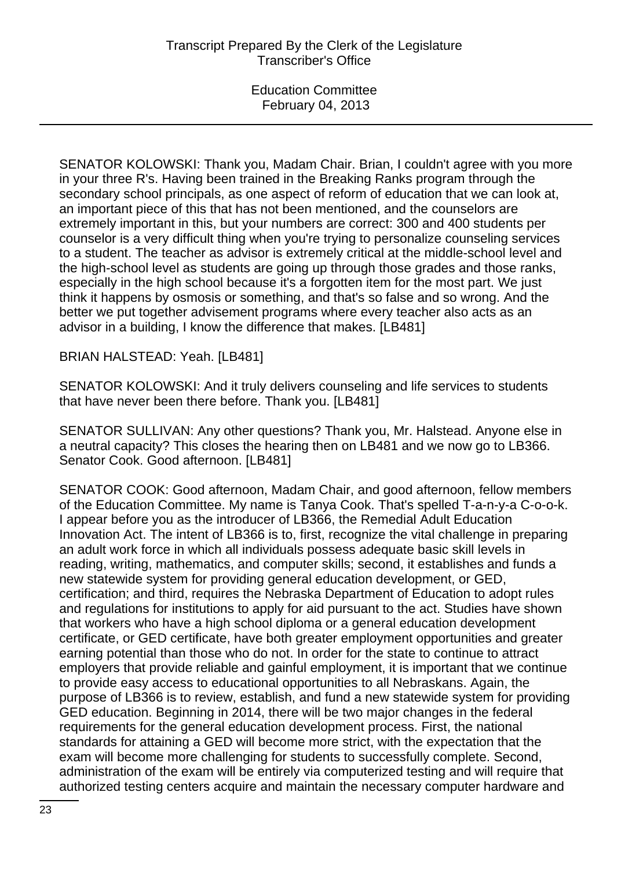SENATOR KOLOWSKI: Thank you, Madam Chair. Brian, I couldn't agree with you more in your three R's. Having been trained in the Breaking Ranks program through the secondary school principals, as one aspect of reform of education that we can look at, an important piece of this that has not been mentioned, and the counselors are extremely important in this, but your numbers are correct: 300 and 400 students per counselor is a very difficult thing when you're trying to personalize counseling services to a student. The teacher as advisor is extremely critical at the middle-school level and the high-school level as students are going up through those grades and those ranks, especially in the high school because it's a forgotten item for the most part. We just think it happens by osmosis or something, and that's so false and so wrong. And the better we put together advisement programs where every teacher also acts as an advisor in a building, I know the difference that makes. [LB481]

BRIAN HALSTEAD: Yeah. [LB481]

SENATOR KOLOWSKI: And it truly delivers counseling and life services to students that have never been there before. Thank you. [LB481]

SENATOR SULLIVAN: Any other questions? Thank you, Mr. Halstead. Anyone else in a neutral capacity? This closes the hearing then on LB481 and we now go to LB366. Senator Cook. Good afternoon. [LB481]

SENATOR COOK: Good afternoon, Madam Chair, and good afternoon, fellow members of the Education Committee. My name is Tanya Cook. That's spelled T-a-n-y-a C-o-o-k. I appear before you as the introducer of LB366, the Remedial Adult Education Innovation Act. The intent of LB366 is to, first, recognize the vital challenge in preparing an adult work force in which all individuals possess adequate basic skill levels in reading, writing, mathematics, and computer skills; second, it establishes and funds a new statewide system for providing general education development, or GED, certification; and third, requires the Nebraska Department of Education to adopt rules and regulations for institutions to apply for aid pursuant to the act. Studies have shown that workers who have a high school diploma or a general education development certificate, or GED certificate, have both greater employment opportunities and greater earning potential than those who do not. In order for the state to continue to attract employers that provide reliable and gainful employment, it is important that we continue to provide easy access to educational opportunities to all Nebraskans. Again, the purpose of LB366 is to review, establish, and fund a new statewide system for providing GED education. Beginning in 2014, there will be two major changes in the federal requirements for the general education development process. First, the national standards for attaining a GED will become more strict, with the expectation that the exam will become more challenging for students to successfully complete. Second, administration of the exam will be entirely via computerized testing and will require that authorized testing centers acquire and maintain the necessary computer hardware and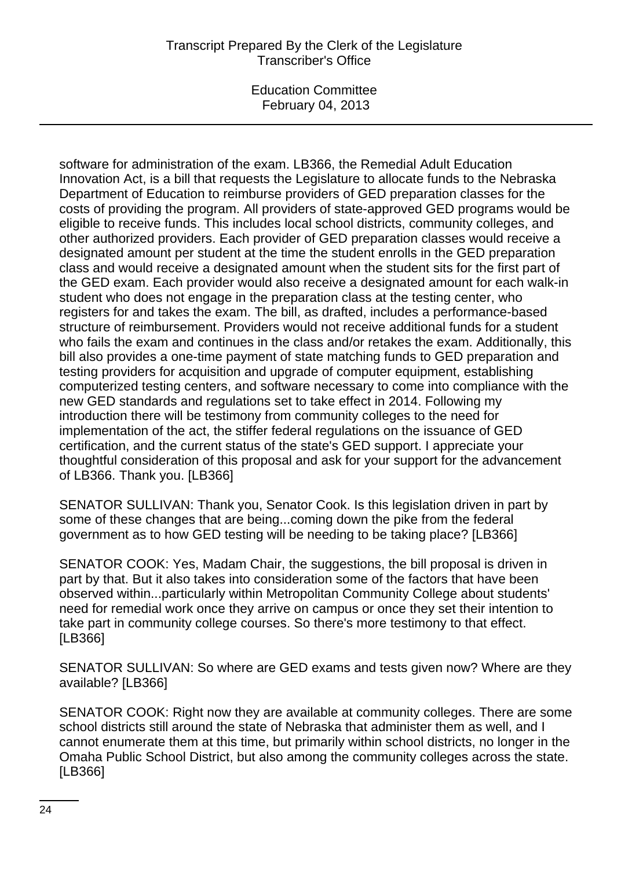# Transcript Prepared By the Clerk of the Legislature Transcriber's Office

Education Committee February 04, 2013

software for administration of the exam. LB366, the Remedial Adult Education Innovation Act, is a bill that requests the Legislature to allocate funds to the Nebraska Department of Education to reimburse providers of GED preparation classes for the costs of providing the program. All providers of state-approved GED programs would be eligible to receive funds. This includes local school districts, community colleges, and other authorized providers. Each provider of GED preparation classes would receive a designated amount per student at the time the student enrolls in the GED preparation class and would receive a designated amount when the student sits for the first part of the GED exam. Each provider would also receive a designated amount for each walk-in student who does not engage in the preparation class at the testing center, who registers for and takes the exam. The bill, as drafted, includes a performance-based structure of reimbursement. Providers would not receive additional funds for a student who fails the exam and continues in the class and/or retakes the exam. Additionally, this bill also provides a one-time payment of state matching funds to GED preparation and testing providers for acquisition and upgrade of computer equipment, establishing computerized testing centers, and software necessary to come into compliance with the new GED standards and regulations set to take effect in 2014. Following my introduction there will be testimony from community colleges to the need for implementation of the act, the stiffer federal regulations on the issuance of GED certification, and the current status of the state's GED support. I appreciate your thoughtful consideration of this proposal and ask for your support for the advancement of LB366. Thank you. [LB366]

SENATOR SULLIVAN: Thank you, Senator Cook. Is this legislation driven in part by some of these changes that are being...coming down the pike from the federal government as to how GED testing will be needing to be taking place? [LB366]

SENATOR COOK: Yes, Madam Chair, the suggestions, the bill proposal is driven in part by that. But it also takes into consideration some of the factors that have been observed within...particularly within Metropolitan Community College about students' need for remedial work once they arrive on campus or once they set their intention to take part in community college courses. So there's more testimony to that effect. [LB366]

SENATOR SULLIVAN: So where are GED exams and tests given now? Where are they available? [LB366]

SENATOR COOK: Right now they are available at community colleges. There are some school districts still around the state of Nebraska that administer them as well, and I cannot enumerate them at this time, but primarily within school districts, no longer in the Omaha Public School District, but also among the community colleges across the state. [LB366]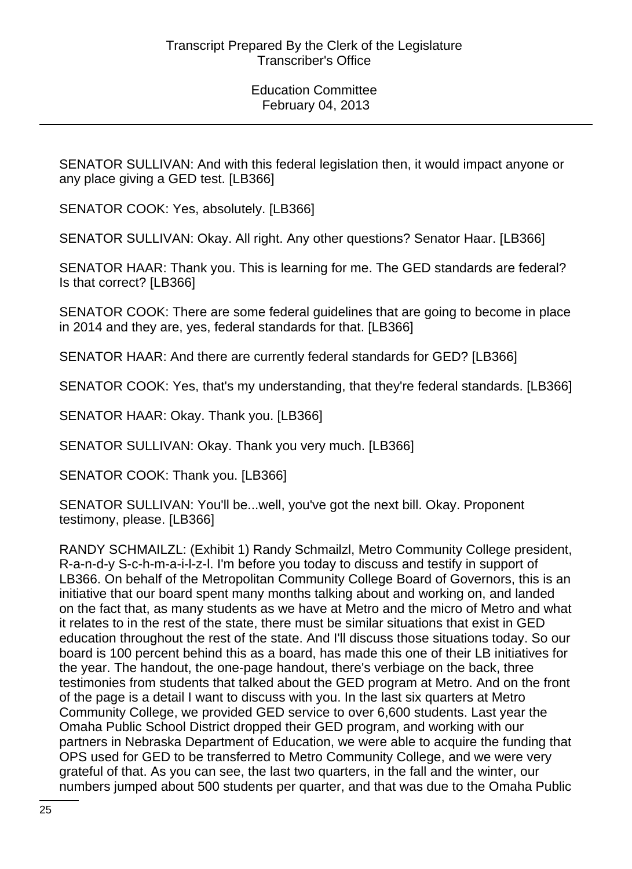SENATOR SULLIVAN: And with this federal legislation then, it would impact anyone or any place giving a GED test. [LB366]

SENATOR COOK: Yes, absolutely. [LB366]

SENATOR SULLIVAN: Okay. All right. Any other questions? Senator Haar. [LB366]

SENATOR HAAR: Thank you. This is learning for me. The GED standards are federal? Is that correct? [LB366]

SENATOR COOK: There are some federal guidelines that are going to become in place in 2014 and they are, yes, federal standards for that. [LB366]

SENATOR HAAR: And there are currently federal standards for GED? [LB366]

SENATOR COOK: Yes, that's my understanding, that they're federal standards. [LB366]

SENATOR HAAR: Okay. Thank you. [LB366]

SENATOR SULLIVAN: Okay. Thank you very much. [LB366]

SENATOR COOK: Thank you. [LB366]

SENATOR SULLIVAN: You'll be...well, you've got the next bill. Okay. Proponent testimony, please. [LB366]

RANDY SCHMAILZL: (Exhibit 1) Randy Schmailzl, Metro Community College president, R-a-n-d-y S-c-h-m-a-i-l-z-l. I'm before you today to discuss and testify in support of LB366. On behalf of the Metropolitan Community College Board of Governors, this is an initiative that our board spent many months talking about and working on, and landed on the fact that, as many students as we have at Metro and the micro of Metro and what it relates to in the rest of the state, there must be similar situations that exist in GED education throughout the rest of the state. And I'll discuss those situations today. So our board is 100 percent behind this as a board, has made this one of their LB initiatives for the year. The handout, the one-page handout, there's verbiage on the back, three testimonies from students that talked about the GED program at Metro. And on the front of the page is a detail I want to discuss with you. In the last six quarters at Metro Community College, we provided GED service to over 6,600 students. Last year the Omaha Public School District dropped their GED program, and working with our partners in Nebraska Department of Education, we were able to acquire the funding that OPS used for GED to be transferred to Metro Community College, and we were very grateful of that. As you can see, the last two quarters, in the fall and the winter, our numbers jumped about 500 students per quarter, and that was due to the Omaha Public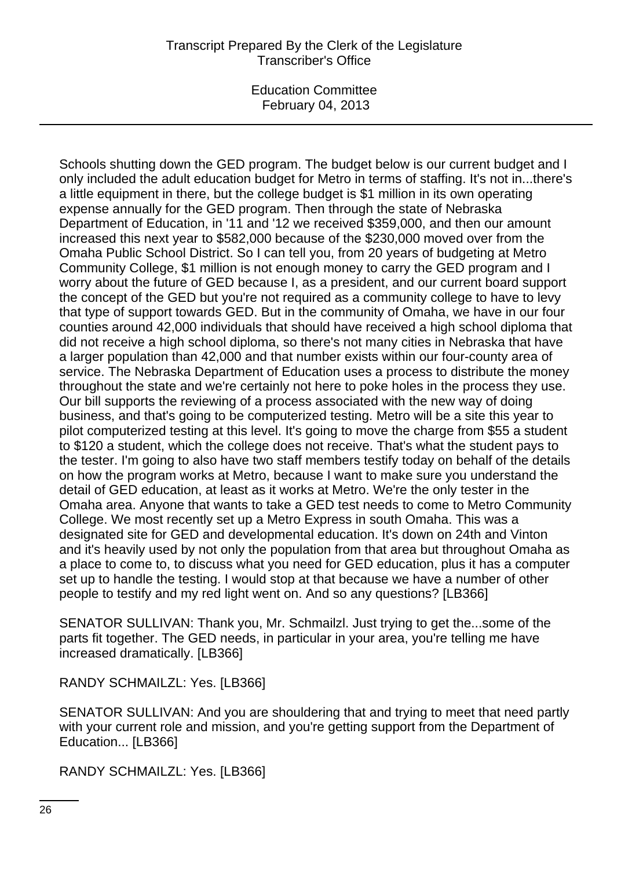Schools shutting down the GED program. The budget below is our current budget and I only included the adult education budget for Metro in terms of staffing. It's not in...there's a little equipment in there, but the college budget is \$1 million in its own operating expense annually for the GED program. Then through the state of Nebraska Department of Education, in '11 and '12 we received \$359,000, and then our amount increased this next year to \$582,000 because of the \$230,000 moved over from the Omaha Public School District. So I can tell you, from 20 years of budgeting at Metro Community College, \$1 million is not enough money to carry the GED program and I worry about the future of GED because I, as a president, and our current board support the concept of the GED but you're not required as a community college to have to levy that type of support towards GED. But in the community of Omaha, we have in our four counties around 42,000 individuals that should have received a high school diploma that did not receive a high school diploma, so there's not many cities in Nebraska that have a larger population than 42,000 and that number exists within our four-county area of service. The Nebraska Department of Education uses a process to distribute the money throughout the state and we're certainly not here to poke holes in the process they use. Our bill supports the reviewing of a process associated with the new way of doing business, and that's going to be computerized testing. Metro will be a site this year to pilot computerized testing at this level. It's going to move the charge from \$55 a student to \$120 a student, which the college does not receive. That's what the student pays to the tester. I'm going to also have two staff members testify today on behalf of the details on how the program works at Metro, because I want to make sure you understand the detail of GED education, at least as it works at Metro. We're the only tester in the Omaha area. Anyone that wants to take a GED test needs to come to Metro Community College. We most recently set up a Metro Express in south Omaha. This was a designated site for GED and developmental education. It's down on 24th and Vinton and it's heavily used by not only the population from that area but throughout Omaha as a place to come to, to discuss what you need for GED education, plus it has a computer set up to handle the testing. I would stop at that because we have a number of other people to testify and my red light went on. And so any questions? [LB366]

SENATOR SULLIVAN: Thank you, Mr. Schmailzl. Just trying to get the...some of the parts fit together. The GED needs, in particular in your area, you're telling me have increased dramatically. [LB366]

RANDY SCHMAILZL: Yes. [LB366]

SENATOR SULLIVAN: And you are shouldering that and trying to meet that need partly with your current role and mission, and you're getting support from the Department of Education... [LB366]

RANDY SCHMAILZL: Yes. [LB366]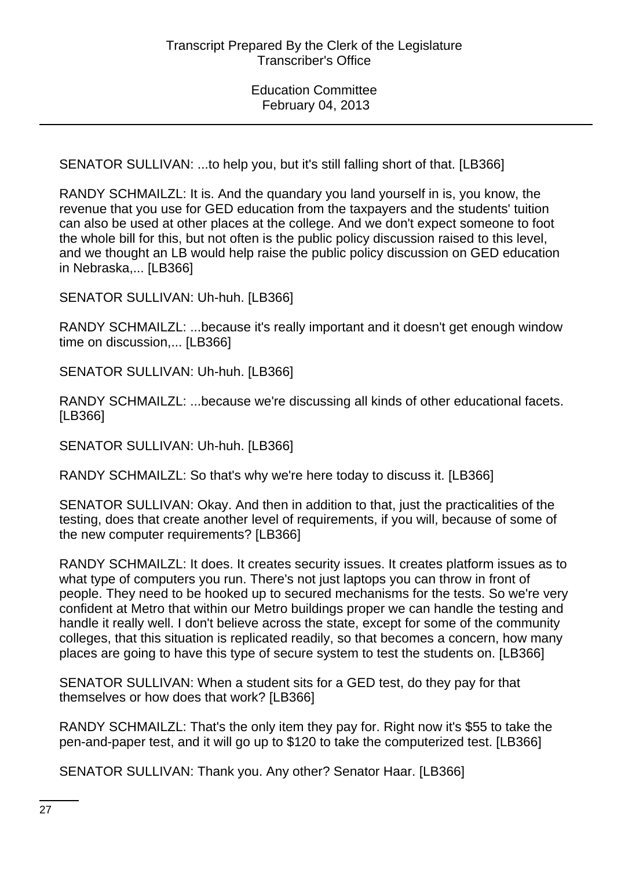SENATOR SULLIVAN: ...to help you, but it's still falling short of that. [LB366]

RANDY SCHMAILZL: It is. And the quandary you land yourself in is, you know, the revenue that you use for GED education from the taxpayers and the students' tuition can also be used at other places at the college. And we don't expect someone to foot the whole bill for this, but not often is the public policy discussion raised to this level, and we thought an LB would help raise the public policy discussion on GED education in Nebraska,... [LB366]

SENATOR SULLIVAN: Uh-huh. [LB366]

RANDY SCHMAILZL: ...because it's really important and it doesn't get enough window time on discussion,... [LB366]

SENATOR SULLIVAN: Uh-huh. [LB366]

RANDY SCHMAILZL: ...because we're discussing all kinds of other educational facets. [LB366]

SENATOR SULLIVAN: Uh-huh. [LB366]

RANDY SCHMAILZL: So that's why we're here today to discuss it. [LB366]

SENATOR SULLIVAN: Okay. And then in addition to that, just the practicalities of the testing, does that create another level of requirements, if you will, because of some of the new computer requirements? [LB366]

RANDY SCHMAILZL: It does. It creates security issues. It creates platform issues as to what type of computers you run. There's not just laptops you can throw in front of people. They need to be hooked up to secured mechanisms for the tests. So we're very confident at Metro that within our Metro buildings proper we can handle the testing and handle it really well. I don't believe across the state, except for some of the community colleges, that this situation is replicated readily, so that becomes a concern, how many places are going to have this type of secure system to test the students on. [LB366]

SENATOR SULLIVAN: When a student sits for a GED test, do they pay for that themselves or how does that work? [LB366]

RANDY SCHMAILZL: That's the only item they pay for. Right now it's \$55 to take the pen-and-paper test, and it will go up to \$120 to take the computerized test. [LB366]

SENATOR SULLIVAN: Thank you. Any other? Senator Haar. [LB366]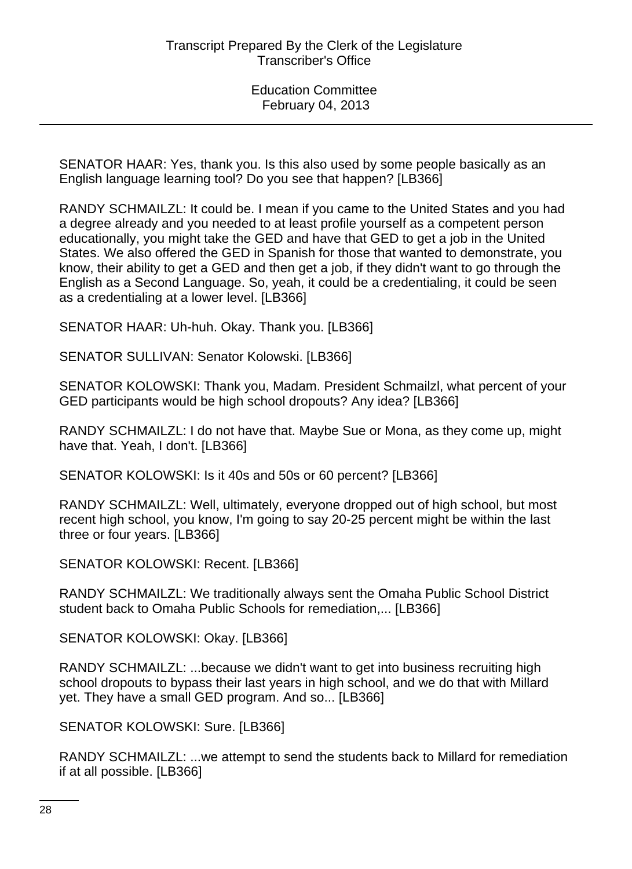SENATOR HAAR: Yes, thank you. Is this also used by some people basically as an English language learning tool? Do you see that happen? [LB366]

RANDY SCHMAILZL: It could be. I mean if you came to the United States and you had a degree already and you needed to at least profile yourself as a competent person educationally, you might take the GED and have that GED to get a job in the United States. We also offered the GED in Spanish for those that wanted to demonstrate, you know, their ability to get a GED and then get a job, if they didn't want to go through the English as a Second Language. So, yeah, it could be a credentialing, it could be seen as a credentialing at a lower level. [LB366]

SENATOR HAAR: Uh-huh. Okay. Thank you. [LB366]

SENATOR SULLIVAN: Senator Kolowski. [LB366]

SENATOR KOLOWSKI: Thank you, Madam. President Schmailzl, what percent of your GED participants would be high school dropouts? Any idea? [LB366]

RANDY SCHMAILZL: I do not have that. Maybe Sue or Mona, as they come up, might have that. Yeah, I don't. [LB366]

SENATOR KOLOWSKI: Is it 40s and 50s or 60 percent? [LB366]

RANDY SCHMAILZL: Well, ultimately, everyone dropped out of high school, but most recent high school, you know, I'm going to say 20-25 percent might be within the last three or four years. [LB366]

SENATOR KOLOWSKI: Recent. [LB366]

RANDY SCHMAILZL: We traditionally always sent the Omaha Public School District student back to Omaha Public Schools for remediation,... [LB366]

SENATOR KOLOWSKI: Okay. [LB366]

RANDY SCHMAILZL: ...because we didn't want to get into business recruiting high school dropouts to bypass their last years in high school, and we do that with Millard yet. They have a small GED program. And so... [LB366]

SENATOR KOLOWSKI: Sure. [LB366]

RANDY SCHMAILZL: ...we attempt to send the students back to Millard for remediation if at all possible. [LB366]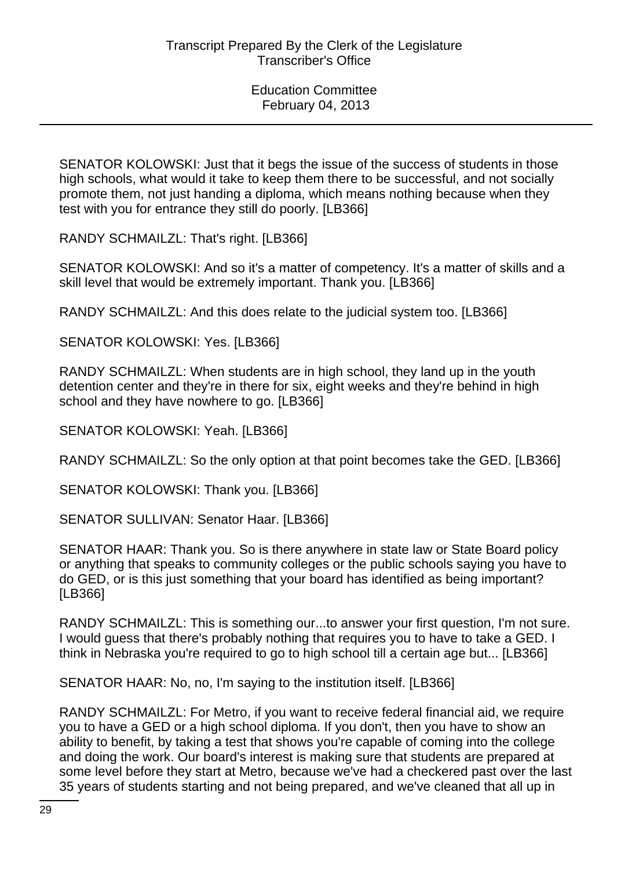SENATOR KOLOWSKI: Just that it begs the issue of the success of students in those high schools, what would it take to keep them there to be successful, and not socially promote them, not just handing a diploma, which means nothing because when they test with you for entrance they still do poorly. [LB366]

RANDY SCHMAILZL: That's right. [LB366]

SENATOR KOLOWSKI: And so it's a matter of competency. It's a matter of skills and a skill level that would be extremely important. Thank you. [LB366]

RANDY SCHMAILZL: And this does relate to the judicial system too. [LB366]

SENATOR KOLOWSKI: Yes. [LB366]

RANDY SCHMAILZL: When students are in high school, they land up in the youth detention center and they're in there for six, eight weeks and they're behind in high school and they have nowhere to go. [LB366]

SENATOR KOLOWSKI: Yeah. [LB366]

RANDY SCHMAILZL: So the only option at that point becomes take the GED. [LB366]

SENATOR KOLOWSKI: Thank you. [LB366]

SENATOR SULLIVAN: Senator Haar. [LB366]

SENATOR HAAR: Thank you. So is there anywhere in state law or State Board policy or anything that speaks to community colleges or the public schools saying you have to do GED, or is this just something that your board has identified as being important? [LB366]

RANDY SCHMAILZL: This is something our...to answer your first question, I'm not sure. I would guess that there's probably nothing that requires you to have to take a GED. I think in Nebraska you're required to go to high school till a certain age but... [LB366]

SENATOR HAAR: No, no, I'm saying to the institution itself. [LB366]

RANDY SCHMAILZL: For Metro, if you want to receive federal financial aid, we require you to have a GED or a high school diploma. If you don't, then you have to show an ability to benefit, by taking a test that shows you're capable of coming into the college and doing the work. Our board's interest is making sure that students are prepared at some level before they start at Metro, because we've had a checkered past over the last 35 years of students starting and not being prepared, and we've cleaned that all up in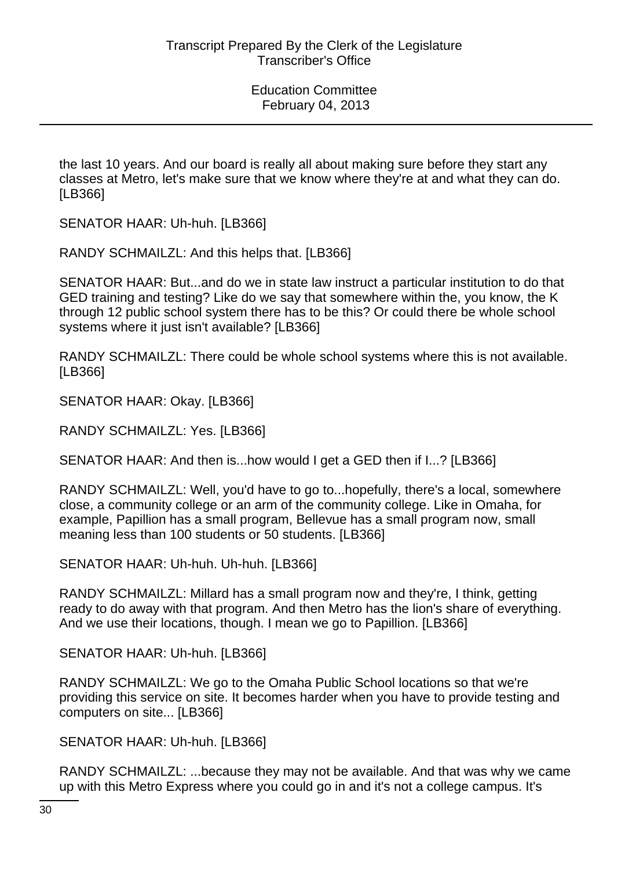the last 10 years. And our board is really all about making sure before they start any classes at Metro, let's make sure that we know where they're at and what they can do. [LB366]

SENATOR HAAR: Uh-huh. [LB366]

RANDY SCHMAILZL: And this helps that. [LB366]

SENATOR HAAR: But...and do we in state law instruct a particular institution to do that GED training and testing? Like do we say that somewhere within the, you know, the K through 12 public school system there has to be this? Or could there be whole school systems where it just isn't available? [LB366]

RANDY SCHMAILZL: There could be whole school systems where this is not available. [LB366]

SENATOR HAAR: Okay. [LB366]

RANDY SCHMAILZL: Yes. [LB366]

SENATOR HAAR: And then is...how would I get a GED then if I...? [LB366]

RANDY SCHMAILZL: Well, you'd have to go to...hopefully, there's a local, somewhere close, a community college or an arm of the community college. Like in Omaha, for example, Papillion has a small program, Bellevue has a small program now, small meaning less than 100 students or 50 students. [LB366]

SENATOR HAAR: Uh-huh. Uh-huh. [LB366]

RANDY SCHMAILZL: Millard has a small program now and they're, I think, getting ready to do away with that program. And then Metro has the lion's share of everything. And we use their locations, though. I mean we go to Papillion. [LB366]

SENATOR HAAR: Uh-huh. [LB366]

RANDY SCHMAILZL: We go to the Omaha Public School locations so that we're providing this service on site. It becomes harder when you have to provide testing and computers on site... [LB366]

SENATOR HAAR: Uh-huh. [LB366]

RANDY SCHMAILZL: ...because they may not be available. And that was why we came up with this Metro Express where you could go in and it's not a college campus. It's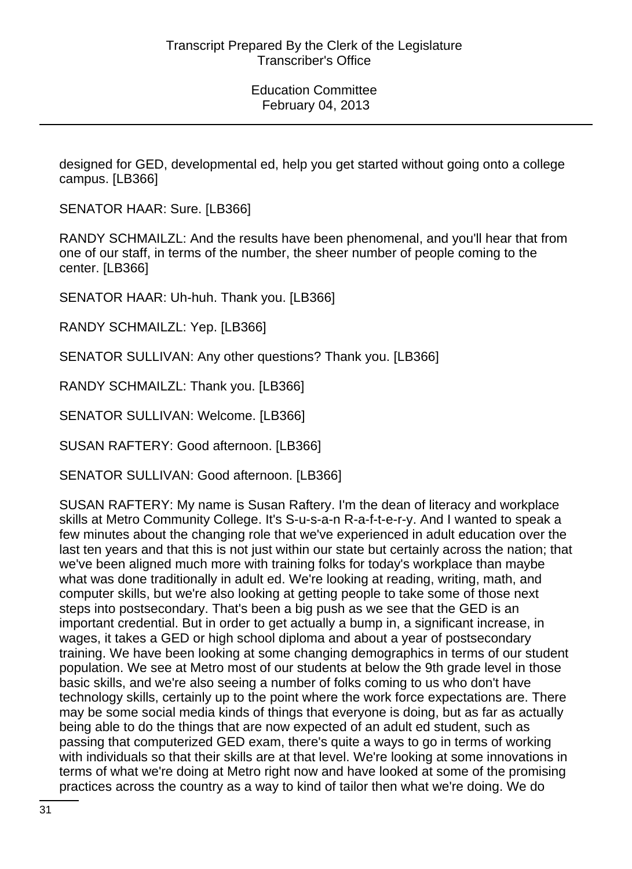designed for GED, developmental ed, help you get started without going onto a college campus. [LB366]

SENATOR HAAR: Sure. [LB366]

RANDY SCHMAILZL: And the results have been phenomenal, and you'll hear that from one of our staff, in terms of the number, the sheer number of people coming to the center. [LB366]

SENATOR HAAR: Uh-huh. Thank you. [LB366]

RANDY SCHMAILZL: Yep. [LB366]

SENATOR SULLIVAN: Any other questions? Thank you. [LB366]

RANDY SCHMAILZL: Thank you. [LB366]

SENATOR SULLIVAN: Welcome. [LB366]

SUSAN RAFTERY: Good afternoon. [LB366]

SENATOR SULLIVAN: Good afternoon. [LB366]

SUSAN RAFTERY: My name is Susan Raftery. I'm the dean of literacy and workplace skills at Metro Community College. It's S-u-s-a-n R-a-f-t-e-r-y. And I wanted to speak a few minutes about the changing role that we've experienced in adult education over the last ten years and that this is not just within our state but certainly across the nation; that we've been aligned much more with training folks for today's workplace than maybe what was done traditionally in adult ed. We're looking at reading, writing, math, and computer skills, but we're also looking at getting people to take some of those next steps into postsecondary. That's been a big push as we see that the GED is an important credential. But in order to get actually a bump in, a significant increase, in wages, it takes a GED or high school diploma and about a year of postsecondary training. We have been looking at some changing demographics in terms of our student population. We see at Metro most of our students at below the 9th grade level in those basic skills, and we're also seeing a number of folks coming to us who don't have technology skills, certainly up to the point where the work force expectations are. There may be some social media kinds of things that everyone is doing, but as far as actually being able to do the things that are now expected of an adult ed student, such as passing that computerized GED exam, there's quite a ways to go in terms of working with individuals so that their skills are at that level. We're looking at some innovations in terms of what we're doing at Metro right now and have looked at some of the promising practices across the country as a way to kind of tailor then what we're doing. We do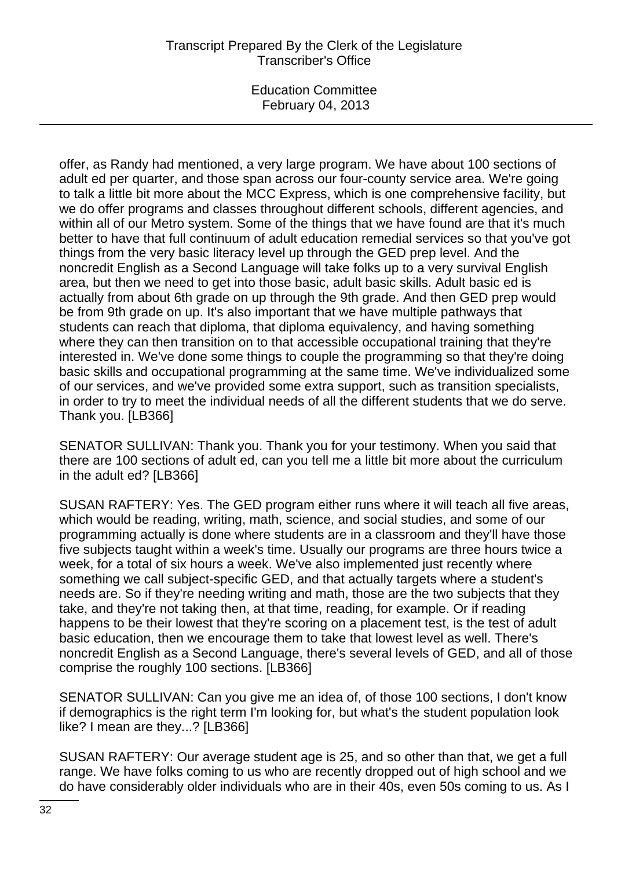# Transcript Prepared By the Clerk of the Legislature Transcriber's Office

Education Committee February 04, 2013

offer, as Randy had mentioned, a very large program. We have about 100 sections of adult ed per quarter, and those span across our four-county service area. We're going to talk a little bit more about the MCC Express, which is one comprehensive facility, but we do offer programs and classes throughout different schools, different agencies, and within all of our Metro system. Some of the things that we have found are that it's much better to have that full continuum of adult education remedial services so that you've got things from the very basic literacy level up through the GED prep level. And the noncredit English as a Second Language will take folks up to a very survival English area, but then we need to get into those basic, adult basic skills. Adult basic ed is actually from about 6th grade on up through the 9th grade. And then GED prep would be from 9th grade on up. It's also important that we have multiple pathways that students can reach that diploma, that diploma equivalency, and having something where they can then transition on to that accessible occupational training that they're interested in. We've done some things to couple the programming so that they're doing basic skills and occupational programming at the same time. We've individualized some of our services, and we've provided some extra support, such as transition specialists, in order to try to meet the individual needs of all the different students that we do serve. Thank you. [LB366]

SENATOR SULLIVAN: Thank you. Thank you for your testimony. When you said that there are 100 sections of adult ed, can you tell me a little bit more about the curriculum in the adult ed? [LB366]

SUSAN RAFTERY: Yes. The GED program either runs where it will teach all five areas, which would be reading, writing, math, science, and social studies, and some of our programming actually is done where students are in a classroom and they'll have those five subjects taught within a week's time. Usually our programs are three hours twice a week, for a total of six hours a week. We've also implemented just recently where something we call subject-specific GED, and that actually targets where a student's needs are. So if they're needing writing and math, those are the two subjects that they take, and they're not taking then, at that time, reading, for example. Or if reading happens to be their lowest that they're scoring on a placement test, is the test of adult basic education, then we encourage them to take that lowest level as well. There's noncredit English as a Second Language, there's several levels of GED, and all of those comprise the roughly 100 sections. [LB366]

SENATOR SULLIVAN: Can you give me an idea of, of those 100 sections, I don't know if demographics is the right term I'm looking for, but what's the student population look like? I mean are they...? [LB366]

SUSAN RAFTERY: Our average student age is 25, and so other than that, we get a full range. We have folks coming to us who are recently dropped out of high school and we do have considerably older individuals who are in their 40s, even 50s coming to us. As I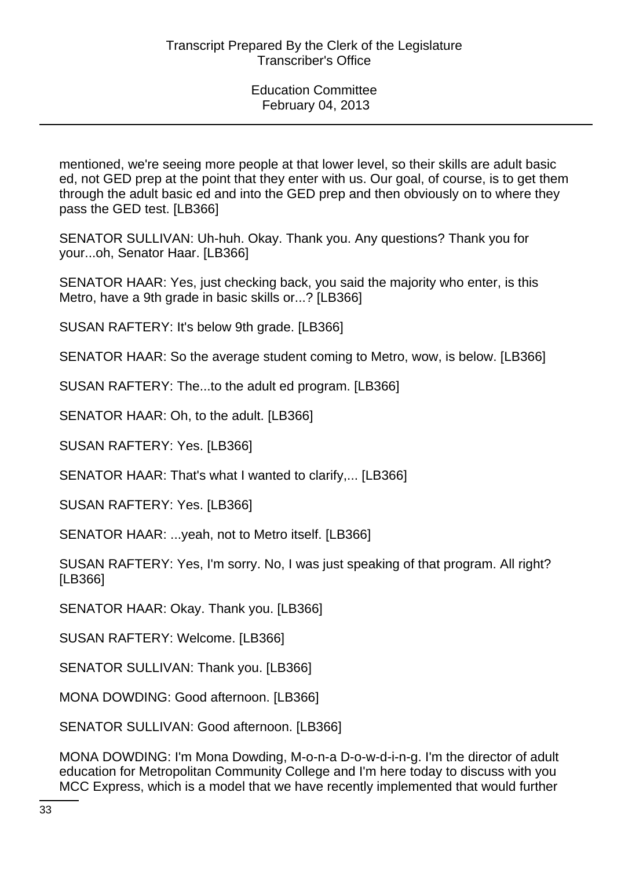mentioned, we're seeing more people at that lower level, so their skills are adult basic ed, not GED prep at the point that they enter with us. Our goal, of course, is to get them through the adult basic ed and into the GED prep and then obviously on to where they pass the GED test. [LB366]

SENATOR SULLIVAN: Uh-huh. Okay. Thank you. Any questions? Thank you for your...oh, Senator Haar. [LB366]

SENATOR HAAR: Yes, just checking back, you said the majority who enter, is this Metro, have a 9th grade in basic skills or...? [LB366]

SUSAN RAFTERY: It's below 9th grade. [LB366]

SENATOR HAAR: So the average student coming to Metro, wow, is below. [LB366]

SUSAN RAFTERY: The...to the adult ed program. [LB366]

SENATOR HAAR: Oh, to the adult. [LB366]

SUSAN RAFTERY: Yes. [LB366]

SENATOR HAAR: That's what I wanted to clarify,... [LB366]

SUSAN RAFTERY: Yes. [LB366]

SENATOR HAAR: ...yeah, not to Metro itself. [LB366]

SUSAN RAFTERY: Yes, I'm sorry. No, I was just speaking of that program. All right? [LB366]

SENATOR HAAR: Okay. Thank you. [LB366]

SUSAN RAFTERY: Welcome. [LB366]

SENATOR SULLIVAN: Thank you. [LB366]

MONA DOWDING: Good afternoon. [LB366]

SENATOR SULLIVAN: Good afternoon. [LB366]

MONA DOWDING: I'm Mona Dowding, M-o-n-a D-o-w-d-i-n-g. I'm the director of adult education for Metropolitan Community College and I'm here today to discuss with you MCC Express, which is a model that we have recently implemented that would further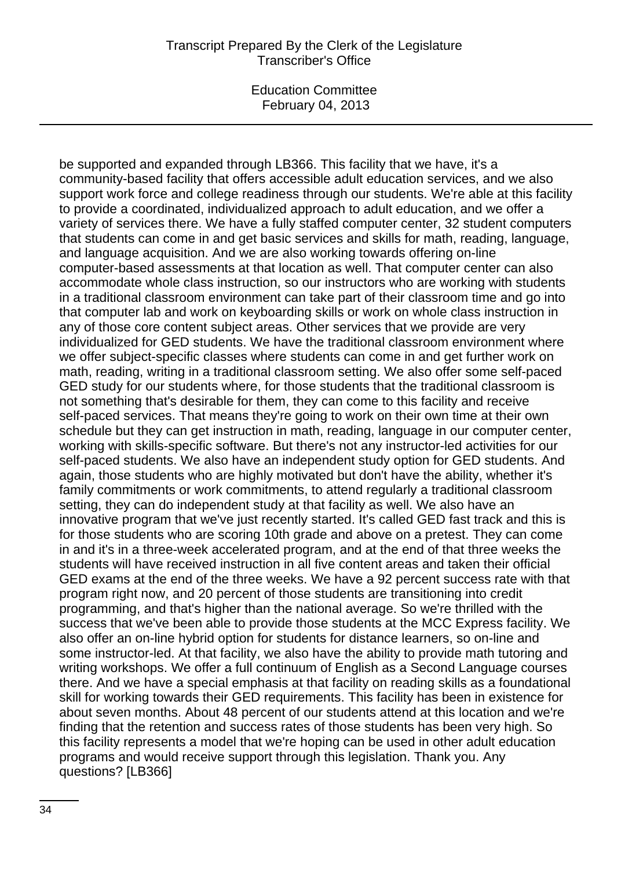### Transcript Prepared By the Clerk of the Legislature Transcriber's Office

Education Committee February 04, 2013

be supported and expanded through LB366. This facility that we have, it's a community-based facility that offers accessible adult education services, and we also support work force and college readiness through our students. We're able at this facility to provide a coordinated, individualized approach to adult education, and we offer a variety of services there. We have a fully staffed computer center, 32 student computers that students can come in and get basic services and skills for math, reading, language, and language acquisition. And we are also working towards offering on-line computer-based assessments at that location as well. That computer center can also accommodate whole class instruction, so our instructors who are working with students in a traditional classroom environment can take part of their classroom time and go into that computer lab and work on keyboarding skills or work on whole class instruction in any of those core content subject areas. Other services that we provide are very individualized for GED students. We have the traditional classroom environment where we offer subject-specific classes where students can come in and get further work on math, reading, writing in a traditional classroom setting. We also offer some self-paced GED study for our students where, for those students that the traditional classroom is not something that's desirable for them, they can come to this facility and receive self-paced services. That means they're going to work on their own time at their own schedule but they can get instruction in math, reading, language in our computer center, working with skills-specific software. But there's not any instructor-led activities for our self-paced students. We also have an independent study option for GED students. And again, those students who are highly motivated but don't have the ability, whether it's family commitments or work commitments, to attend regularly a traditional classroom setting, they can do independent study at that facility as well. We also have an innovative program that we've just recently started. It's called GED fast track and this is for those students who are scoring 10th grade and above on a pretest. They can come in and it's in a three-week accelerated program, and at the end of that three weeks the students will have received instruction in all five content areas and taken their official GED exams at the end of the three weeks. We have a 92 percent success rate with that program right now, and 20 percent of those students are transitioning into credit programming, and that's higher than the national average. So we're thrilled with the success that we've been able to provide those students at the MCC Express facility. We also offer an on-line hybrid option for students for distance learners, so on-line and some instructor-led. At that facility, we also have the ability to provide math tutoring and writing workshops. We offer a full continuum of English as a Second Language courses there. And we have a special emphasis at that facility on reading skills as a foundational skill for working towards their GED requirements. This facility has been in existence for about seven months. About 48 percent of our students attend at this location and we're finding that the retention and success rates of those students has been very high. So this facility represents a model that we're hoping can be used in other adult education programs and would receive support through this legislation. Thank you. Any questions? [LB366]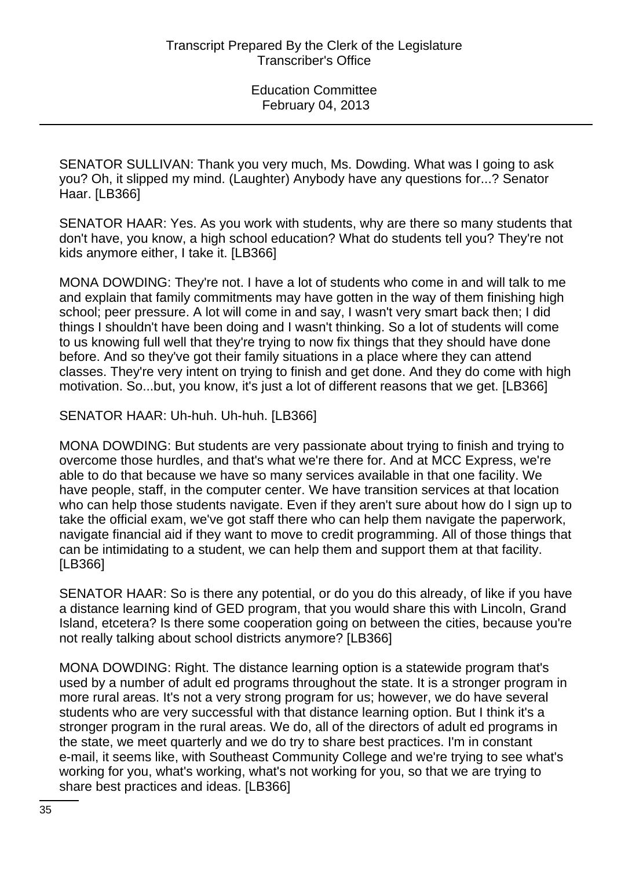SENATOR SULLIVAN: Thank you very much, Ms. Dowding. What was I going to ask you? Oh, it slipped my mind. (Laughter) Anybody have any questions for...? Senator Haar. [LB366]

SENATOR HAAR: Yes. As you work with students, why are there so many students that don't have, you know, a high school education? What do students tell you? They're not kids anymore either, I take it. [LB366]

MONA DOWDING: They're not. I have a lot of students who come in and will talk to me and explain that family commitments may have gotten in the way of them finishing high school; peer pressure. A lot will come in and say, I wasn't very smart back then; I did things I shouldn't have been doing and I wasn't thinking. So a lot of students will come to us knowing full well that they're trying to now fix things that they should have done before. And so they've got their family situations in a place where they can attend classes. They're very intent on trying to finish and get done. And they do come with high motivation. So...but, you know, it's just a lot of different reasons that we get. [LB366]

SENATOR HAAR: Uh-huh. Uh-huh. [LB366]

MONA DOWDING: But students are very passionate about trying to finish and trying to overcome those hurdles, and that's what we're there for. And at MCC Express, we're able to do that because we have so many services available in that one facility. We have people, staff, in the computer center. We have transition services at that location who can help those students navigate. Even if they aren't sure about how do I sign up to take the official exam, we've got staff there who can help them navigate the paperwork, navigate financial aid if they want to move to credit programming. All of those things that can be intimidating to a student, we can help them and support them at that facility. [LB366]

SENATOR HAAR: So is there any potential, or do you do this already, of like if you have a distance learning kind of GED program, that you would share this with Lincoln, Grand Island, etcetera? Is there some cooperation going on between the cities, because you're not really talking about school districts anymore? [LB366]

MONA DOWDING: Right. The distance learning option is a statewide program that's used by a number of adult ed programs throughout the state. It is a stronger program in more rural areas. It's not a very strong program for us; however, we do have several students who are very successful with that distance learning option. But I think it's a stronger program in the rural areas. We do, all of the directors of adult ed programs in the state, we meet quarterly and we do try to share best practices. I'm in constant e-mail, it seems like, with Southeast Community College and we're trying to see what's working for you, what's working, what's not working for you, so that we are trying to share best practices and ideas. [LB366]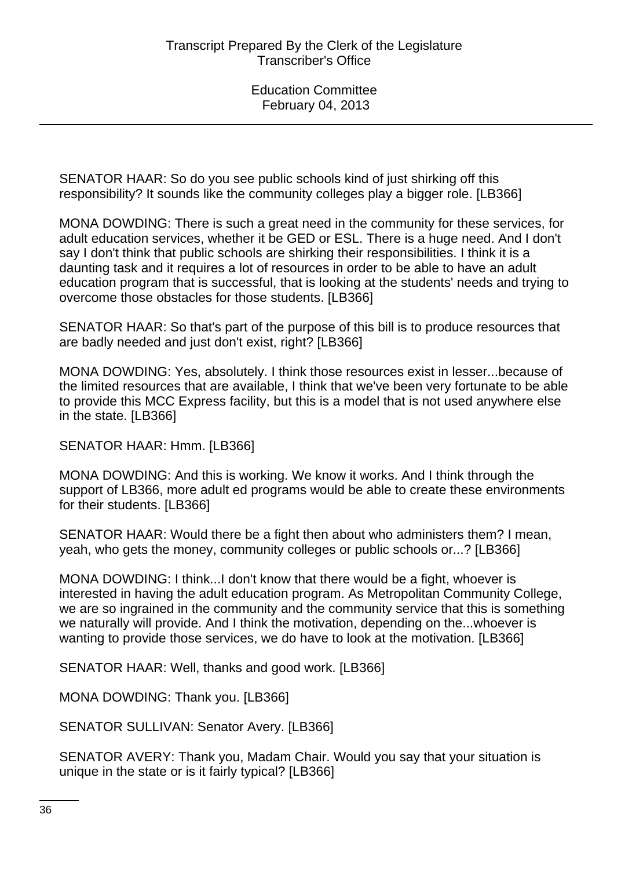SENATOR HAAR: So do you see public schools kind of just shirking off this responsibility? It sounds like the community colleges play a bigger role. [LB366]

MONA DOWDING: There is such a great need in the community for these services, for adult education services, whether it be GED or ESL. There is a huge need. And I don't say I don't think that public schools are shirking their responsibilities. I think it is a daunting task and it requires a lot of resources in order to be able to have an adult education program that is successful, that is looking at the students' needs and trying to overcome those obstacles for those students. [LB366]

SENATOR HAAR: So that's part of the purpose of this bill is to produce resources that are badly needed and just don't exist, right? [LB366]

MONA DOWDING: Yes, absolutely. I think those resources exist in lesser...because of the limited resources that are available, I think that we've been very fortunate to be able to provide this MCC Express facility, but this is a model that is not used anywhere else in the state. [LB366]

SENATOR HAAR: Hmm. [LB366]

MONA DOWDING: And this is working. We know it works. And I think through the support of LB366, more adult ed programs would be able to create these environments for their students. [LB366]

SENATOR HAAR: Would there be a fight then about who administers them? I mean, yeah, who gets the money, community colleges or public schools or...? [LB366]

MONA DOWDING: I think...I don't know that there would be a fight, whoever is interested in having the adult education program. As Metropolitan Community College, we are so ingrained in the community and the community service that this is something we naturally will provide. And I think the motivation, depending on the...whoever is wanting to provide those services, we do have to look at the motivation. [LB366]

SENATOR HAAR: Well, thanks and good work. [LB366]

MONA DOWDING: Thank you. [LB366]

SENATOR SULLIVAN: Senator Avery. [LB366]

SENATOR AVERY: Thank you, Madam Chair. Would you say that your situation is unique in the state or is it fairly typical? [LB366]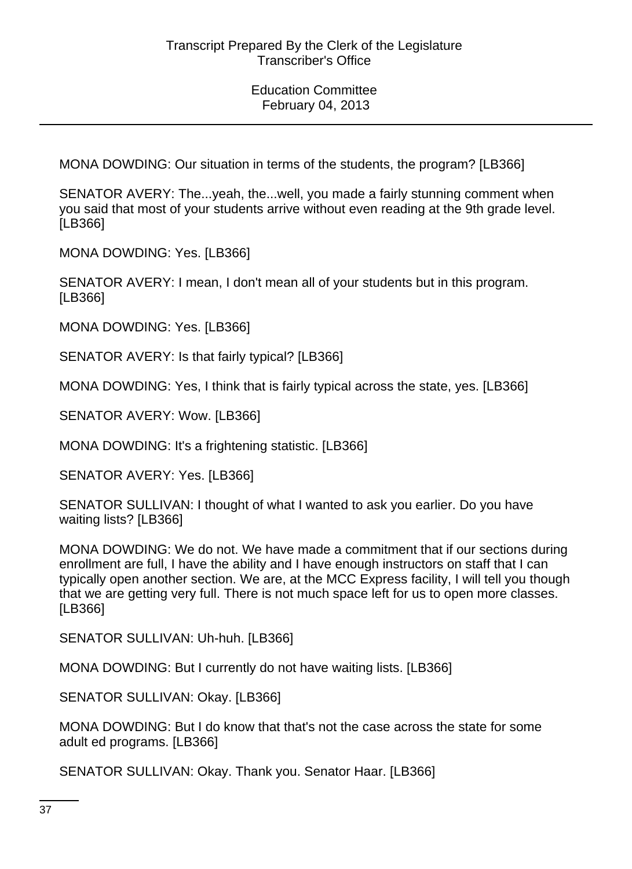MONA DOWDING: Our situation in terms of the students, the program? [LB366]

SENATOR AVERY: The...yeah, the...well, you made a fairly stunning comment when you said that most of your students arrive without even reading at the 9th grade level. [LB366]

MONA DOWDING: Yes. [LB366]

SENATOR AVERY: I mean, I don't mean all of your students but in this program. [LB366]

MONA DOWDING: Yes. [LB366]

SENATOR AVERY: Is that fairly typical? [LB366]

MONA DOWDING: Yes, I think that is fairly typical across the state, yes. [LB366]

SENATOR AVERY: Wow. [LB366]

MONA DOWDING: It's a frightening statistic. [LB366]

SENATOR AVERY: Yes. [LB366]

SENATOR SULLIVAN: I thought of what I wanted to ask you earlier. Do you have waiting lists? [LB366]

MONA DOWDING: We do not. We have made a commitment that if our sections during enrollment are full, I have the ability and I have enough instructors on staff that I can typically open another section. We are, at the MCC Express facility, I will tell you though that we are getting very full. There is not much space left for us to open more classes. [LB366]

SENATOR SULLIVAN: Uh-huh. [LB366]

MONA DOWDING: But I currently do not have waiting lists. [LB366]

SENATOR SULLIVAN: Okay. [LB366]

MONA DOWDING: But I do know that that's not the case across the state for some adult ed programs. [LB366]

SENATOR SULLIVAN: Okay. Thank you. Senator Haar. [LB366]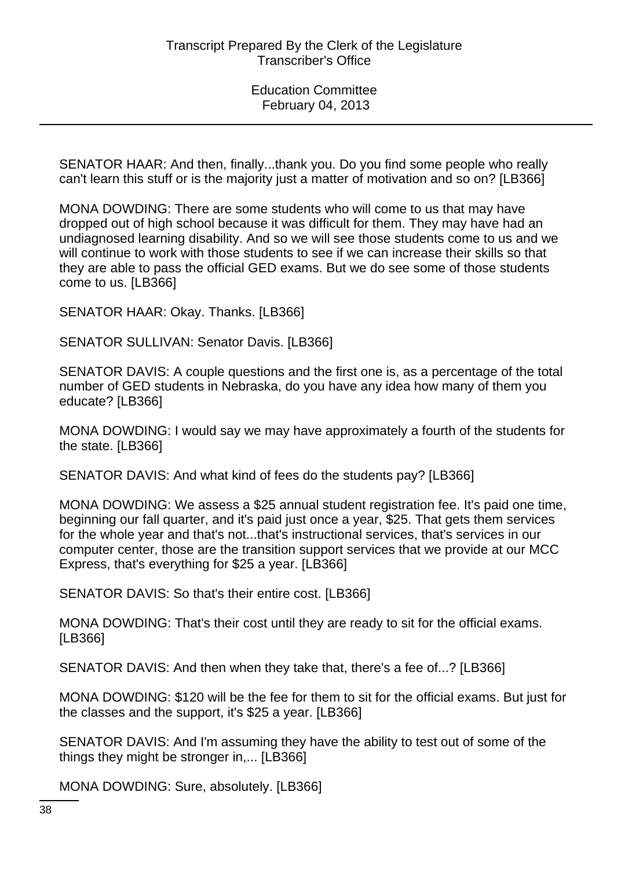SENATOR HAAR: And then, finally...thank you. Do you find some people who really can't learn this stuff or is the majority just a matter of motivation and so on? [LB366]

MONA DOWDING: There are some students who will come to us that may have dropped out of high school because it was difficult for them. They may have had an undiagnosed learning disability. And so we will see those students come to us and we will continue to work with those students to see if we can increase their skills so that they are able to pass the official GED exams. But we do see some of those students come to us. [LB366]

SENATOR HAAR: Okay. Thanks. [LB366]

SENATOR SULLIVAN: Senator Davis. [LB366]

SENATOR DAVIS: A couple questions and the first one is, as a percentage of the total number of GED students in Nebraska, do you have any idea how many of them you educate? [LB366]

MONA DOWDING: I would say we may have approximately a fourth of the students for the state. [LB366]

SENATOR DAVIS: And what kind of fees do the students pay? [LB366]

MONA DOWDING: We assess a \$25 annual student registration fee. It's paid one time, beginning our fall quarter, and it's paid just once a year, \$25. That gets them services for the whole year and that's not...that's instructional services, that's services in our computer center, those are the transition support services that we provide at our MCC Express, that's everything for \$25 a year. [LB366]

SENATOR DAVIS: So that's their entire cost. [LB366]

MONA DOWDING: That's their cost until they are ready to sit for the official exams. [LB366]

SENATOR DAVIS: And then when they take that, there's a fee of...? [LB366]

MONA DOWDING: \$120 will be the fee for them to sit for the official exams. But just for the classes and the support, it's \$25 a year. [LB366]

SENATOR DAVIS: And I'm assuming they have the ability to test out of some of the things they might be stronger in,... [LB366]

MONA DOWDING: Sure, absolutely. [LB366]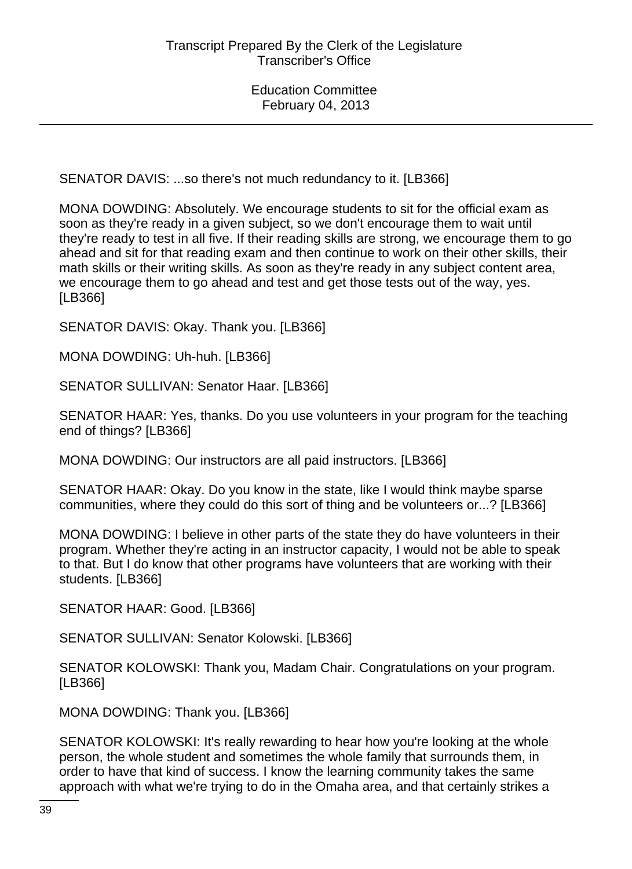SENATOR DAVIS: ...so there's not much redundancy to it. [LB366]

MONA DOWDING: Absolutely. We encourage students to sit for the official exam as soon as they're ready in a given subject, so we don't encourage them to wait until they're ready to test in all five. If their reading skills are strong, we encourage them to go ahead and sit for that reading exam and then continue to work on their other skills, their math skills or their writing skills. As soon as they're ready in any subject content area, we encourage them to go ahead and test and get those tests out of the way, yes. [LB366]

SENATOR DAVIS: Okay. Thank you. [LB366]

MONA DOWDING: Uh-huh. [LB366]

SENATOR SULLIVAN: Senator Haar. [LB366]

SENATOR HAAR: Yes, thanks. Do you use volunteers in your program for the teaching end of things? [LB366]

MONA DOWDING: Our instructors are all paid instructors. [LB366]

SENATOR HAAR: Okay. Do you know in the state, like I would think maybe sparse communities, where they could do this sort of thing and be volunteers or...? [LB366]

MONA DOWDING: I believe in other parts of the state they do have volunteers in their program. Whether they're acting in an instructor capacity, I would not be able to speak to that. But I do know that other programs have volunteers that are working with their students. [LB366]

SENATOR HAAR: Good. [LB366]

SENATOR SULLIVAN: Senator Kolowski. [LB366]

SENATOR KOLOWSKI: Thank you, Madam Chair. Congratulations on your program. [LB366]

MONA DOWDING: Thank you. [LB366]

SENATOR KOLOWSKI: It's really rewarding to hear how you're looking at the whole person, the whole student and sometimes the whole family that surrounds them, in order to have that kind of success. I know the learning community takes the same approach with what we're trying to do in the Omaha area, and that certainly strikes a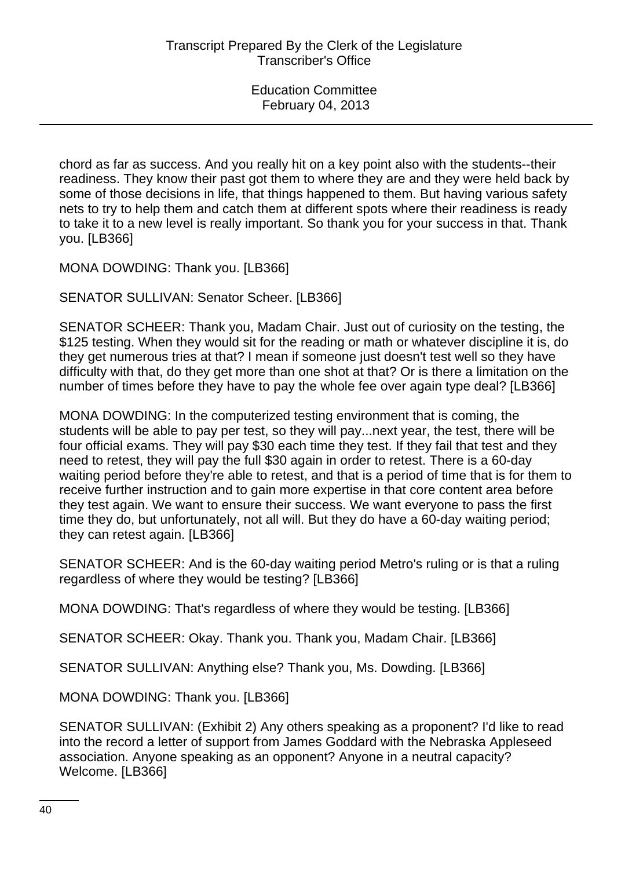chord as far as success. And you really hit on a key point also with the students--their readiness. They know their past got them to where they are and they were held back by some of those decisions in life, that things happened to them. But having various safety nets to try to help them and catch them at different spots where their readiness is ready to take it to a new level is really important. So thank you for your success in that. Thank you. [LB366]

MONA DOWDING: Thank you. [LB366]

SENATOR SULLIVAN: Senator Scheer. [LB366]

SENATOR SCHEER: Thank you, Madam Chair. Just out of curiosity on the testing, the \$125 testing. When they would sit for the reading or math or whatever discipline it is, do they get numerous tries at that? I mean if someone just doesn't test well so they have difficulty with that, do they get more than one shot at that? Or is there a limitation on the number of times before they have to pay the whole fee over again type deal? [LB366]

MONA DOWDING: In the computerized testing environment that is coming, the students will be able to pay per test, so they will pay...next year, the test, there will be four official exams. They will pay \$30 each time they test. If they fail that test and they need to retest, they will pay the full \$30 again in order to retest. There is a 60-day waiting period before they're able to retest, and that is a period of time that is for them to receive further instruction and to gain more expertise in that core content area before they test again. We want to ensure their success. We want everyone to pass the first time they do, but unfortunately, not all will. But they do have a 60-day waiting period; they can retest again. [LB366]

SENATOR SCHEER: And is the 60-day waiting period Metro's ruling or is that a ruling regardless of where they would be testing? [LB366]

MONA DOWDING: That's regardless of where they would be testing. [LB366]

SENATOR SCHEER: Okay. Thank you. Thank you, Madam Chair. [LB366]

SENATOR SULLIVAN: Anything else? Thank you, Ms. Dowding. [LB366]

MONA DOWDING: Thank you. [LB366]

SENATOR SULLIVAN: (Exhibit 2) Any others speaking as a proponent? I'd like to read into the record a letter of support from James Goddard with the Nebraska Appleseed association. Anyone speaking as an opponent? Anyone in a neutral capacity? Welcome. [LB366]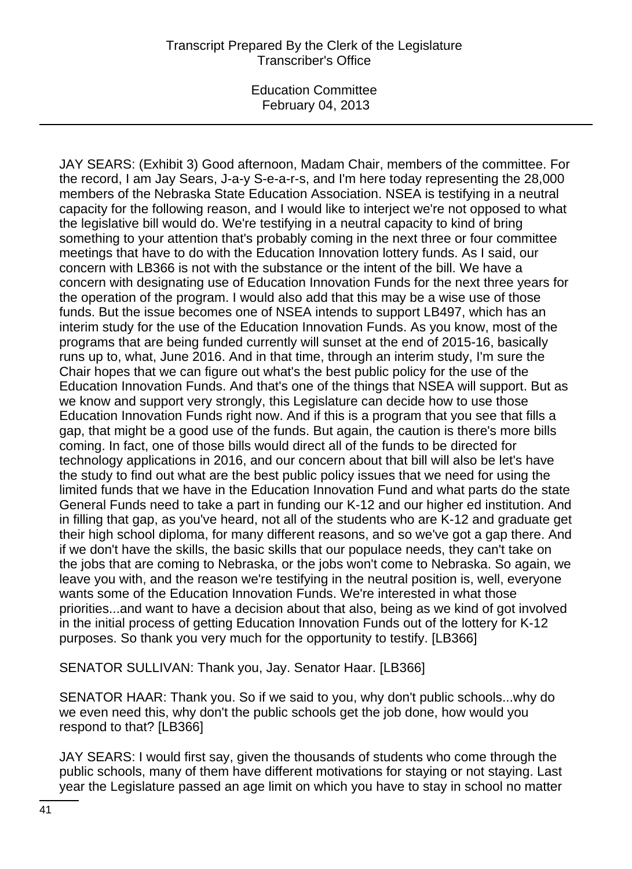JAY SEARS: (Exhibit 3) Good afternoon, Madam Chair, members of the committee. For the record, I am Jay Sears, J-a-y S-e-a-r-s, and I'm here today representing the 28,000 members of the Nebraska State Education Association. NSEA is testifying in a neutral capacity for the following reason, and I would like to interject we're not opposed to what the legislative bill would do. We're testifying in a neutral capacity to kind of bring something to your attention that's probably coming in the next three or four committee meetings that have to do with the Education Innovation lottery funds. As I said, our concern with LB366 is not with the substance or the intent of the bill. We have a concern with designating use of Education Innovation Funds for the next three years for the operation of the program. I would also add that this may be a wise use of those funds. But the issue becomes one of NSEA intends to support LB497, which has an interim study for the use of the Education Innovation Funds. As you know, most of the programs that are being funded currently will sunset at the end of 2015-16, basically runs up to, what, June 2016. And in that time, through an interim study, I'm sure the Chair hopes that we can figure out what's the best public policy for the use of the Education Innovation Funds. And that's one of the things that NSEA will support. But as we know and support very strongly, this Legislature can decide how to use those Education Innovation Funds right now. And if this is a program that you see that fills a gap, that might be a good use of the funds. But again, the caution is there's more bills coming. In fact, one of those bills would direct all of the funds to be directed for technology applications in 2016, and our concern about that bill will also be let's have the study to find out what are the best public policy issues that we need for using the limited funds that we have in the Education Innovation Fund and what parts do the state General Funds need to take a part in funding our K-12 and our higher ed institution. And in filling that gap, as you've heard, not all of the students who are K-12 and graduate get their high school diploma, for many different reasons, and so we've got a gap there. And if we don't have the skills, the basic skills that our populace needs, they can't take on the jobs that are coming to Nebraska, or the jobs won't come to Nebraska. So again, we leave you with, and the reason we're testifying in the neutral position is, well, everyone wants some of the Education Innovation Funds. We're interested in what those priorities...and want to have a decision about that also, being as we kind of got involved in the initial process of getting Education Innovation Funds out of the lottery for K-12 purposes. So thank you very much for the opportunity to testify. [LB366]

SENATOR SULLIVAN: Thank you, Jay. Senator Haar. [LB366]

SENATOR HAAR: Thank you. So if we said to you, why don't public schools...why do we even need this, why don't the public schools get the job done, how would you respond to that? [LB366]

JAY SEARS: I would first say, given the thousands of students who come through the public schools, many of them have different motivations for staying or not staying. Last year the Legislature passed an age limit on which you have to stay in school no matter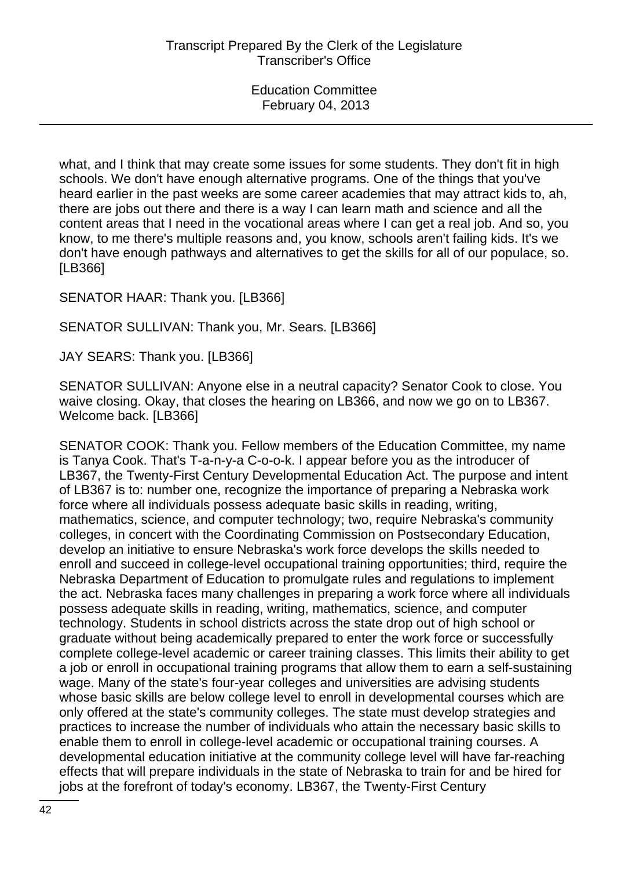what, and I think that may create some issues for some students. They don't fit in high schools. We don't have enough alternative programs. One of the things that you've heard earlier in the past weeks are some career academies that may attract kids to, ah, there are jobs out there and there is a way I can learn math and science and all the content areas that I need in the vocational areas where I can get a real job. And so, you know, to me there's multiple reasons and, you know, schools aren't failing kids. It's we don't have enough pathways and alternatives to get the skills for all of our populace, so. [LB366]

#### SENATOR HAAR: Thank you. [LB366]

#### SENATOR SULLIVAN: Thank you, Mr. Sears. [LB366]

JAY SEARS: Thank you. [LB366]

SENATOR SULLIVAN: Anyone else in a neutral capacity? Senator Cook to close. You waive closing. Okay, that closes the hearing on LB366, and now we go on to LB367. Welcome back. [LB366]

SENATOR COOK: Thank you. Fellow members of the Education Committee, my name is Tanya Cook. That's T-a-n-y-a C-o-o-k. I appear before you as the introducer of LB367, the Twenty-First Century Developmental Education Act. The purpose and intent of LB367 is to: number one, recognize the importance of preparing a Nebraska work force where all individuals possess adequate basic skills in reading, writing, mathematics, science, and computer technology; two, require Nebraska's community colleges, in concert with the Coordinating Commission on Postsecondary Education, develop an initiative to ensure Nebraska's work force develops the skills needed to enroll and succeed in college-level occupational training opportunities; third, require the Nebraska Department of Education to promulgate rules and regulations to implement the act. Nebraska faces many challenges in preparing a work force where all individuals possess adequate skills in reading, writing, mathematics, science, and computer technology. Students in school districts across the state drop out of high school or graduate without being academically prepared to enter the work force or successfully complete college-level academic or career training classes. This limits their ability to get a job or enroll in occupational training programs that allow them to earn a self-sustaining wage. Many of the state's four-year colleges and universities are advising students whose basic skills are below college level to enroll in developmental courses which are only offered at the state's community colleges. The state must develop strategies and practices to increase the number of individuals who attain the necessary basic skills to enable them to enroll in college-level academic or occupational training courses. A developmental education initiative at the community college level will have far-reaching effects that will prepare individuals in the state of Nebraska to train for and be hired for jobs at the forefront of today's economy. LB367, the Twenty-First Century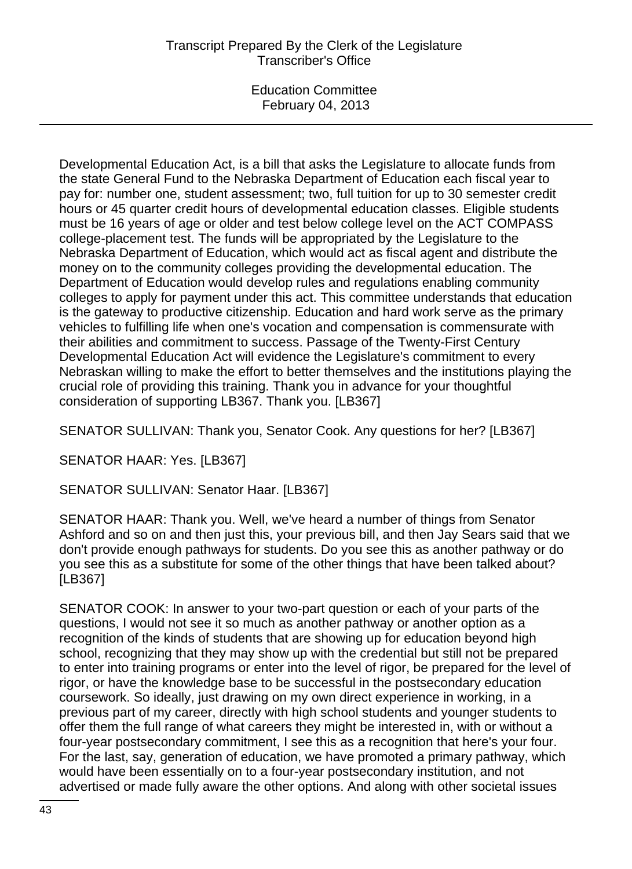# Transcript Prepared By the Clerk of the Legislature Transcriber's Office

Education Committee February 04, 2013

Developmental Education Act, is a bill that asks the Legislature to allocate funds from the state General Fund to the Nebraska Department of Education each fiscal year to pay for: number one, student assessment; two, full tuition for up to 30 semester credit hours or 45 quarter credit hours of developmental education classes. Eligible students must be 16 years of age or older and test below college level on the ACT COMPASS college-placement test. The funds will be appropriated by the Legislature to the Nebraska Department of Education, which would act as fiscal agent and distribute the money on to the community colleges providing the developmental education. The Department of Education would develop rules and regulations enabling community colleges to apply for payment under this act. This committee understands that education is the gateway to productive citizenship. Education and hard work serve as the primary vehicles to fulfilling life when one's vocation and compensation is commensurate with their abilities and commitment to success. Passage of the Twenty-First Century Developmental Education Act will evidence the Legislature's commitment to every Nebraskan willing to make the effort to better themselves and the institutions playing the crucial role of providing this training. Thank you in advance for your thoughtful consideration of supporting LB367. Thank you. [LB367]

SENATOR SULLIVAN: Thank you, Senator Cook. Any questions for her? [LB367]

SENATOR HAAR: Yes. [LB367]

SENATOR SULLIVAN: Senator Haar. [LB367]

SENATOR HAAR: Thank you. Well, we've heard a number of things from Senator Ashford and so on and then just this, your previous bill, and then Jay Sears said that we don't provide enough pathways for students. Do you see this as another pathway or do you see this as a substitute for some of the other things that have been talked about? [LB367]

SENATOR COOK: In answer to your two-part question or each of your parts of the questions, I would not see it so much as another pathway or another option as a recognition of the kinds of students that are showing up for education beyond high school, recognizing that they may show up with the credential but still not be prepared to enter into training programs or enter into the level of rigor, be prepared for the level of rigor, or have the knowledge base to be successful in the postsecondary education coursework. So ideally, just drawing on my own direct experience in working, in a previous part of my career, directly with high school students and younger students to offer them the full range of what careers they might be interested in, with or without a four-year postsecondary commitment, I see this as a recognition that here's your four. For the last, say, generation of education, we have promoted a primary pathway, which would have been essentially on to a four-year postsecondary institution, and not advertised or made fully aware the other options. And along with other societal issues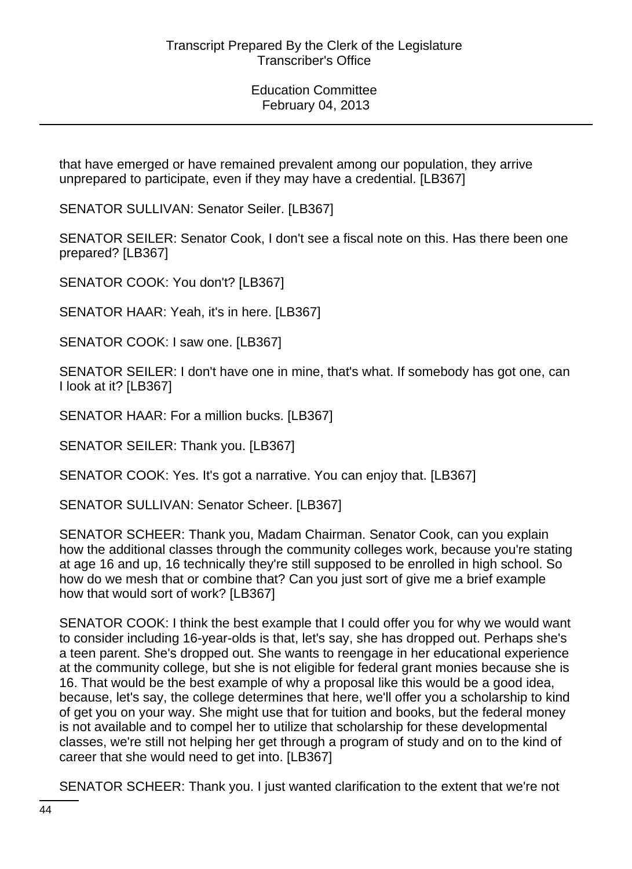that have emerged or have remained prevalent among our population, they arrive unprepared to participate, even if they may have a credential. [LB367]

SENATOR SULLIVAN: Senator Seiler. [LB367]

SENATOR SEILER: Senator Cook, I don't see a fiscal note on this. Has there been one prepared? [LB367]

SENATOR COOK: You don't? [LB367]

SENATOR HAAR: Yeah, it's in here. [LB367]

SENATOR COOK: I saw one. [LB367]

SENATOR SEILER: I don't have one in mine, that's what. If somebody has got one, can I look at it? [LB367]

SENATOR HAAR: For a million bucks. [LB367]

SENATOR SEILER: Thank you. [LB367]

SENATOR COOK: Yes. It's got a narrative. You can enjoy that. [LB367]

SENATOR SULLIVAN: Senator Scheer. [LB367]

SENATOR SCHEER: Thank you, Madam Chairman. Senator Cook, can you explain how the additional classes through the community colleges work, because you're stating at age 16 and up, 16 technically they're still supposed to be enrolled in high school. So how do we mesh that or combine that? Can you just sort of give me a brief example how that would sort of work? [LB367]

SENATOR COOK: I think the best example that I could offer you for why we would want to consider including 16-year-olds is that, let's say, she has dropped out. Perhaps she's a teen parent. She's dropped out. She wants to reengage in her educational experience at the community college, but she is not eligible for federal grant monies because she is 16. That would be the best example of why a proposal like this would be a good idea, because, let's say, the college determines that here, we'll offer you a scholarship to kind of get you on your way. She might use that for tuition and books, but the federal money is not available and to compel her to utilize that scholarship for these developmental classes, we're still not helping her get through a program of study and on to the kind of career that she would need to get into. [LB367]

SENATOR SCHEER: Thank you. I just wanted clarification to the extent that we're not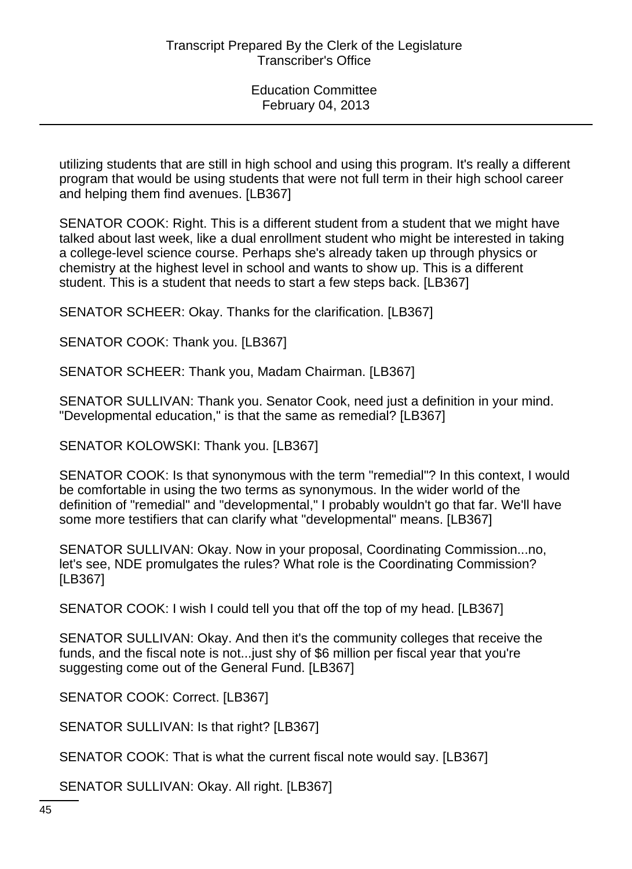utilizing students that are still in high school and using this program. It's really a different program that would be using students that were not full term in their high school career and helping them find avenues. [LB367]

SENATOR COOK: Right. This is a different student from a student that we might have talked about last week, like a dual enrollment student who might be interested in taking a college-level science course. Perhaps she's already taken up through physics or chemistry at the highest level in school and wants to show up. This is a different student. This is a student that needs to start a few steps back. [LB367]

SENATOR SCHEER: Okay. Thanks for the clarification. [LB367]

SENATOR COOK: Thank you. [LB367]

SENATOR SCHEER: Thank you, Madam Chairman. [LB367]

SENATOR SULLIVAN: Thank you. Senator Cook, need just a definition in your mind. "Developmental education," is that the same as remedial? [LB367]

SENATOR KOLOWSKI: Thank you. [LB367]

SENATOR COOK: Is that synonymous with the term "remedial"? In this context, I would be comfortable in using the two terms as synonymous. In the wider world of the definition of "remedial" and "developmental," I probably wouldn't go that far. We'll have some more testifiers that can clarify what "developmental" means. [LB367]

SENATOR SULLIVAN: Okay. Now in your proposal, Coordinating Commission...no, let's see, NDE promulgates the rules? What role is the Coordinating Commission? [LB367]

SENATOR COOK: I wish I could tell you that off the top of my head. [LB367]

SENATOR SULLIVAN: Okay. And then it's the community colleges that receive the funds, and the fiscal note is not...just shy of \$6 million per fiscal year that you're suggesting come out of the General Fund. [LB367]

SENATOR COOK: Correct. [LB367]

SENATOR SULLIVAN: Is that right? [LB367]

SENATOR COOK: That is what the current fiscal note would say. [LB367]

SENATOR SULLIVAN: Okay. All right. [LB367]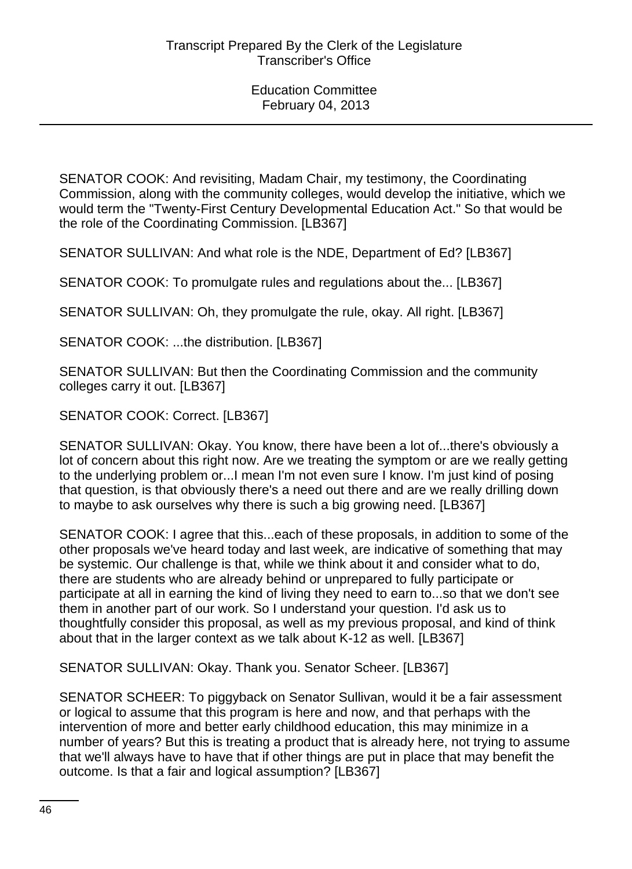SENATOR COOK: And revisiting, Madam Chair, my testimony, the Coordinating Commission, along with the community colleges, would develop the initiative, which we would term the "Twenty-First Century Developmental Education Act." So that would be the role of the Coordinating Commission. [LB367]

SENATOR SULLIVAN: And what role is the NDE, Department of Ed? [LB367]

SENATOR COOK: To promulgate rules and regulations about the... [LB367]

SENATOR SULLIVAN: Oh, they promulgate the rule, okay. All right. [LB367]

SENATOR COOK: ...the distribution. [LB367]

SENATOR SULLIVAN: But then the Coordinating Commission and the community colleges carry it out. [LB367]

SENATOR COOK: Correct. [LB367]

SENATOR SULLIVAN: Okay. You know, there have been a lot of...there's obviously a lot of concern about this right now. Are we treating the symptom or are we really getting to the underlying problem or...I mean I'm not even sure I know. I'm just kind of posing that question, is that obviously there's a need out there and are we really drilling down to maybe to ask ourselves why there is such a big growing need. [LB367]

SENATOR COOK: I agree that this...each of these proposals, in addition to some of the other proposals we've heard today and last week, are indicative of something that may be systemic. Our challenge is that, while we think about it and consider what to do, there are students who are already behind or unprepared to fully participate or participate at all in earning the kind of living they need to earn to...so that we don't see them in another part of our work. So I understand your question. I'd ask us to thoughtfully consider this proposal, as well as my previous proposal, and kind of think about that in the larger context as we talk about K-12 as well. [LB367]

SENATOR SULLIVAN: Okay. Thank you. Senator Scheer. [LB367]

SENATOR SCHEER: To piggyback on Senator Sullivan, would it be a fair assessment or logical to assume that this program is here and now, and that perhaps with the intervention of more and better early childhood education, this may minimize in a number of years? But this is treating a product that is already here, not trying to assume that we'll always have to have that if other things are put in place that may benefit the outcome. Is that a fair and logical assumption? [LB367]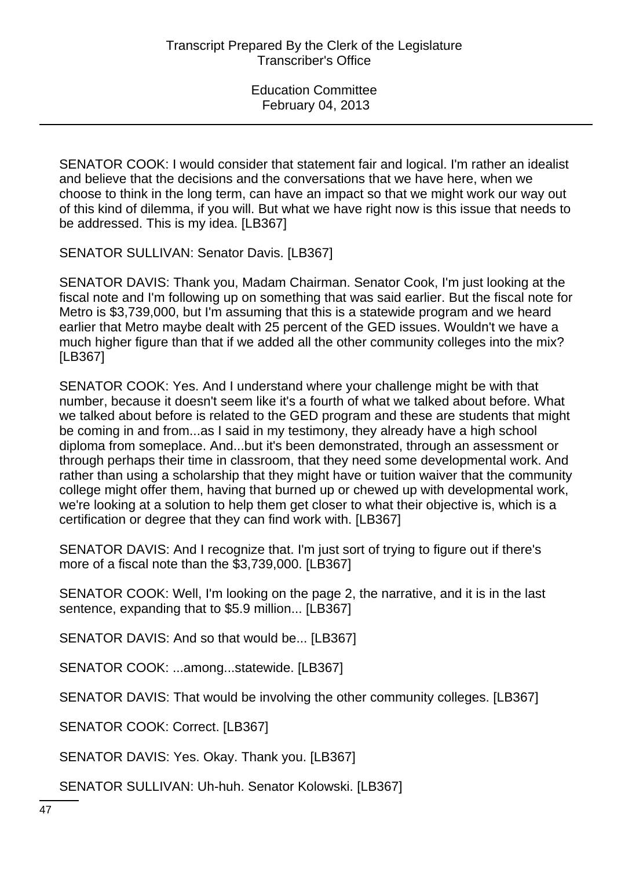SENATOR COOK: I would consider that statement fair and logical. I'm rather an idealist and believe that the decisions and the conversations that we have here, when we choose to think in the long term, can have an impact so that we might work our way out of this kind of dilemma, if you will. But what we have right now is this issue that needs to be addressed. This is my idea. [LB367]

SENATOR SULLIVAN: Senator Davis. [LB367]

SENATOR DAVIS: Thank you, Madam Chairman. Senator Cook, I'm just looking at the fiscal note and I'm following up on something that was said earlier. But the fiscal note for Metro is \$3,739,000, but I'm assuming that this is a statewide program and we heard earlier that Metro maybe dealt with 25 percent of the GED issues. Wouldn't we have a much higher figure than that if we added all the other community colleges into the mix? [LB367]

SENATOR COOK: Yes. And I understand where your challenge might be with that number, because it doesn't seem like it's a fourth of what we talked about before. What we talked about before is related to the GED program and these are students that might be coming in and from...as I said in my testimony, they already have a high school diploma from someplace. And...but it's been demonstrated, through an assessment or through perhaps their time in classroom, that they need some developmental work. And rather than using a scholarship that they might have or tuition waiver that the community college might offer them, having that burned up or chewed up with developmental work, we're looking at a solution to help them get closer to what their objective is, which is a certification or degree that they can find work with. [LB367]

SENATOR DAVIS: And I recognize that. I'm just sort of trying to figure out if there's more of a fiscal note than the \$3,739,000. [LB367]

SENATOR COOK: Well, I'm looking on the page 2, the narrative, and it is in the last sentence, expanding that to \$5.9 million... [LB367]

SENATOR DAVIS: And so that would be... [LB367]

SENATOR COOK: ...among...statewide. [LB367]

SENATOR DAVIS: That would be involving the other community colleges. [LB367]

SENATOR COOK: Correct. [LB367]

SENATOR DAVIS: Yes. Okay. Thank you. [LB367]

SENATOR SULLIVAN: Uh-huh. Senator Kolowski. [LB367]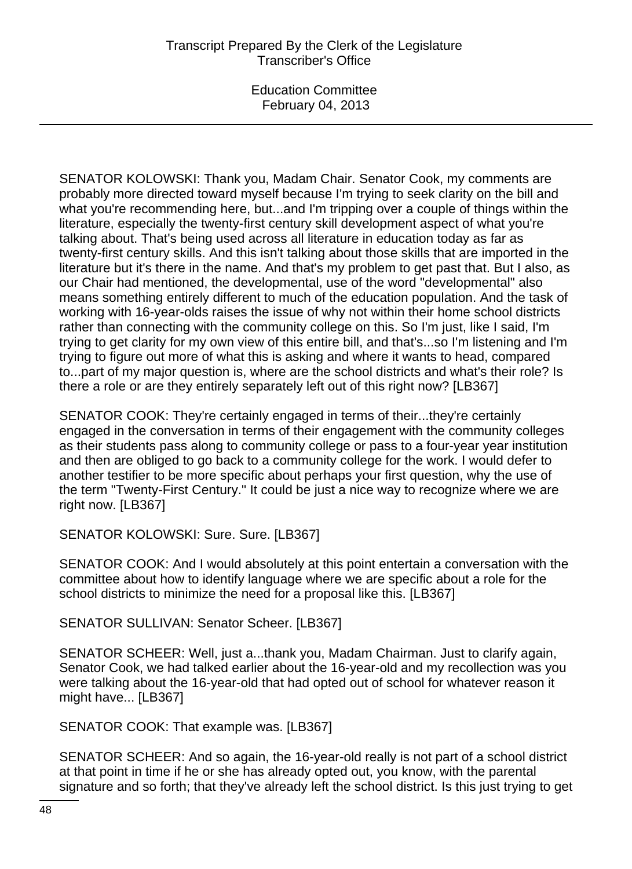SENATOR KOLOWSKI: Thank you, Madam Chair. Senator Cook, my comments are probably more directed toward myself because I'm trying to seek clarity on the bill and what you're recommending here, but...and I'm tripping over a couple of things within the literature, especially the twenty-first century skill development aspect of what you're talking about. That's being used across all literature in education today as far as twenty-first century skills. And this isn't talking about those skills that are imported in the literature but it's there in the name. And that's my problem to get past that. But I also, as our Chair had mentioned, the developmental, use of the word "developmental" also means something entirely different to much of the education population. And the task of working with 16-year-olds raises the issue of why not within their home school districts rather than connecting with the community college on this. So I'm just, like I said, I'm trying to get clarity for my own view of this entire bill, and that's...so I'm listening and I'm trying to figure out more of what this is asking and where it wants to head, compared to...part of my major question is, where are the school districts and what's their role? Is there a role or are they entirely separately left out of this right now? [LB367]

SENATOR COOK: They're certainly engaged in terms of their...they're certainly engaged in the conversation in terms of their engagement with the community colleges as their students pass along to community college or pass to a four-year year institution and then are obliged to go back to a community college for the work. I would defer to another testifier to be more specific about perhaps your first question, why the use of the term "Twenty-First Century." It could be just a nice way to recognize where we are right now. [LB367]

SENATOR KOLOWSKI: Sure. Sure. [LB367]

SENATOR COOK: And I would absolutely at this point entertain a conversation with the committee about how to identify language where we are specific about a role for the school districts to minimize the need for a proposal like this. [LB367]

SENATOR SULLIVAN: Senator Scheer. [LB367]

SENATOR SCHEER: Well, just a...thank you, Madam Chairman. Just to clarify again, Senator Cook, we had talked earlier about the 16-year-old and my recollection was you were talking about the 16-year-old that had opted out of school for whatever reason it might have... [LB367]

SENATOR COOK: That example was. [LB367]

SENATOR SCHEER: And so again, the 16-year-old really is not part of a school district at that point in time if he or she has already opted out, you know, with the parental signature and so forth; that they've already left the school district. Is this just trying to get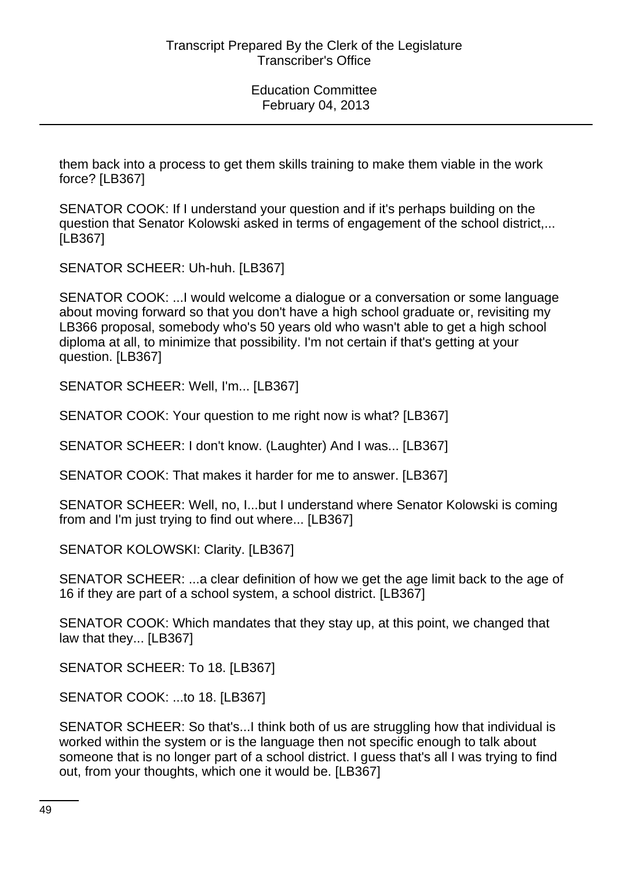them back into a process to get them skills training to make them viable in the work force? [LB367]

SENATOR COOK: If I understand your question and if it's perhaps building on the question that Senator Kolowski asked in terms of engagement of the school district,... [LB367]

SENATOR SCHEER: Uh-huh. [LB367]

SENATOR COOK: ...I would welcome a dialogue or a conversation or some language about moving forward so that you don't have a high school graduate or, revisiting my LB366 proposal, somebody who's 50 years old who wasn't able to get a high school diploma at all, to minimize that possibility. I'm not certain if that's getting at your question. [LB367]

SENATOR SCHEER: Well, I'm... [LB367]

SENATOR COOK: Your question to me right now is what? [LB367]

SENATOR SCHEER: I don't know. (Laughter) And I was... [LB367]

SENATOR COOK: That makes it harder for me to answer. [LB367]

SENATOR SCHEER: Well, no, I...but I understand where Senator Kolowski is coming from and I'm just trying to find out where... [LB367]

SENATOR KOLOWSKI: Clarity. [LB367]

SENATOR SCHEER: ...a clear definition of how we get the age limit back to the age of 16 if they are part of a school system, a school district. [LB367]

SENATOR COOK: Which mandates that they stay up, at this point, we changed that law that they... [LB367]

SENATOR SCHEER: To 18. [LB367]

SENATOR COOK: ...to 18. [LB367]

SENATOR SCHEER: So that's...I think both of us are struggling how that individual is worked within the system or is the language then not specific enough to talk about someone that is no longer part of a school district. I guess that's all I was trying to find out, from your thoughts, which one it would be. [LB367]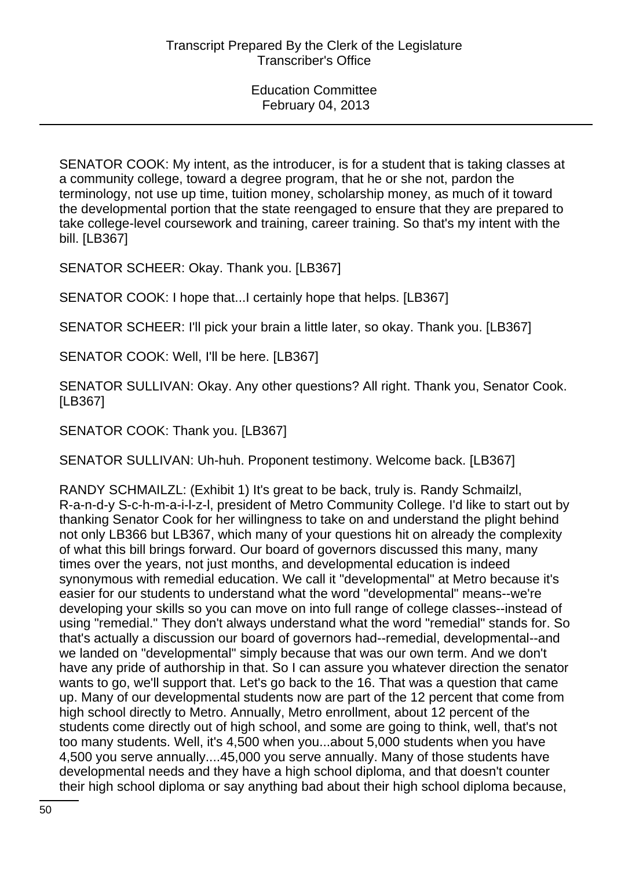SENATOR COOK: My intent, as the introducer, is for a student that is taking classes at a community college, toward a degree program, that he or she not, pardon the terminology, not use up time, tuition money, scholarship money, as much of it toward the developmental portion that the state reengaged to ensure that they are prepared to take college-level coursework and training, career training. So that's my intent with the bill. [LB367]

SENATOR SCHEER: Okay. Thank you. [LB367]

SENATOR COOK: I hope that...I certainly hope that helps. [LB367]

SENATOR SCHEER: I'll pick your brain a little later, so okay. Thank you. [LB367]

SENATOR COOK: Well, I'll be here. [LB367]

SENATOR SULLIVAN: Okay. Any other questions? All right. Thank you, Senator Cook. [LB367]

SENATOR COOK: Thank you. [LB367]

SENATOR SULLIVAN: Uh-huh. Proponent testimony. Welcome back. [LB367]

RANDY SCHMAILZL: (Exhibit 1) It's great to be back, truly is. Randy Schmailzl, R-a-n-d-y S-c-h-m-a-i-l-z-l, president of Metro Community College. I'd like to start out by thanking Senator Cook for her willingness to take on and understand the plight behind not only LB366 but LB367, which many of your questions hit on already the complexity of what this bill brings forward. Our board of governors discussed this many, many times over the years, not just months, and developmental education is indeed synonymous with remedial education. We call it "developmental" at Metro because it's easier for our students to understand what the word "developmental" means--we're developing your skills so you can move on into full range of college classes--instead of using "remedial." They don't always understand what the word "remedial" stands for. So that's actually a discussion our board of governors had--remedial, developmental--and we landed on "developmental" simply because that was our own term. And we don't have any pride of authorship in that. So I can assure you whatever direction the senator wants to go, we'll support that. Let's go back to the 16. That was a question that came up. Many of our developmental students now are part of the 12 percent that come from high school directly to Metro. Annually, Metro enrollment, about 12 percent of the students come directly out of high school, and some are going to think, well, that's not too many students. Well, it's 4,500 when you...about 5,000 students when you have 4,500 you serve annually....45,000 you serve annually. Many of those students have developmental needs and they have a high school diploma, and that doesn't counter their high school diploma or say anything bad about their high school diploma because,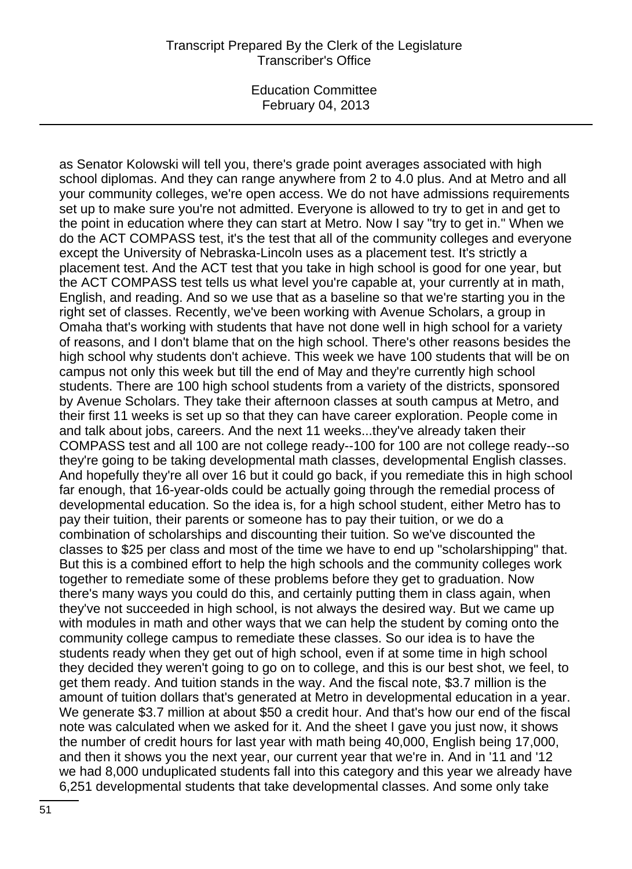### Transcript Prepared By the Clerk of the Legislature Transcriber's Office

Education Committee February 04, 2013

as Senator Kolowski will tell you, there's grade point averages associated with high school diplomas. And they can range anywhere from 2 to 4.0 plus. And at Metro and all your community colleges, we're open access. We do not have admissions requirements set up to make sure you're not admitted. Everyone is allowed to try to get in and get to the point in education where they can start at Metro. Now I say "try to get in." When we do the ACT COMPASS test, it's the test that all of the community colleges and everyone except the University of Nebraska-Lincoln uses as a placement test. It's strictly a placement test. And the ACT test that you take in high school is good for one year, but the ACT COMPASS test tells us what level you're capable at, your currently at in math, English, and reading. And so we use that as a baseline so that we're starting you in the right set of classes. Recently, we've been working with Avenue Scholars, a group in Omaha that's working with students that have not done well in high school for a variety of reasons, and I don't blame that on the high school. There's other reasons besides the high school why students don't achieve. This week we have 100 students that will be on campus not only this week but till the end of May and they're currently high school students. There are 100 high school students from a variety of the districts, sponsored by Avenue Scholars. They take their afternoon classes at south campus at Metro, and their first 11 weeks is set up so that they can have career exploration. People come in and talk about jobs, careers. And the next 11 weeks...they've already taken their COMPASS test and all 100 are not college ready--100 for 100 are not college ready--so they're going to be taking developmental math classes, developmental English classes. And hopefully they're all over 16 but it could go back, if you remediate this in high school far enough, that 16-year-olds could be actually going through the remedial process of developmental education. So the idea is, for a high school student, either Metro has to pay their tuition, their parents or someone has to pay their tuition, or we do a combination of scholarships and discounting their tuition. So we've discounted the classes to \$25 per class and most of the time we have to end up "scholarshipping" that. But this is a combined effort to help the high schools and the community colleges work together to remediate some of these problems before they get to graduation. Now there's many ways you could do this, and certainly putting them in class again, when they've not succeeded in high school, is not always the desired way. But we came up with modules in math and other ways that we can help the student by coming onto the community college campus to remediate these classes. So our idea is to have the students ready when they get out of high school, even if at some time in high school they decided they weren't going to go on to college, and this is our best shot, we feel, to get them ready. And tuition stands in the way. And the fiscal note, \$3.7 million is the amount of tuition dollars that's generated at Metro in developmental education in a year. We generate \$3.7 million at about \$50 a credit hour. And that's how our end of the fiscal note was calculated when we asked for it. And the sheet I gave you just now, it shows the number of credit hours for last year with math being 40,000, English being 17,000, and then it shows you the next year, our current year that we're in. And in '11 and '12 we had 8,000 unduplicated students fall into this category and this year we already have 6,251 developmental students that take developmental classes. And some only take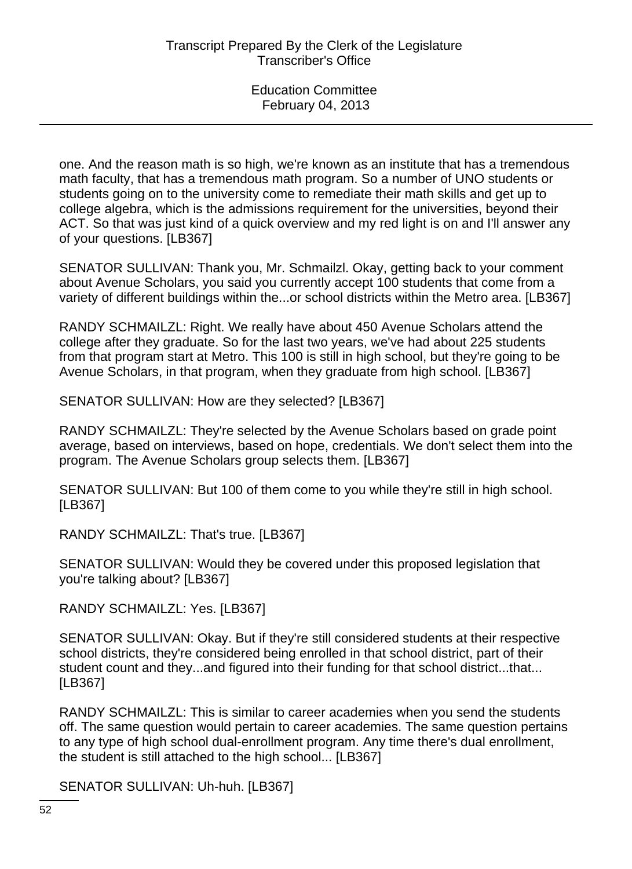one. And the reason math is so high, we're known as an institute that has a tremendous math faculty, that has a tremendous math program. So a number of UNO students or students going on to the university come to remediate their math skills and get up to college algebra, which is the admissions requirement for the universities, beyond their ACT. So that was just kind of a quick overview and my red light is on and I'll answer any of your questions. [LB367]

SENATOR SULLIVAN: Thank you, Mr. Schmailzl. Okay, getting back to your comment about Avenue Scholars, you said you currently accept 100 students that come from a variety of different buildings within the...or school districts within the Metro area. [LB367]

RANDY SCHMAILZL: Right. We really have about 450 Avenue Scholars attend the college after they graduate. So for the last two years, we've had about 225 students from that program start at Metro. This 100 is still in high school, but they're going to be Avenue Scholars, in that program, when they graduate from high school. [LB367]

SENATOR SULLIVAN: How are they selected? [LB367]

RANDY SCHMAILZL: They're selected by the Avenue Scholars based on grade point average, based on interviews, based on hope, credentials. We don't select them into the program. The Avenue Scholars group selects them. [LB367]

SENATOR SULLIVAN: But 100 of them come to you while they're still in high school. [LB367]

RANDY SCHMAILZL: That's true. [LB367]

SENATOR SULLIVAN: Would they be covered under this proposed legislation that you're talking about? [LB367]

RANDY SCHMAILZL: Yes. [LB367]

SENATOR SULLIVAN: Okay. But if they're still considered students at their respective school districts, they're considered being enrolled in that school district, part of their student count and they...and figured into their funding for that school district...that... [LB367]

RANDY SCHMAILZL: This is similar to career academies when you send the students off. The same question would pertain to career academies. The same question pertains to any type of high school dual-enrollment program. Any time there's dual enrollment, the student is still attached to the high school... [LB367]

SENATOR SULLIVAN: Uh-huh. [LB367]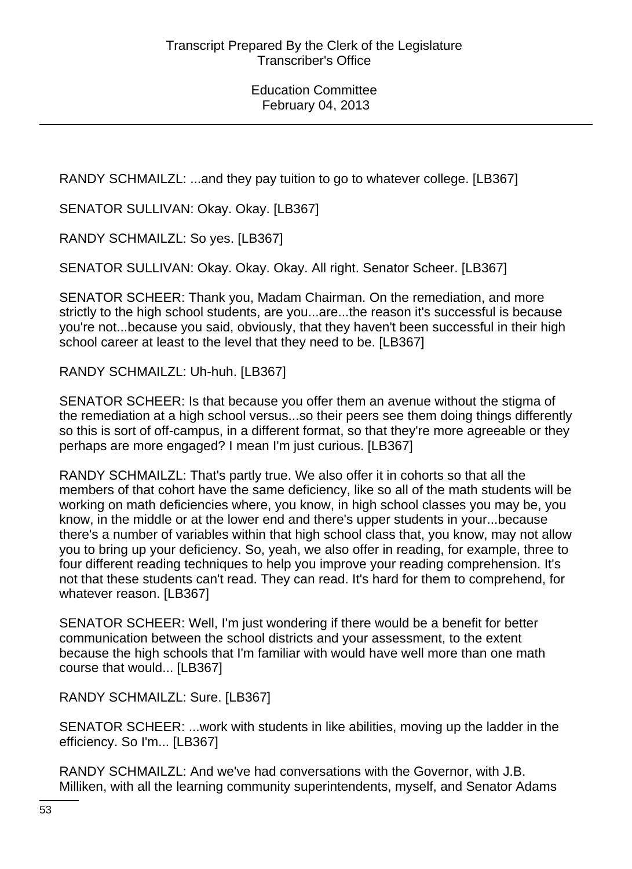RANDY SCHMAILZL: ...and they pay tuition to go to whatever college. [LB367]

SENATOR SULLIVAN: Okay. Okay. [LB367]

RANDY SCHMAILZL: So yes. [LB367]

SENATOR SULLIVAN: Okay. Okay. Okay. All right. Senator Scheer. [LB367]

SENATOR SCHEER: Thank you, Madam Chairman. On the remediation, and more strictly to the high school students, are you...are...the reason it's successful is because you're not...because you said, obviously, that they haven't been successful in their high school career at least to the level that they need to be. [LB367]

RANDY SCHMAILZL: Uh-huh. [LB367]

SENATOR SCHEER: Is that because you offer them an avenue without the stigma of the remediation at a high school versus...so their peers see them doing things differently so this is sort of off-campus, in a different format, so that they're more agreeable or they perhaps are more engaged? I mean I'm just curious. [LB367]

RANDY SCHMAILZL: That's partly true. We also offer it in cohorts so that all the members of that cohort have the same deficiency, like so all of the math students will be working on math deficiencies where, you know, in high school classes you may be, you know, in the middle or at the lower end and there's upper students in your...because there's a number of variables within that high school class that, you know, may not allow you to bring up your deficiency. So, yeah, we also offer in reading, for example, three to four different reading techniques to help you improve your reading comprehension. It's not that these students can't read. They can read. It's hard for them to comprehend, for whatever reason. [LB367]

SENATOR SCHEER: Well, I'm just wondering if there would be a benefit for better communication between the school districts and your assessment, to the extent because the high schools that I'm familiar with would have well more than one math course that would... [LB367]

RANDY SCHMAILZL: Sure. [LB367]

SENATOR SCHEER: ...work with students in like abilities, moving up the ladder in the efficiency. So I'm... [LB367]

RANDY SCHMAILZL: And we've had conversations with the Governor, with J.B. Milliken, with all the learning community superintendents, myself, and Senator Adams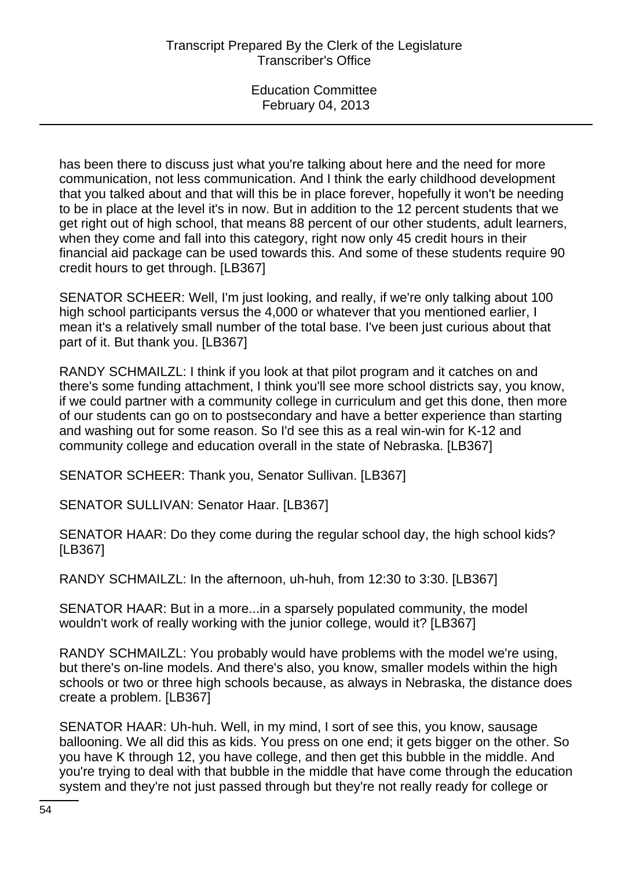has been there to discuss just what you're talking about here and the need for more communication, not less communication. And I think the early childhood development that you talked about and that will this be in place forever, hopefully it won't be needing to be in place at the level it's in now. But in addition to the 12 percent students that we get right out of high school, that means 88 percent of our other students, adult learners, when they come and fall into this category, right now only 45 credit hours in their financial aid package can be used towards this. And some of these students require 90 credit hours to get through. [LB367]

SENATOR SCHEER: Well, I'm just looking, and really, if we're only talking about 100 high school participants versus the 4,000 or whatever that you mentioned earlier, I mean it's a relatively small number of the total base. I've been just curious about that part of it. But thank you. [LB367]

RANDY SCHMAILZL: I think if you look at that pilot program and it catches on and there's some funding attachment, I think you'll see more school districts say, you know, if we could partner with a community college in curriculum and get this done, then more of our students can go on to postsecondary and have a better experience than starting and washing out for some reason. So I'd see this as a real win-win for K-12 and community college and education overall in the state of Nebraska. [LB367]

SENATOR SCHEER: Thank you, Senator Sullivan. [LB367]

SENATOR SULLIVAN: Senator Haar. [LB367]

SENATOR HAAR: Do they come during the regular school day, the high school kids? [LB367]

RANDY SCHMAILZL: In the afternoon, uh-huh, from 12:30 to 3:30. [LB367]

SENATOR HAAR: But in a more...in a sparsely populated community, the model wouldn't work of really working with the junior college, would it? [LB367]

RANDY SCHMAILZL: You probably would have problems with the model we're using, but there's on-line models. And there's also, you know, smaller models within the high schools or two or three high schools because, as always in Nebraska, the distance does create a problem. [LB367]

SENATOR HAAR: Uh-huh. Well, in my mind, I sort of see this, you know, sausage ballooning. We all did this as kids. You press on one end; it gets bigger on the other. So you have K through 12, you have college, and then get this bubble in the middle. And you're trying to deal with that bubble in the middle that have come through the education system and they're not just passed through but they're not really ready for college or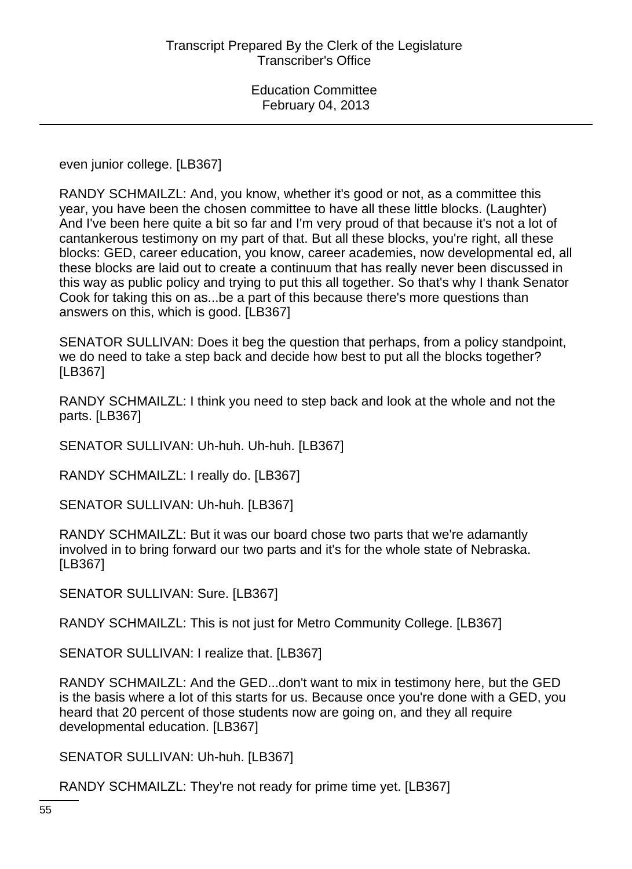even junior college. [LB367]

RANDY SCHMAILZL: And, you know, whether it's good or not, as a committee this year, you have been the chosen committee to have all these little blocks. (Laughter) And I've been here quite a bit so far and I'm very proud of that because it's not a lot of cantankerous testimony on my part of that. But all these blocks, you're right, all these blocks: GED, career education, you know, career academies, now developmental ed, all these blocks are laid out to create a continuum that has really never been discussed in this way as public policy and trying to put this all together. So that's why I thank Senator Cook for taking this on as...be a part of this because there's more questions than answers on this, which is good. [LB367]

SENATOR SULLIVAN: Does it beg the question that perhaps, from a policy standpoint, we do need to take a step back and decide how best to put all the blocks together? [LB367]

RANDY SCHMAILZL: I think you need to step back and look at the whole and not the parts. [LB367]

SENATOR SULLIVAN: Uh-huh. Uh-huh. [LB367]

RANDY SCHMAILZL: I really do. [LB367]

SENATOR SULLIVAN: Uh-huh. [LB367]

RANDY SCHMAILZL: But it was our board chose two parts that we're adamantly involved in to bring forward our two parts and it's for the whole state of Nebraska. [LB367]

SENATOR SULLIVAN: Sure. [LB367]

RANDY SCHMAILZL: This is not just for Metro Community College. [LB367]

SENATOR SULLIVAN: I realize that. [LB367]

RANDY SCHMAILZL: And the GED...don't want to mix in testimony here, but the GED is the basis where a lot of this starts for us. Because once you're done with a GED, you heard that 20 percent of those students now are going on, and they all require developmental education. [LB367]

SENATOR SULLIVAN: Uh-huh. [LB367]

RANDY SCHMAILZL: They're not ready for prime time yet. [LB367]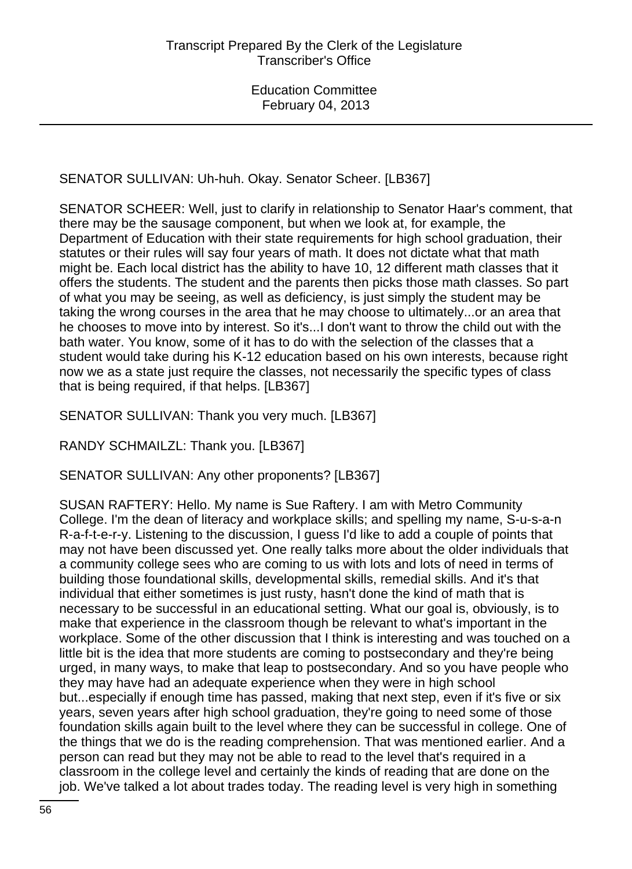SENATOR SULLIVAN: Uh-huh. Okay. Senator Scheer. [LB367]

SENATOR SCHEER: Well, just to clarify in relationship to Senator Haar's comment, that there may be the sausage component, but when we look at, for example, the Department of Education with their state requirements for high school graduation, their statutes or their rules will say four years of math. It does not dictate what that math might be. Each local district has the ability to have 10, 12 different math classes that it offers the students. The student and the parents then picks those math classes. So part of what you may be seeing, as well as deficiency, is just simply the student may be taking the wrong courses in the area that he may choose to ultimately...or an area that he chooses to move into by interest. So it's...I don't want to throw the child out with the bath water. You know, some of it has to do with the selection of the classes that a student would take during his K-12 education based on his own interests, because right now we as a state just require the classes, not necessarily the specific types of class that is being required, if that helps. [LB367]

SENATOR SULLIVAN: Thank you very much. [LB367]

RANDY SCHMAILZL: Thank you. [LB367]

SENATOR SULLIVAN: Any other proponents? [LB367]

SUSAN RAFTERY: Hello. My name is Sue Raftery. I am with Metro Community College. I'm the dean of literacy and workplace skills; and spelling my name, S-u-s-a-n R-a-f-t-e-r-y. Listening to the discussion, I guess I'd like to add a couple of points that may not have been discussed yet. One really talks more about the older individuals that a community college sees who are coming to us with lots and lots of need in terms of building those foundational skills, developmental skills, remedial skills. And it's that individual that either sometimes is just rusty, hasn't done the kind of math that is necessary to be successful in an educational setting. What our goal is, obviously, is to make that experience in the classroom though be relevant to what's important in the workplace. Some of the other discussion that I think is interesting and was touched on a little bit is the idea that more students are coming to postsecondary and they're being urged, in many ways, to make that leap to postsecondary. And so you have people who they may have had an adequate experience when they were in high school but...especially if enough time has passed, making that next step, even if it's five or six years, seven years after high school graduation, they're going to need some of those foundation skills again built to the level where they can be successful in college. One of the things that we do is the reading comprehension. That was mentioned earlier. And a person can read but they may not be able to read to the level that's required in a classroom in the college level and certainly the kinds of reading that are done on the job. We've talked a lot about trades today. The reading level is very high in something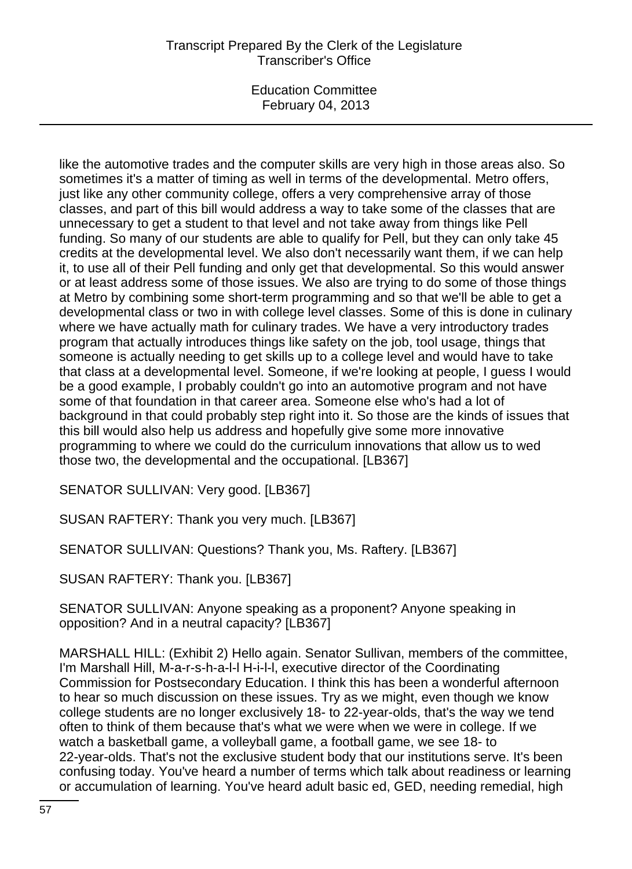# Transcript Prepared By the Clerk of the Legislature Transcriber's Office

Education Committee February 04, 2013

like the automotive trades and the computer skills are very high in those areas also. So sometimes it's a matter of timing as well in terms of the developmental. Metro offers, just like any other community college, offers a very comprehensive array of those classes, and part of this bill would address a way to take some of the classes that are unnecessary to get a student to that level and not take away from things like Pell funding. So many of our students are able to qualify for Pell, but they can only take 45 credits at the developmental level. We also don't necessarily want them, if we can help it, to use all of their Pell funding and only get that developmental. So this would answer or at least address some of those issues. We also are trying to do some of those things at Metro by combining some short-term programming and so that we'll be able to get a developmental class or two in with college level classes. Some of this is done in culinary where we have actually math for culinary trades. We have a very introductory trades program that actually introduces things like safety on the job, tool usage, things that someone is actually needing to get skills up to a college level and would have to take that class at a developmental level. Someone, if we're looking at people, I guess I would be a good example, I probably couldn't go into an automotive program and not have some of that foundation in that career area. Someone else who's had a lot of background in that could probably step right into it. So those are the kinds of issues that this bill would also help us address and hopefully give some more innovative programming to where we could do the curriculum innovations that allow us to wed those two, the developmental and the occupational. [LB367]

SENATOR SULLIVAN: Very good. [LB367]

SUSAN RAFTERY: Thank you very much. [LB367]

SENATOR SULLIVAN: Questions? Thank you, Ms. Raftery. [LB367]

SUSAN RAFTERY: Thank you. [LB367]

SENATOR SULLIVAN: Anyone speaking as a proponent? Anyone speaking in opposition? And in a neutral capacity? [LB367]

MARSHALL HILL: (Exhibit 2) Hello again. Senator Sullivan, members of the committee, I'm Marshall Hill, M-a-r-s-h-a-l-l H-i-l-l, executive director of the Coordinating Commission for Postsecondary Education. I think this has been a wonderful afternoon to hear so much discussion on these issues. Try as we might, even though we know college students are no longer exclusively 18- to 22-year-olds, that's the way we tend often to think of them because that's what we were when we were in college. If we watch a basketball game, a volleyball game, a football game, we see 18- to 22-year-olds. That's not the exclusive student body that our institutions serve. It's been confusing today. You've heard a number of terms which talk about readiness or learning or accumulation of learning. You've heard adult basic ed, GED, needing remedial, high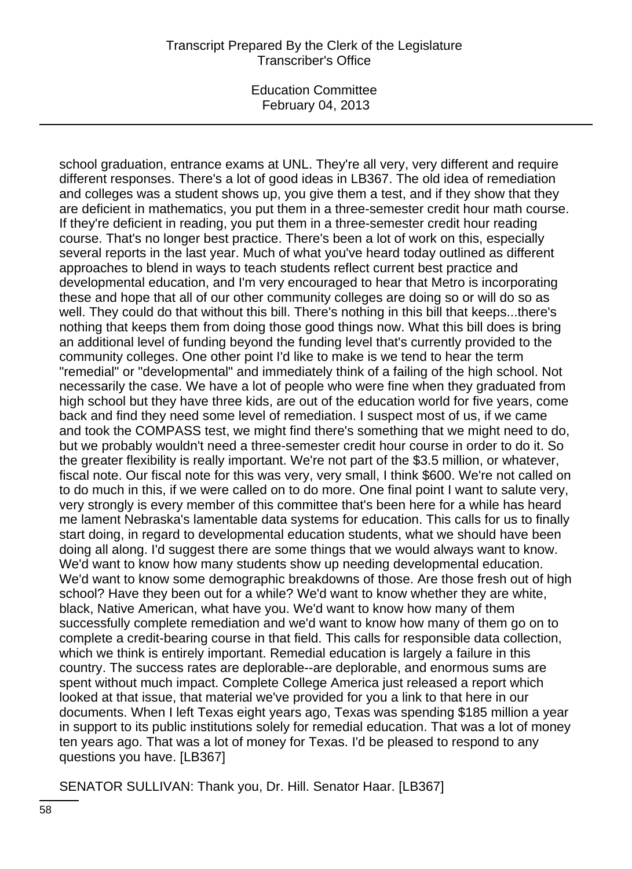school graduation, entrance exams at UNL. They're all very, very different and require different responses. There's a lot of good ideas in LB367. The old idea of remediation and colleges was a student shows up, you give them a test, and if they show that they are deficient in mathematics, you put them in a three-semester credit hour math course. If they're deficient in reading, you put them in a three-semester credit hour reading course. That's no longer best practice. There's been a lot of work on this, especially several reports in the last year. Much of what you've heard today outlined as different approaches to blend in ways to teach students reflect current best practice and developmental education, and I'm very encouraged to hear that Metro is incorporating these and hope that all of our other community colleges are doing so or will do so as well. They could do that without this bill. There's nothing in this bill that keeps...there's nothing that keeps them from doing those good things now. What this bill does is bring an additional level of funding beyond the funding level that's currently provided to the community colleges. One other point I'd like to make is we tend to hear the term "remedial" or "developmental" and immediately think of a failing of the high school. Not necessarily the case. We have a lot of people who were fine when they graduated from high school but they have three kids, are out of the education world for five years, come back and find they need some level of remediation. I suspect most of us, if we came and took the COMPASS test, we might find there's something that we might need to do, but we probably wouldn't need a three-semester credit hour course in order to do it. So the greater flexibility is really important. We're not part of the \$3.5 million, or whatever, fiscal note. Our fiscal note for this was very, very small, I think \$600. We're not called on to do much in this, if we were called on to do more. One final point I want to salute very, very strongly is every member of this committee that's been here for a while has heard me lament Nebraska's lamentable data systems for education. This calls for us to finally start doing, in regard to developmental education students, what we should have been doing all along. I'd suggest there are some things that we would always want to know. We'd want to know how many students show up needing developmental education. We'd want to know some demographic breakdowns of those. Are those fresh out of high school? Have they been out for a while? We'd want to know whether they are white, black, Native American, what have you. We'd want to know how many of them successfully complete remediation and we'd want to know how many of them go on to complete a credit-bearing course in that field. This calls for responsible data collection, which we think is entirely important. Remedial education is largely a failure in this country. The success rates are deplorable--are deplorable, and enormous sums are spent without much impact. Complete College America just released a report which looked at that issue, that material we've provided for you a link to that here in our documents. When I left Texas eight years ago, Texas was spending \$185 million a year in support to its public institutions solely for remedial education. That was a lot of money ten years ago. That was a lot of money for Texas. I'd be pleased to respond to any questions you have. [LB367]

SENATOR SULLIVAN: Thank you, Dr. Hill. Senator Haar. [LB367]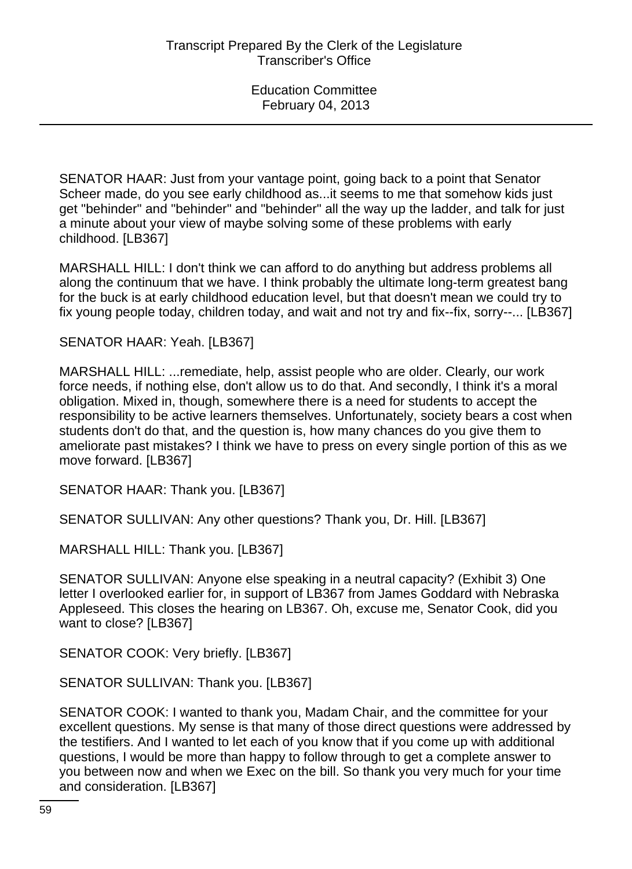SENATOR HAAR: Just from your vantage point, going back to a point that Senator Scheer made, do you see early childhood as...it seems to me that somehow kids just get "behinder" and "behinder" and "behinder" all the way up the ladder, and talk for just a minute about your view of maybe solving some of these problems with early childhood. [LB367]

MARSHALL HILL: I don't think we can afford to do anything but address problems all along the continuum that we have. I think probably the ultimate long-term greatest bang for the buck is at early childhood education level, but that doesn't mean we could try to fix young people today, children today, and wait and not try and fix--fix, sorry--... [LB367]

SENATOR HAAR: Yeah. [LB367]

MARSHALL HILL: ...remediate, help, assist people who are older. Clearly, our work force needs, if nothing else, don't allow us to do that. And secondly, I think it's a moral obligation. Mixed in, though, somewhere there is a need for students to accept the responsibility to be active learners themselves. Unfortunately, society bears a cost when students don't do that, and the question is, how many chances do you give them to ameliorate past mistakes? I think we have to press on every single portion of this as we move forward. [LB367]

SENATOR HAAR: Thank you. [LB367]

SENATOR SULLIVAN: Any other questions? Thank you, Dr. Hill. [LB367]

MARSHALL HILL: Thank you. [LB367]

SENATOR SULLIVAN: Anyone else speaking in a neutral capacity? (Exhibit 3) One letter I overlooked earlier for, in support of LB367 from James Goddard with Nebraska Appleseed. This closes the hearing on LB367. Oh, excuse me, Senator Cook, did you want to close? [LB367]

SENATOR COOK: Very briefly. [LB367]

SENATOR SULLIVAN: Thank you. [LB367]

SENATOR COOK: I wanted to thank you, Madam Chair, and the committee for your excellent questions. My sense is that many of those direct questions were addressed by the testifiers. And I wanted to let each of you know that if you come up with additional questions, I would be more than happy to follow through to get a complete answer to you between now and when we Exec on the bill. So thank you very much for your time and consideration. [LB367]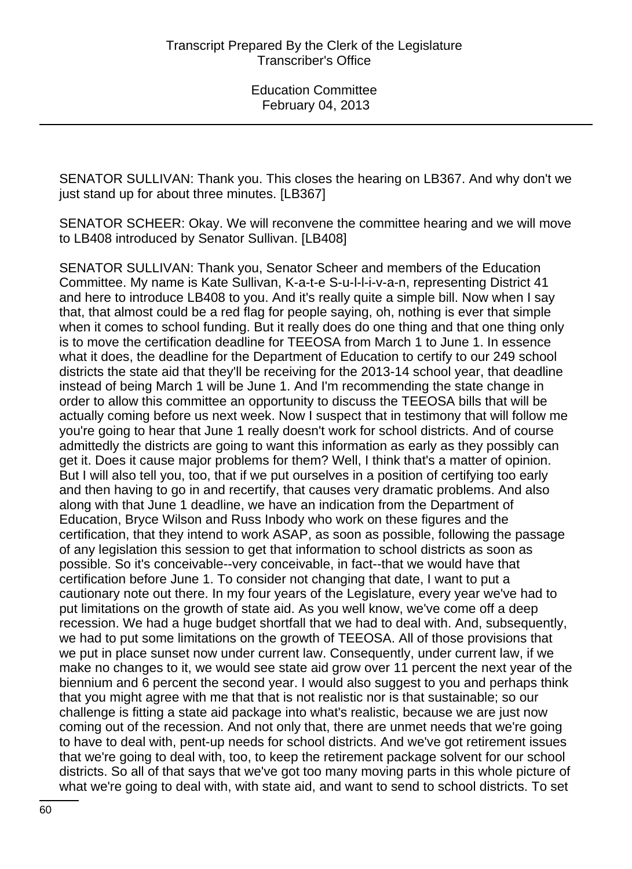SENATOR SULLIVAN: Thank you. This closes the hearing on LB367. And why don't we just stand up for about three minutes. [LB367]

SENATOR SCHEER: Okay. We will reconvene the committee hearing and we will move to LB408 introduced by Senator Sullivan. [LB408]

SENATOR SULLIVAN: Thank you, Senator Scheer and members of the Education Committee. My name is Kate Sullivan, K-a-t-e S-u-l-l-i-v-a-n, representing District 41 and here to introduce LB408 to you. And it's really quite a simple bill. Now when I say that, that almost could be a red flag for people saying, oh, nothing is ever that simple when it comes to school funding. But it really does do one thing and that one thing only is to move the certification deadline for TEEOSA from March 1 to June 1. In essence what it does, the deadline for the Department of Education to certify to our 249 school districts the state aid that they'll be receiving for the 2013-14 school year, that deadline instead of being March 1 will be June 1. And I'm recommending the state change in order to allow this committee an opportunity to discuss the TEEOSA bills that will be actually coming before us next week. Now I suspect that in testimony that will follow me you're going to hear that June 1 really doesn't work for school districts. And of course admittedly the districts are going to want this information as early as they possibly can get it. Does it cause major problems for them? Well, I think that's a matter of opinion. But I will also tell you, too, that if we put ourselves in a position of certifying too early and then having to go in and recertify, that causes very dramatic problems. And also along with that June 1 deadline, we have an indication from the Department of Education, Bryce Wilson and Russ Inbody who work on these figures and the certification, that they intend to work ASAP, as soon as possible, following the passage of any legislation this session to get that information to school districts as soon as possible. So it's conceivable--very conceivable, in fact--that we would have that certification before June 1. To consider not changing that date, I want to put a cautionary note out there. In my four years of the Legislature, every year we've had to put limitations on the growth of state aid. As you well know, we've come off a deep recession. We had a huge budget shortfall that we had to deal with. And, subsequently, we had to put some limitations on the growth of TEEOSA. All of those provisions that we put in place sunset now under current law. Consequently, under current law, if we make no changes to it, we would see state aid grow over 11 percent the next year of the biennium and 6 percent the second year. I would also suggest to you and perhaps think that you might agree with me that that is not realistic nor is that sustainable; so our challenge is fitting a state aid package into what's realistic, because we are just now coming out of the recession. And not only that, there are unmet needs that we're going to have to deal with, pent-up needs for school districts. And we've got retirement issues that we're going to deal with, too, to keep the retirement package solvent for our school districts. So all of that says that we've got too many moving parts in this whole picture of what we're going to deal with, with state aid, and want to send to school districts. To set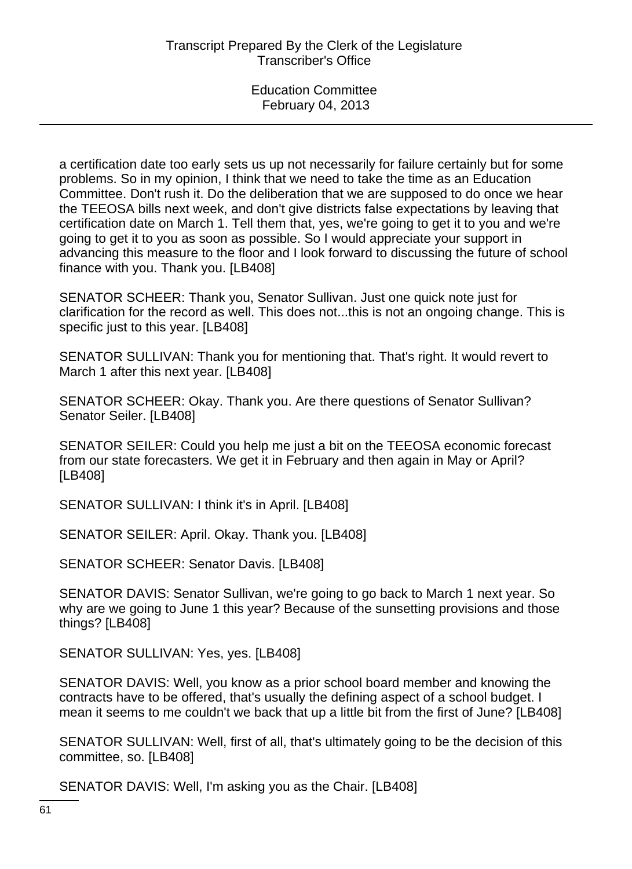a certification date too early sets us up not necessarily for failure certainly but for some problems. So in my opinion, I think that we need to take the time as an Education Committee. Don't rush it. Do the deliberation that we are supposed to do once we hear the TEEOSA bills next week, and don't give districts false expectations by leaving that certification date on March 1. Tell them that, yes, we're going to get it to you and we're going to get it to you as soon as possible. So I would appreciate your support in advancing this measure to the floor and I look forward to discussing the future of school finance with you. Thank you. [LB408]

SENATOR SCHEER: Thank you, Senator Sullivan. Just one quick note just for clarification for the record as well. This does not...this is not an ongoing change. This is specific just to this year. [LB408]

SENATOR SULLIVAN: Thank you for mentioning that. That's right. It would revert to March 1 after this next year. [LB408]

SENATOR SCHEER: Okay. Thank you. Are there questions of Senator Sullivan? Senator Seiler. [LB408]

SENATOR SEILER: Could you help me just a bit on the TEEOSA economic forecast from our state forecasters. We get it in February and then again in May or April? [LB408]

SENATOR SULLIVAN: I think it's in April. [LB408]

SENATOR SEILER: April. Okay. Thank you. [LB408]

SENATOR SCHEER: Senator Davis. [LB408]

SENATOR DAVIS: Senator Sullivan, we're going to go back to March 1 next year. So why are we going to June 1 this year? Because of the sunsetting provisions and those things? [LB408]

SENATOR SULLIVAN: Yes, yes. [LB408]

SENATOR DAVIS: Well, you know as a prior school board member and knowing the contracts have to be offered, that's usually the defining aspect of a school budget. I mean it seems to me couldn't we back that up a little bit from the first of June? [LB408]

SENATOR SULLIVAN: Well, first of all, that's ultimately going to be the decision of this committee, so. [LB408]

SENATOR DAVIS: Well, I'm asking you as the Chair. [LB408]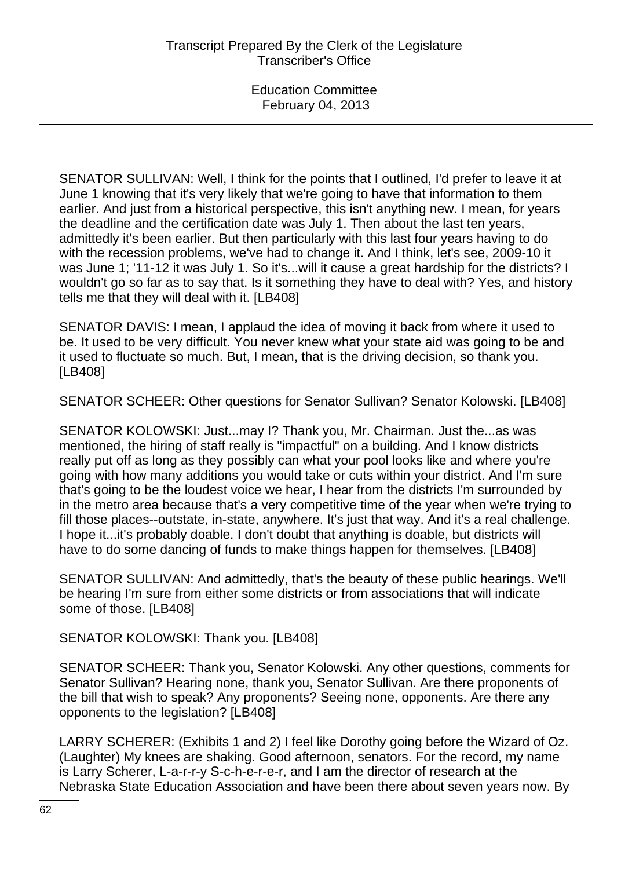SENATOR SULLIVAN: Well, I think for the points that I outlined, I'd prefer to leave it at June 1 knowing that it's very likely that we're going to have that information to them earlier. And just from a historical perspective, this isn't anything new. I mean, for years the deadline and the certification date was July 1. Then about the last ten years, admittedly it's been earlier. But then particularly with this last four years having to do with the recession problems, we've had to change it. And I think, let's see, 2009-10 it was June 1; '11-12 it was July 1. So it's...will it cause a great hardship for the districts? I wouldn't go so far as to say that. Is it something they have to deal with? Yes, and history tells me that they will deal with it. [LB408]

SENATOR DAVIS: I mean, I applaud the idea of moving it back from where it used to be. It used to be very difficult. You never knew what your state aid was going to be and it used to fluctuate so much. But, I mean, that is the driving decision, so thank you. [LB408]

SENATOR SCHEER: Other questions for Senator Sullivan? Senator Kolowski. [LB408]

SENATOR KOLOWSKI: Just...may I? Thank you, Mr. Chairman. Just the...as was mentioned, the hiring of staff really is "impactful" on a building. And I know districts really put off as long as they possibly can what your pool looks like and where you're going with how many additions you would take or cuts within your district. And I'm sure that's going to be the loudest voice we hear, I hear from the districts I'm surrounded by in the metro area because that's a very competitive time of the year when we're trying to fill those places--outstate, in-state, anywhere. It's just that way. And it's a real challenge. I hope it...it's probably doable. I don't doubt that anything is doable, but districts will have to do some dancing of funds to make things happen for themselves. [LB408]

SENATOR SULLIVAN: And admittedly, that's the beauty of these public hearings. We'll be hearing I'm sure from either some districts or from associations that will indicate some of those. [LB408]

SENATOR KOLOWSKI: Thank you. [LB408]

SENATOR SCHEER: Thank you, Senator Kolowski. Any other questions, comments for Senator Sullivan? Hearing none, thank you, Senator Sullivan. Are there proponents of the bill that wish to speak? Any proponents? Seeing none, opponents. Are there any opponents to the legislation? [LB408]

LARRY SCHERER: (Exhibits 1 and 2) I feel like Dorothy going before the Wizard of Oz. (Laughter) My knees are shaking. Good afternoon, senators. For the record, my name is Larry Scherer, L-a-r-r-y S-c-h-e-r-e-r, and I am the director of research at the Nebraska State Education Association and have been there about seven years now. By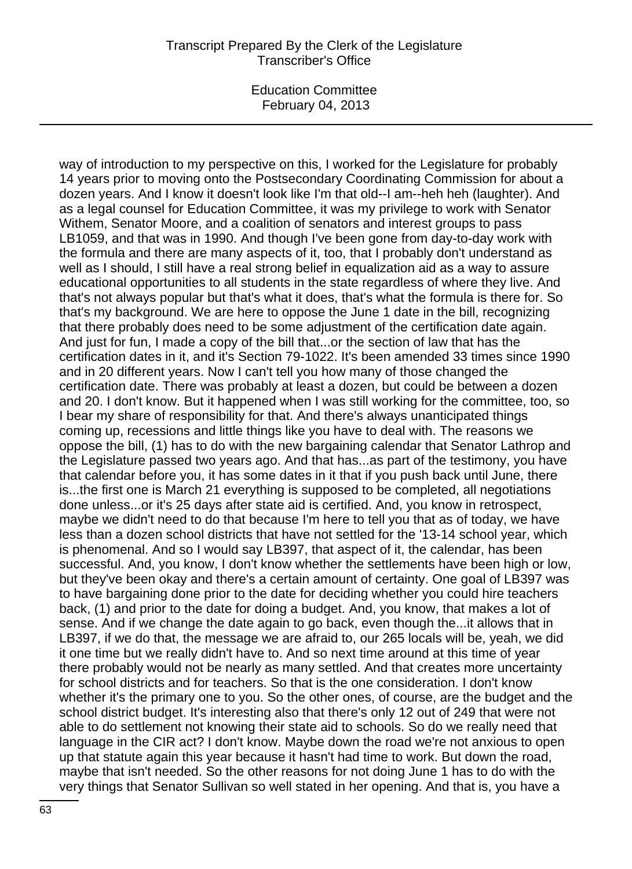### Transcript Prepared By the Clerk of the Legislature Transcriber's Office

Education Committee February 04, 2013

way of introduction to my perspective on this, I worked for the Legislature for probably 14 years prior to moving onto the Postsecondary Coordinating Commission for about a dozen years. And I know it doesn't look like I'm that old--I am--heh heh (laughter). And as a legal counsel for Education Committee, it was my privilege to work with Senator Withem, Senator Moore, and a coalition of senators and interest groups to pass LB1059, and that was in 1990. And though I've been gone from day-to-day work with the formula and there are many aspects of it, too, that I probably don't understand as well as I should, I still have a real strong belief in equalization aid as a way to assure educational opportunities to all students in the state regardless of where they live. And that's not always popular but that's what it does, that's what the formula is there for. So that's my background. We are here to oppose the June 1 date in the bill, recognizing that there probably does need to be some adjustment of the certification date again. And just for fun, I made a copy of the bill that...or the section of law that has the certification dates in it, and it's Section 79-1022. It's been amended 33 times since 1990 and in 20 different years. Now I can't tell you how many of those changed the certification date. There was probably at least a dozen, but could be between a dozen and 20. I don't know. But it happened when I was still working for the committee, too, so I bear my share of responsibility for that. And there's always unanticipated things coming up, recessions and little things like you have to deal with. The reasons we oppose the bill, (1) has to do with the new bargaining calendar that Senator Lathrop and the Legislature passed two years ago. And that has...as part of the testimony, you have that calendar before you, it has some dates in it that if you push back until June, there is...the first one is March 21 everything is supposed to be completed, all negotiations done unless...or it's 25 days after state aid is certified. And, you know in retrospect, maybe we didn't need to do that because I'm here to tell you that as of today, we have less than a dozen school districts that have not settled for the '13-14 school year, which is phenomenal. And so I would say LB397, that aspect of it, the calendar, has been successful. And, you know, I don't know whether the settlements have been high or low, but they've been okay and there's a certain amount of certainty. One goal of LB397 was to have bargaining done prior to the date for deciding whether you could hire teachers back, (1) and prior to the date for doing a budget. And, you know, that makes a lot of sense. And if we change the date again to go back, even though the...it allows that in LB397, if we do that, the message we are afraid to, our 265 locals will be, yeah, we did it one time but we really didn't have to. And so next time around at this time of year there probably would not be nearly as many settled. And that creates more uncertainty for school districts and for teachers. So that is the one consideration. I don't know whether it's the primary one to you. So the other ones, of course, are the budget and the school district budget. It's interesting also that there's only 12 out of 249 that were not able to do settlement not knowing their state aid to schools. So do we really need that language in the CIR act? I don't know. Maybe down the road we're not anxious to open up that statute again this year because it hasn't had time to work. But down the road, maybe that isn't needed. So the other reasons for not doing June 1 has to do with the very things that Senator Sullivan so well stated in her opening. And that is, you have a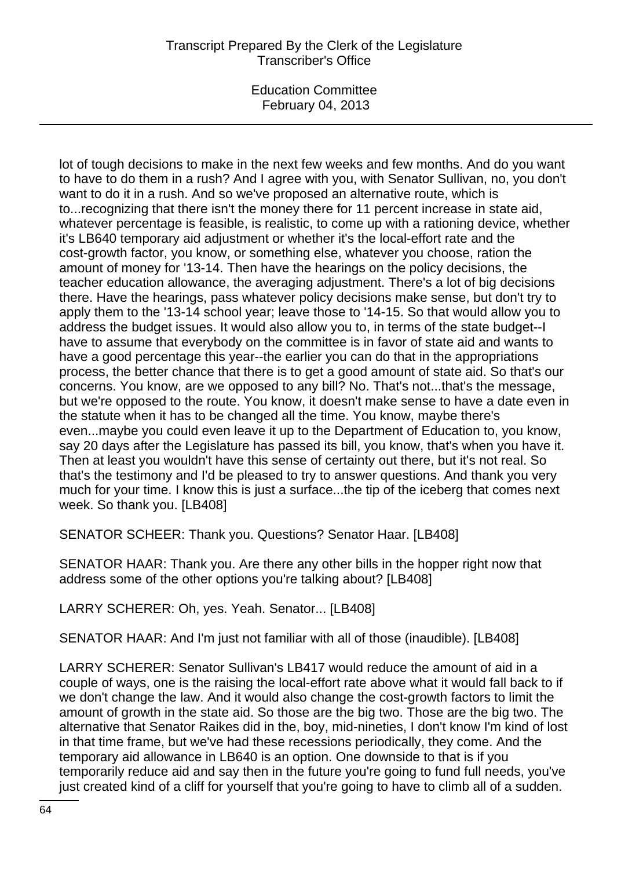# Transcript Prepared By the Clerk of the Legislature Transcriber's Office

Education Committee February 04, 2013

lot of tough decisions to make in the next few weeks and few months. And do you want to have to do them in a rush? And I agree with you, with Senator Sullivan, no, you don't want to do it in a rush. And so we've proposed an alternative route, which is to...recognizing that there isn't the money there for 11 percent increase in state aid, whatever percentage is feasible, is realistic, to come up with a rationing device, whether it's LB640 temporary aid adjustment or whether it's the local-effort rate and the cost-growth factor, you know, or something else, whatever you choose, ration the amount of money for '13-14. Then have the hearings on the policy decisions, the teacher education allowance, the averaging adjustment. There's a lot of big decisions there. Have the hearings, pass whatever policy decisions make sense, but don't try to apply them to the '13-14 school year; leave those to '14-15. So that would allow you to address the budget issues. It would also allow you to, in terms of the state budget--I have to assume that everybody on the committee is in favor of state aid and wants to have a good percentage this year--the earlier you can do that in the appropriations process, the better chance that there is to get a good amount of state aid. So that's our concerns. You know, are we opposed to any bill? No. That's not...that's the message, but we're opposed to the route. You know, it doesn't make sense to have a date even in the statute when it has to be changed all the time. You know, maybe there's even...maybe you could even leave it up to the Department of Education to, you know, say 20 days after the Legislature has passed its bill, you know, that's when you have it. Then at least you wouldn't have this sense of certainty out there, but it's not real. So that's the testimony and I'd be pleased to try to answer questions. And thank you very much for your time. I know this is just a surface...the tip of the iceberg that comes next week. So thank you. [LB408]

SENATOR SCHEER: Thank you. Questions? Senator Haar. [LB408]

SENATOR HAAR: Thank you. Are there any other bills in the hopper right now that address some of the other options you're talking about? [LB408]

LARRY SCHERER: Oh, yes. Yeah. Senator... [LB408]

SENATOR HAAR: And I'm just not familiar with all of those (inaudible). [LB408]

LARRY SCHERER: Senator Sullivan's LB417 would reduce the amount of aid in a couple of ways, one is the raising the local-effort rate above what it would fall back to if we don't change the law. And it would also change the cost-growth factors to limit the amount of growth in the state aid. So those are the big two. Those are the big two. The alternative that Senator Raikes did in the, boy, mid-nineties, I don't know I'm kind of lost in that time frame, but we've had these recessions periodically, they come. And the temporary aid allowance in LB640 is an option. One downside to that is if you temporarily reduce aid and say then in the future you're going to fund full needs, you've just created kind of a cliff for yourself that you're going to have to climb all of a sudden.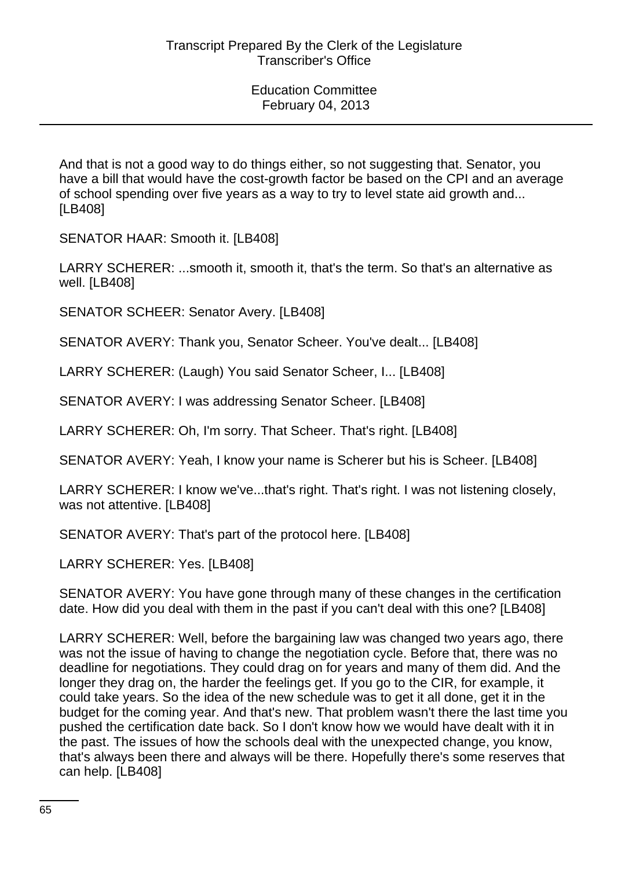And that is not a good way to do things either, so not suggesting that. Senator, you have a bill that would have the cost-growth factor be based on the CPI and an average of school spending over five years as a way to try to level state aid growth and... [LB408]

SENATOR HAAR: Smooth it. [LB408]

LARRY SCHERER: ...smooth it, smooth it, that's the term. So that's an alternative as well. [LB408]

SENATOR SCHEER: Senator Avery. [LB408]

SENATOR AVERY: Thank you, Senator Scheer. You've dealt... [LB408]

LARRY SCHERER: (Laugh) You said Senator Scheer, I... [LB408]

SENATOR AVERY: I was addressing Senator Scheer. [LB408]

LARRY SCHERER: Oh, I'm sorry. That Scheer. That's right. [LB408]

SENATOR AVERY: Yeah, I know your name is Scherer but his is Scheer. [LB408]

LARRY SCHERER: I know we've...that's right. That's right. I was not listening closely, was not attentive. [LB408]

SENATOR AVERY: That's part of the protocol here. [LB408]

LARRY SCHERER: Yes. [LB408]

SENATOR AVERY: You have gone through many of these changes in the certification date. How did you deal with them in the past if you can't deal with this one? [LB408]

LARRY SCHERER: Well, before the bargaining law was changed two years ago, there was not the issue of having to change the negotiation cycle. Before that, there was no deadline for negotiations. They could drag on for years and many of them did. And the longer they drag on, the harder the feelings get. If you go to the CIR, for example, it could take years. So the idea of the new schedule was to get it all done, get it in the budget for the coming year. And that's new. That problem wasn't there the last time you pushed the certification date back. So I don't know how we would have dealt with it in the past. The issues of how the schools deal with the unexpected change, you know, that's always been there and always will be there. Hopefully there's some reserves that can help. [LB408]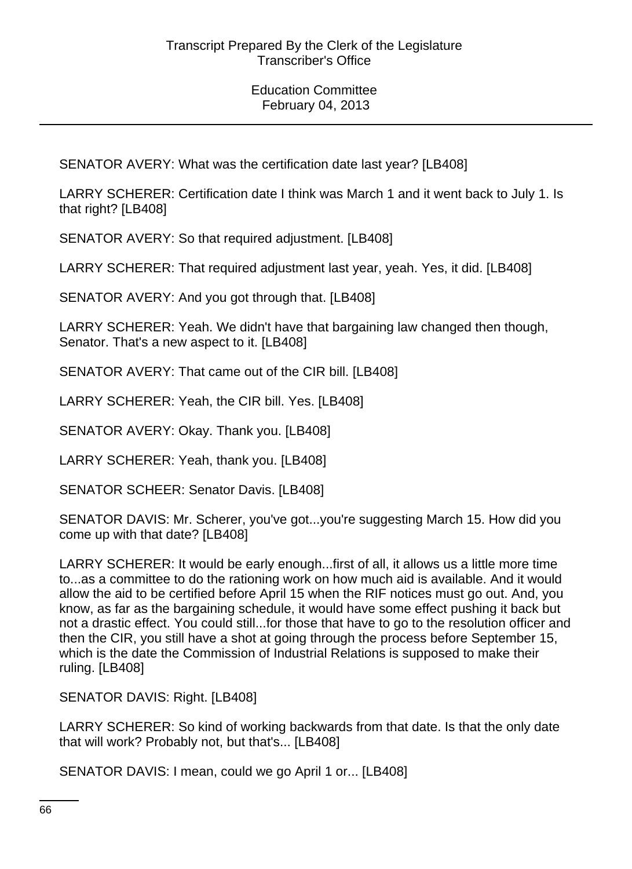SENATOR AVERY: What was the certification date last year? [LB408]

LARRY SCHERER: Certification date I think was March 1 and it went back to July 1. Is that right? [LB408]

SENATOR AVERY: So that required adjustment. [LB408]

LARRY SCHERER: That required adjustment last year, yeah. Yes, it did. [LB408]

SENATOR AVERY: And you got through that. [LB408]

LARRY SCHERER: Yeah. We didn't have that bargaining law changed then though, Senator. That's a new aspect to it. [LB408]

SENATOR AVERY: That came out of the CIR bill. [LB408]

LARRY SCHERER: Yeah, the CIR bill. Yes. [LB408]

SENATOR AVERY: Okay. Thank you. [LB408]

LARRY SCHERER: Yeah, thank you. [LB408]

SENATOR SCHEER: Senator Davis. [LB408]

SENATOR DAVIS: Mr. Scherer, you've got...you're suggesting March 15. How did you come up with that date? [LB408]

LARRY SCHERER: It would be early enough...first of all, it allows us a little more time to...as a committee to do the rationing work on how much aid is available. And it would allow the aid to be certified before April 15 when the RIF notices must go out. And, you know, as far as the bargaining schedule, it would have some effect pushing it back but not a drastic effect. You could still...for those that have to go to the resolution officer and then the CIR, you still have a shot at going through the process before September 15, which is the date the Commission of Industrial Relations is supposed to make their ruling. [LB408]

SENATOR DAVIS: Right. [LB408]

LARRY SCHERER: So kind of working backwards from that date. Is that the only date that will work? Probably not, but that's... [LB408]

SENATOR DAVIS: I mean, could we go April 1 or... [LB408]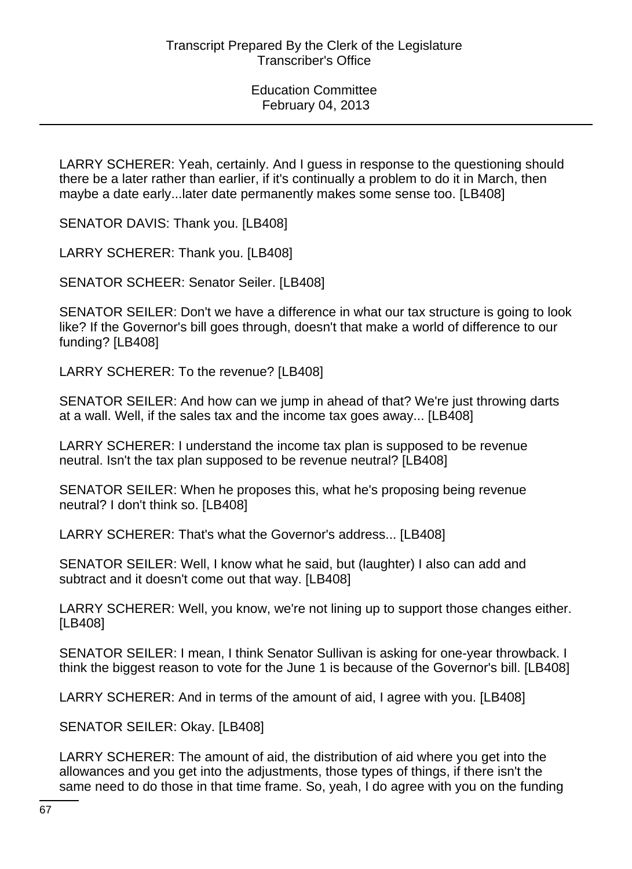LARRY SCHERER: Yeah, certainly. And I guess in response to the questioning should there be a later rather than earlier, if it's continually a problem to do it in March, then maybe a date early...later date permanently makes some sense too. [LB408]

SENATOR DAVIS: Thank you. [LB408]

LARRY SCHERER: Thank you. [LB408]

SENATOR SCHEER: Senator Seiler. [LB408]

SENATOR SEILER: Don't we have a difference in what our tax structure is going to look like? If the Governor's bill goes through, doesn't that make a world of difference to our funding? [LB408]

LARRY SCHERER: To the revenue? [LB408]

SENATOR SEILER: And how can we jump in ahead of that? We're just throwing darts at a wall. Well, if the sales tax and the income tax goes away... [LB408]

LARRY SCHERER: I understand the income tax plan is supposed to be revenue neutral. Isn't the tax plan supposed to be revenue neutral? [LB408]

SENATOR SEILER: When he proposes this, what he's proposing being revenue neutral? I don't think so. [LB408]

LARRY SCHERER: That's what the Governor's address... [LB408]

SENATOR SEILER: Well, I know what he said, but (laughter) I also can add and subtract and it doesn't come out that way. [LB408]

LARRY SCHERER: Well, you know, we're not lining up to support those changes either. [LB408]

SENATOR SEILER: I mean, I think Senator Sullivan is asking for one-year throwback. I think the biggest reason to vote for the June 1 is because of the Governor's bill. [LB408]

LARRY SCHERER: And in terms of the amount of aid, I agree with you. [LB408]

SENATOR SEILER: Okay. [LB408]

LARRY SCHERER: The amount of aid, the distribution of aid where you get into the allowances and you get into the adjustments, those types of things, if there isn't the same need to do those in that time frame. So, yeah, I do agree with you on the funding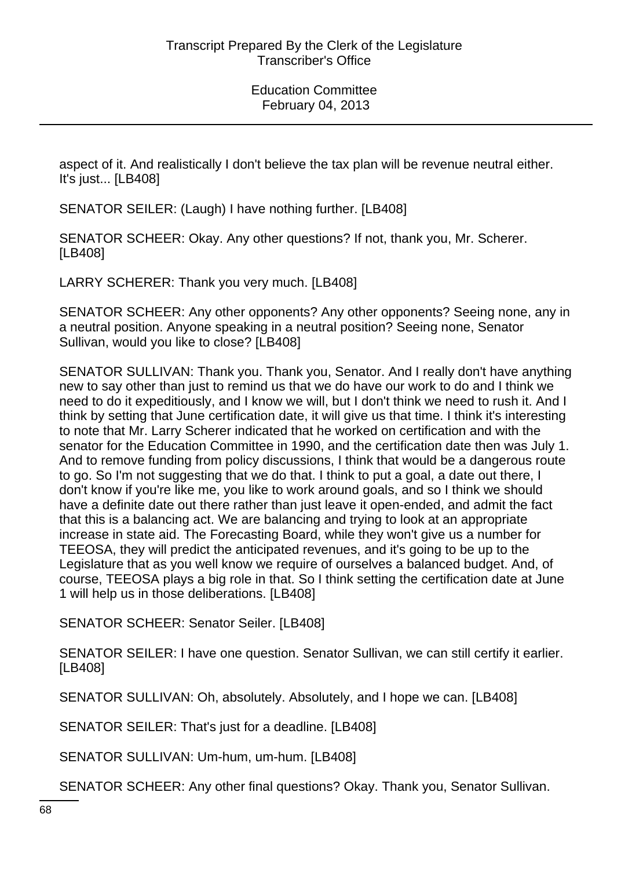aspect of it. And realistically I don't believe the tax plan will be revenue neutral either. It's just... [LB408]

SENATOR SEILER: (Laugh) I have nothing further. [LB408]

SENATOR SCHEER: Okay. Any other questions? If not, thank you, Mr. Scherer. [LB408]

LARRY SCHERER: Thank you very much. [LB408]

SENATOR SCHEER: Any other opponents? Any other opponents? Seeing none, any in a neutral position. Anyone speaking in a neutral position? Seeing none, Senator Sullivan, would you like to close? [LB408]

SENATOR SULLIVAN: Thank you. Thank you, Senator. And I really don't have anything new to say other than just to remind us that we do have our work to do and I think we need to do it expeditiously, and I know we will, but I don't think we need to rush it. And I think by setting that June certification date, it will give us that time. I think it's interesting to note that Mr. Larry Scherer indicated that he worked on certification and with the senator for the Education Committee in 1990, and the certification date then was July 1. And to remove funding from policy discussions, I think that would be a dangerous route to go. So I'm not suggesting that we do that. I think to put a goal, a date out there, I don't know if you're like me, you like to work around goals, and so I think we should have a definite date out there rather than just leave it open-ended, and admit the fact that this is a balancing act. We are balancing and trying to look at an appropriate increase in state aid. The Forecasting Board, while they won't give us a number for TEEOSA, they will predict the anticipated revenues, and it's going to be up to the Legislature that as you well know we require of ourselves a balanced budget. And, of course, TEEOSA plays a big role in that. So I think setting the certification date at June 1 will help us in those deliberations. [LB408]

SENATOR SCHEER: Senator Seiler. [LB408]

SENATOR SEILER: I have one question. Senator Sullivan, we can still certify it earlier. [LB408]

SENATOR SULLIVAN: Oh, absolutely. Absolutely, and I hope we can. [LB408]

SENATOR SEILER: That's just for a deadline. [LB408]

SENATOR SULLIVAN: Um-hum, um-hum. [LB408]

SENATOR SCHEER: Any other final questions? Okay. Thank you, Senator Sullivan.